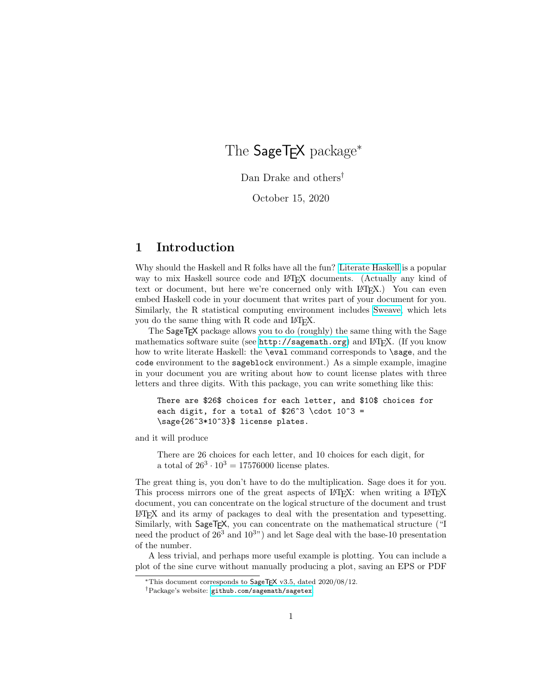# The SageT<sub>F</sub>X package<sup>\*</sup>

Dan Drake and others<sup>†</sup>

October 15, 2020

# 1 Introduction

Why should the Haskell and R folks have all the fun? [Literate Haskell](http://www.haskell.org/haskellwiki/Literate_programming) is a popular way to mix Haskell source code and LAT<sub>EX</sub> documents. (Actually any kind of text or document, but here we're concerned only with L<sup>AT</sup>FX.) You can even embed Haskell code in your document that writes part of your document for you. Similarly, the R statistical computing environment includes [Sweave,](http://tug.org/pracjourn/2008-1/zahn/) which lets you do the same thing with R code and LAT<sub>EX</sub>.

The SageT<sub>F</sub>X package allows you to do (roughly) the same thing with the Sage mathematics software suite (see <http://sagemath.org>) and  $\mathbb{F}T_{\rm F}X$ . (If you know how to write literate Haskell: the **\eval** command corresponds to **\sage**, and the code environment to the sageblock environment.) As a simple example, imagine in your document you are writing about how to count license plates with three letters and three digits. With this package, you can write something like this:

There are \$26\$ choices for each letter, and \$10\$ choices for each digit, for a total of \$26^3 \cdot  $10^3$  = \sage{26^3\*10^3}\$ license plates.

and it will produce

There are 26 choices for each letter, and 10 choices for each digit, for a total of  $26^3 \cdot 10^3 = 17576000$  license plates.

The great thing is, you don't have to do the multiplication. Sage does it for you. This process mirrors one of the great aspects of LAT<sub>EX</sub>: when writing a LAT<sub>EX</sub> document, you can concentrate on the logical structure of the document and trust LATEX and its army of packages to deal with the presentation and typesetting. Similarly, with SageTEX, you can concentrate on the mathematical structure ("I need the product of  $26<sup>3</sup>$  and  $10<sup>3</sup>$ ) and let Sage deal with the base-10 presentation of the number.

A less trivial, and perhaps more useful example is plotting. You can include a plot of the sine curve without manually producing a plot, saving an EPS or PDF

<sup>\*</sup>This document corresponds to  $\text{SageTrX } v3.5$ , dated  $2020/08/12$ .

<sup>†</sup>Package's website: [github.com/sagemath/sagetex](https://github.com/sagemath/sagetex).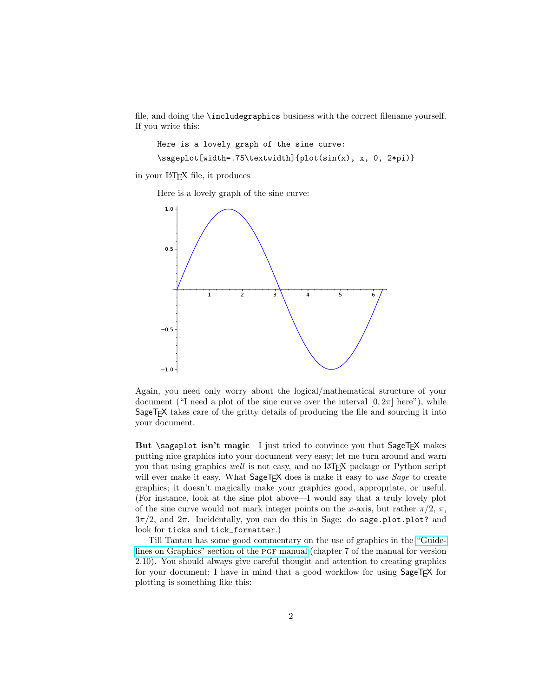file, and doing the \includegraphics business with the correct filename yourself. If you write this:

Here is a lovely graph of the sine curve:

\sageplot[width=.75\textwidth]{plot(sin(x), x, 0, 2\*pi)}

in your LATEX file, it produces

Here is a lovely graph of the sine curve:



Again, you need only worry about the logical/mathematical structure of your document ("I need a plot of the sine curve over the interval  $[0, 2\pi]$  here"), while SageT<sub>F</sub>X takes care of the gritty details of producing the file and sourcing it into your document.

But \sageplot isn't magic I just tried to convince you that SageT<sub>F</sub>X makes putting nice graphics into your document very easy; let me turn around and warn you that using graphics well is not easy, and no LATEX package or Python script will ever make it easy. What  $\text{SageTrX}$  does is make it easy to use Sage to create graphics; it doesn't magically make your graphics good, appropriate, or useful. (For instance, look at the sine plot above—I would say that a truly lovely plot of the sine curve would not mark integer points on the x-axis, but rather  $\pi/2$ ,  $\pi$ ,  $3\pi/2$ , and  $2\pi$ . Incidentally, you can do this in Sage: do sage.plot.plot? and look for ticks and tick\_formatter.)

Till Tantau has some good commentary on the use of graphics in the ["Guide](http://www.ctan.org/tex-archive/help/Catalogue/entries/pgf.html)[lines on Graphics" section of the](http://www.ctan.org/tex-archive/help/Catalogue/entries/pgf.html) pgf manual (chapter 7 of the manual for version 2.10). You should always give careful thought and attention to creating graphics for your document; I have in mind that a good workflow for using SageTEX for plotting is something like this: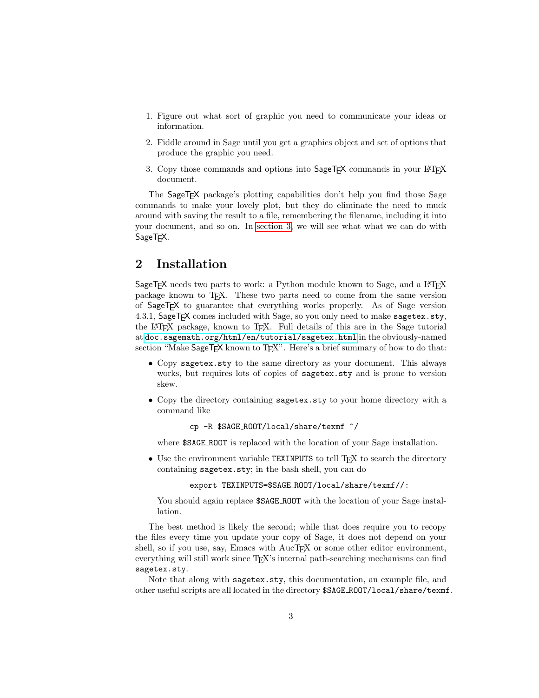- 1. Figure out what sort of graphic you need to communicate your ideas or information.
- 2. Fiddle around in Sage until you get a graphics object and set of options that produce the graphic you need.
- 3. Copy those commands and options into SageTEX commands in your IATEX document.

The SageT<sub>F</sub>X package's plotting capabilities don't help you find those Sage commands to make your lovely plot, but they do eliminate the need to muck around with saving the result to a file, remembering the filename, including it into your document, and so on. In [section 3,](#page-4-0) we will see what what we can do with SageTEX.

# 2 Installation

SageT<sub>E</sub>X needs two parts to work: a Python module known to Sage, and a L<sup>AT</sup>EX package known to TEX. These two parts need to come from the same version of SageTEX to guarantee that everything works properly. As of Sage version 4.3.1, SageT<sub>E</sub>X comes included with Sage, so you only need to make sagetex.sty, the LAT<sub>E</sub>X package, known to T<sub>E</sub>X. Full details of this are in the Sage tutorial at [doc.sagemath.org/html/en/tutorial/sagetex.html](http://doc.sagemath.org/html/en/tutorial/sagetex.html) in the obviously-named section "Make SageT<sub>F</sub>X known to T<sub>F</sub>X". Here's a brief summary of how to do that:

- Copy sagetex.sty to the same directory as your document. This always works, but requires lots of copies of sagetex.sty and is prone to version skew.
- Copy the directory containing sagetex.sty to your home directory with a command like

cp -R \$SAGE ROOT/local/share/texmf ~/

where \$SAGE ROOT is replaced with the location of your Sage installation.

• Use the environment variable TEXINPUTS to tell T<sub>F</sub>X to search the directory containing sagetex.sty; in the bash shell, you can do

export TEXINPUTS=\$SAGE ROOT/local/share/texmf//:

You should again replace  $$SAGE_R$ 00T with the location of your Sage installation.

The best method is likely the second; while that does require you to recopy the files every time you update your copy of Sage, it does not depend on your shell, so if you use, say, Emacs with AucTEX or some other editor environment, everything will still work since T<sub>E</sub>X's internal path-searching mechanisms can find sagetex.sty.

Note that along with sagetex.sty, this documentation, an example file, and other useful scripts are all located in the directory \$SAGE ROOT/local/share/texmf.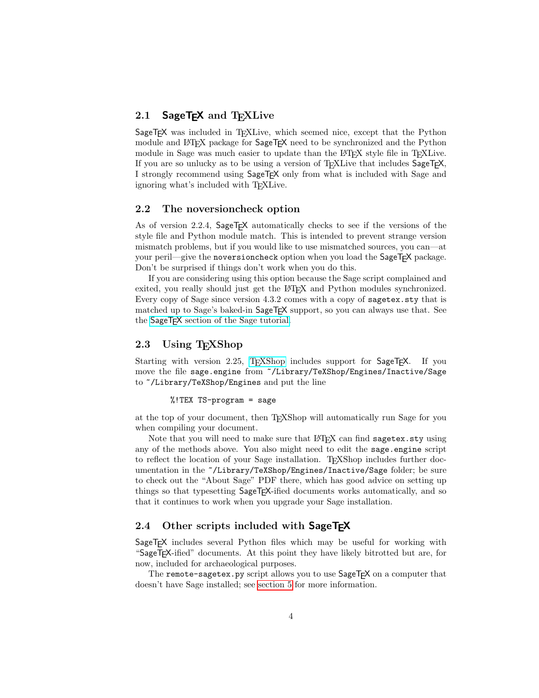## 2.1 SageTEX and TFXLive

SageT<sub>F</sub>X was included in T<sub>F</sub>XLive, which seemed nice, except that the Python module and LAT<sub>EX</sub> package for SageT<sub>F</sub>X need to be synchronized and the Python module in Sage was much easier to update than the LAT<sub>EX</sub> style file in T<sub>EX</sub>XLive. If you are so unlucky as to be using a version of T<sub>E</sub>XLive that includes SageT<sub>F</sub>X, I strongly recommend using SageTEX only from what is included with Sage and ignoring what's included with T<sub>E</sub>XLive.

### 2.2 The noversioncheck option

As of version 2.2.4, SageT<sub>F</sub>X automatically checks to see if the versions of the style file and Python module match. This is intended to prevent strange version mismatch problems, but if you would like to use mismatched sources, you can—at your peril—give the noversioncheck option when you load the SageT<sub>F</sub>X package. Don't be surprised if things don't work when you do this.

If you are considering using this option because the Sage script complained and exited, you really should just get the LATEX and Python modules synchronized. Every copy of Sage since version 4.3.2 comes with a copy of sagetex.sty that is matched up to Sage's baked-in SageT<sub>F</sub>X support, so you can always use that. See the SageT<sub>F</sub>X [section of the Sage tutorial.](http://doc.sagemath.org/html/en/tutorial/sagetex.html)

### 2.3 Using T<sub>E</sub>XShop

Starting with version 2.25, T<sub>EXShop</sub> includes support for SageT<sub>E</sub>X. If you move the file sage.engine from ~/Library/TeXShop/Engines/Inactive/Sage to ~/Library/TeXShop/Engines and put the line

#### %!TEX TS-program = sage

at the top of your document, then TEXShop will automatically run Sage for you when compiling your document.

Note that you will need to make sure that LAT<sub>EX</sub> can find sagetex.sty using any of the methods above. You also might need to edit the sage.engine script to reflect the location of your Sage installation. TFXShop includes further documentation in the ~/Library/TeXShop/Engines/Inactive/Sage folder; be sure to check out the "About Sage" PDF there, which has good advice on setting up things so that typesetting SageTEX-ified documents works automatically, and so that it continues to work when you upgrade your Sage installation.

### 2.4 Other scripts included with SageTFX

SageTEX includes several Python files which may be useful for working with "SageTEX-ified" documents. At this point they have likely bitrotted but are, for now, included for archaeological purposes.

The remote-sagetex.py script allows you to use SageT<sub>F</sub>X on a computer that doesn't have Sage installed; see [section 5](#page-16-0) for more information.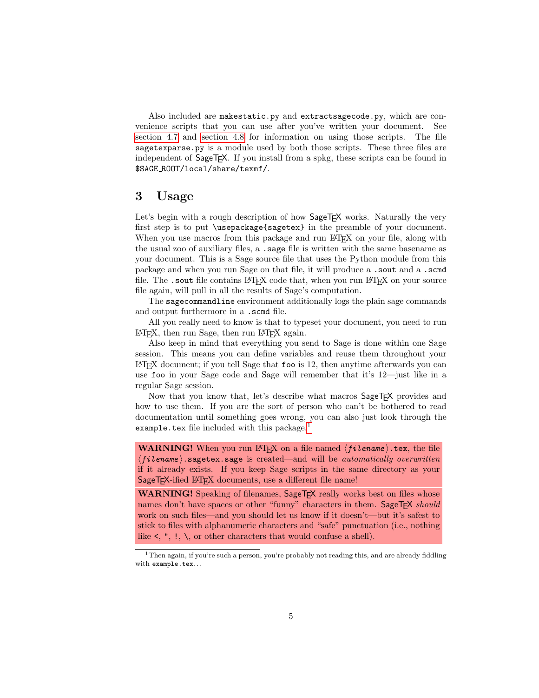Also included are makestatic.py and extractsagecode.py, which are convenience scripts that you can use after you've written your document. See [section 4.7](#page-15-0) and [section 4.8](#page-16-1) for information on using those scripts. The file sagetexparse.py is a module used by both those scripts. These three files are independent of SageT<sub>F</sub>X. If you install from a spkg, these scripts can be found in \$SAGE ROOT/local/share/texmf/.

# <span id="page-4-0"></span>3 Usage

Let's begin with a rough description of how  $\text{SageTrX}$  works. Naturally the very first step is to put \usepackage{sagetex} in the preamble of your document. When you use macros from this package and run LATEX on your file, along with the usual zoo of auxiliary files, a .sage file is written with the same basename as your document. This is a Sage source file that uses the Python module from this package and when you run Sage on that file, it will produce a .sout and a .scmd file. The .sout file contains LAT<sub>EX</sub> code that, when you run LAT<sub>EX</sub> on your source file again, will pull in all the results of Sage's computation.

The sagecommandline environment additionally logs the plain sage commands and output furthermore in a .scmd file.

All you really need to know is that to typeset your document, you need to run LATEX, then run Sage, then run LATEX again.

Also keep in mind that everything you send to Sage is done within one Sage session. This means you can define variables and reuse them throughout your LATEX document; if you tell Sage that foo is 12, then anytime afterwards you can use foo in your Sage code and Sage will remember that it's 12—just like in a regular Sage session.

Now that you know that, let's describe what macros SageT<sub>F</sub>X provides and how to use them. If you are the sort of person who can't be bothered to read documentation until something goes wrong, you can also just look through the example.tex file included with this package.<sup>[1](#page-4-1)</sup>

**WARNING!** When you run LAT<sub>F</sub>X on a file named  $\langle filename \rangle$ .tex, the file  $\langle$ filename $\rangle$ .sagetex.sage is created—and will be *automatically overwritten* if it already exists. If you keep Sage scripts in the same directory as your SageT<sub>F</sub>X-ified L<sup>AT</sup>F<sub>X</sub> documents, use a different file name!

WARNING! Speaking of filenames, SageT<sub>E</sub>X really works best on files whose names don't have spaces or other "funny" characters in them. SageTEX should work on such files—and you should let us know if it doesn't—but it's safest to stick to files with alphanumeric characters and "safe" punctuation (i.e., nothing like  $\leq$ , ", !,  $\setminus$ , or other characters that would confuse a shell).

<span id="page-4-1"></span><sup>&</sup>lt;sup>1</sup>Then again, if you're such a person, you're probably not reading this, and are already fiddling with example.tex. . .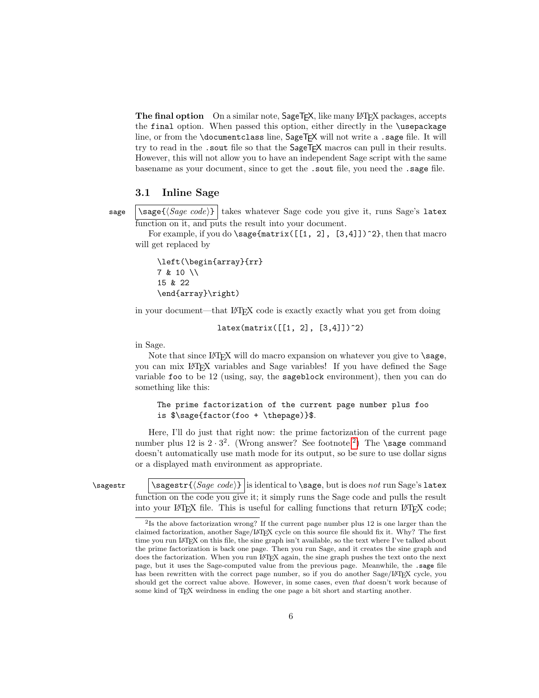The final option On a similar note, SageT<sub>E</sub>X, like many L<sup>AT</sup>EX packages, accepts the final option. When passed this option, either directly in the \usepackage line, or from the \documentclass line, SageT<sub>F</sub>X will not write a .sage file. It will try to read in the . sout file so that the SageT<sub>F</sub>X macros can pull in their results. However, this will not allow you to have an independent Sage script with the same basename as your document, since to get the .sout file, you need the .sage file.

### 3.1 Inline Sage

sage  $\simeq$   $\simeq$   $\simeq$   $\simeq$   $\simeq$   $\simeq$   $\simeq$   $\simeq$   $\simeq$   $\simeq$   $\simeq$   $\simeq$   $\simeq$   $\simeq$   $\simeq$   $\simeq$   $\simeq$   $\simeq$   $\simeq$   $\simeq$   $\simeq$   $\simeq$   $\simeq$   $\simeq$   $\simeq$   $\simeq$   $\simeq$   $\simeq$   $\simeq$   $\simeq$   $\simeq$ function on it, and puts the result into your document.

For example, if you do \sage{matrix( $[1, 2]$ ,  $[3, 4]$ ])^2}, then that macro will get replaced by

\left(\begin{array}{rr} 7 & 10 \\ 15 & 22 \end{array}\right)

in your document—that LATEX code is exactly exactly what you get from doing

 $later(maxrix([1, 2], [3, 4]])$ <sup>2</sup>)

in Sage.

Note that since  $\mathbb{B}T_FX$  will do macro expansion on whatever you give to  $\simeq$ you can mix LATEX variables and Sage variables! If you have defined the Sage variable foo to be 12 (using, say, the sageblock environment), then you can do something like this:

### The prime factorization of the current page number plus foo is \$\sage{factor(foo + \thepage)}\$.

Here, I'll do just that right now: the prime factorization of the current page number plus  $12$  $12$  is  $2 \cdot 3^2$ . (Wrong answer? See footnote.<sup>2</sup>) The **\sage** command doesn't automatically use math mode for its output, so be sure to use dollar signs or a displayed math environment as appropriate.

\sagestr \sagestr{ $\langle Sage\ code \rangle$ } is identical to \sage, but is does not run Sage's latex function on the code you give it; it simply runs the Sage code and pulls the result into your LAT<sub>E</sub>X file. This is useful for calling functions that return LAT<sub>E</sub>X code;

<span id="page-5-0"></span><sup>&</sup>lt;sup>2</sup>Is the above factorization wrong? If the current page number plus 12 is one larger than the claimed factorization, another Sage/LATEX cycle on this source file should fix it. Why? The first time you run LATEX on this file, the sine graph isn't available, so the text where I've talked about the prime factorization is back one page. Then you run Sage, and it creates the sine graph and does the factorization. When you run LATEX again, the sine graph pushes the text onto the next page, but it uses the Sage-computed value from the previous page. Meanwhile, the .sage file has been rewritten with the correct page number, so if you do another Sage/LATEX cycle, you should get the correct value above. However, in some cases, even that doesn't work because of some kind of TEX weirdness in ending the one page a bit short and starting another.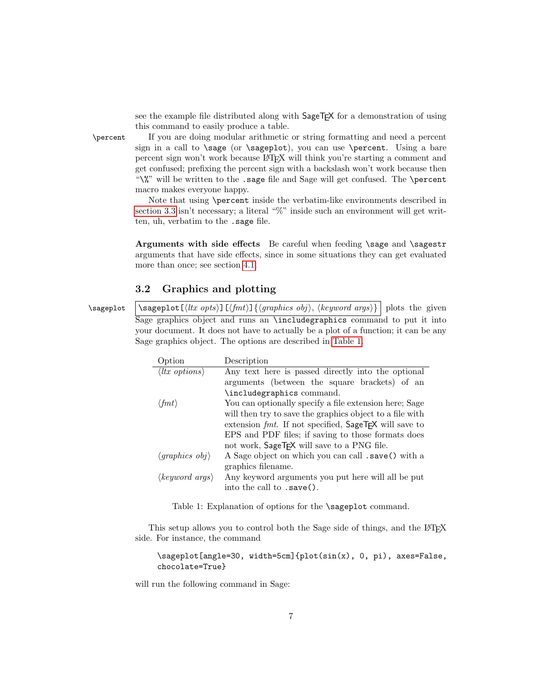see the example file distributed along with SageT<sub>E</sub>X for a demonstration of using this command to easily produce a table.

\percent If you are doing modular arithmetic or string formatting and need a percent sign in a call to **\sage** (or **\sageplot**), you can use **\percent**. Using a bare percent sign won't work because LATEX will think you're starting a comment and get confused; prefixing the percent sign with a backslash won't work because then "\%" will be written to the .sage file and Sage will get confused. The \percent macro makes everyone happy.

> Note that using \percent inside the verbatim-like environments described in [section 3.3](#page-9-0) isn't necessary; a literal "%" inside such an environment will get written, uh, verbatim to the .sage file.

> Arguments with side effects Be careful when feeding \sage and \sagestr arguments that have side effects, since in some situations they can get evaluated more than once; see section [4.1.](#page-12-0)

### 3.2 Graphics and plotting

\sageplot  $\setminus$  \sageplot  $[\langle \text{true }\rangle]$   $[\langle \text{true }\rangle]$  { $\langle \text{graphics }\text{obj} \rangle$ ,  $\langle \text{keyword }\text{args} \rangle$ } plots the given Sage graphics object and runs an \includegraphics command to put it into your document. It does not have to actually be a plot of a function; it can be any Sage graphics object. The options are described in [Table 1.](#page-6-0)

| Option                                  | Description                                                |  |  |
|-----------------------------------------|------------------------------------------------------------|--|--|
| $\langle$ <i>ltx options</i> $\rangle$  | Any text here is passed directly into the optional         |  |  |
|                                         | arguments (between the square brackets) of an              |  |  |
|                                         | \includegraphics command.                                  |  |  |
| $\langle \textit{fmt} \rangle$          | You can optionally specify a file extension here; Sage     |  |  |
|                                         | will then try to save the graphics object to a file with   |  |  |
|                                         | extension $fmt$ . If not specified, $SageTFX$ will save to |  |  |
|                                         | EPS and PDF files; if saving to those formats does         |  |  |
|                                         | not work, SageT <sub>F</sub> X will save to a PNG file.    |  |  |
| $\langle$ <i>graphics obj</i> $\rangle$ | A Sage object on which you can call . save () with a       |  |  |
|                                         | graphics filename.                                         |  |  |
| $\langle keyword \; args \rangle$       | Any keyword arguments you put here will all be put         |  |  |
|                                         | into the call to .save().                                  |  |  |

<span id="page-6-0"></span>Table 1: Explanation of options for the \sageplot command.

This setup allows you to control both the Sage side of things, and the LATEX side. For instance, the command

\sageplot[angle=30, width=5cm]{plot(sin(x), 0, pi), axes=False, chocolate=True}

will run the following command in Sage: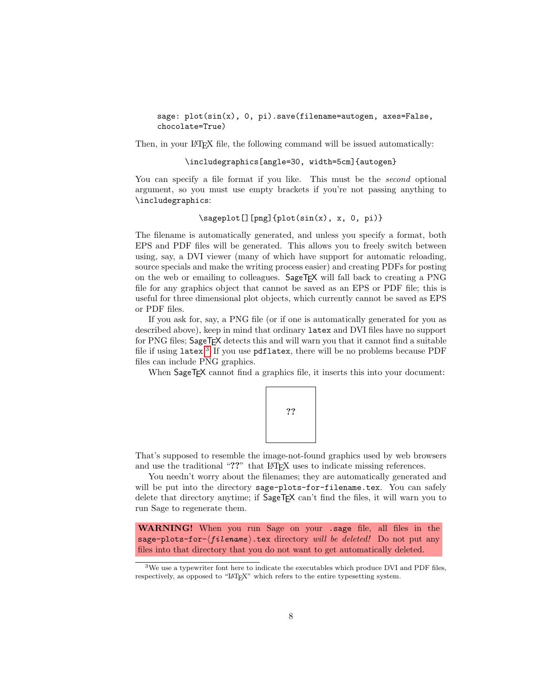sage: plot(sin(x), 0, pi).save(filename=autogen, axes=False, chocolate=True)

Then, in your LAT<sub>EX</sub> file, the following command will be issued automatically:

### \includegraphics[angle=30, width=5cm]{autogen}

You can specify a file format if you like. This must be the *second* optional argument, so you must use empty brackets if you're not passing anything to \includegraphics:

### \sageplot[][png]{plot(sin(x), x, 0, pi)}

The filename is automatically generated, and unless you specify a format, both EPS and PDF files will be generated. This allows you to freely switch between using, say, a DVI viewer (many of which have support for automatic reloading, source specials and make the writing process easier) and creating PDFs for posting on the web or emailing to colleagues. Sage $TFX$  will fall back to creating a PNG file for any graphics object that cannot be saved as an EPS or PDF file; this is useful for three dimensional plot objects, which currently cannot be saved as EPS or PDF files.

If you ask for, say, a PNG file (or if one is automatically generated for you as described above), keep in mind that ordinary latex and DVI files have no support for PNG files; SageT<sub>F</sub>X detects this and will warn you that it cannot find a suitable file if using latex.<sup>[3](#page-7-0)</sup> If you use pdflatex, there will be no problems because PDF files can include PNG graphics.

When SageTEX cannot find a graphics file, it inserts this into your document:

??

That's supposed to resemble the image-not-found graphics used by web browsers and use the traditional "??" that LAT<sub>EX</sub> uses to indicate missing references.

You needn't worry about the filenames; they are automatically generated and will be put into the directory sage-plots-for-filename.tex. You can safely delete that directory anytime; if  $\text{SageTFX}$  can't find the files, it will warn you to run Sage to regenerate them.

WARNING! When you run Sage on your .sage file, all files in the sage-plots-for- $\langle filename \rangle$ .tex directory will be deleted! Do not put any files into that directory that you do not want to get automatically deleted.

<span id="page-7-0"></span><sup>&</sup>lt;sup>3</sup>We use a typewriter font here to indicate the executables which produce DVI and PDF files, respectively, as opposed to "LATEX" which refers to the entire typesetting system.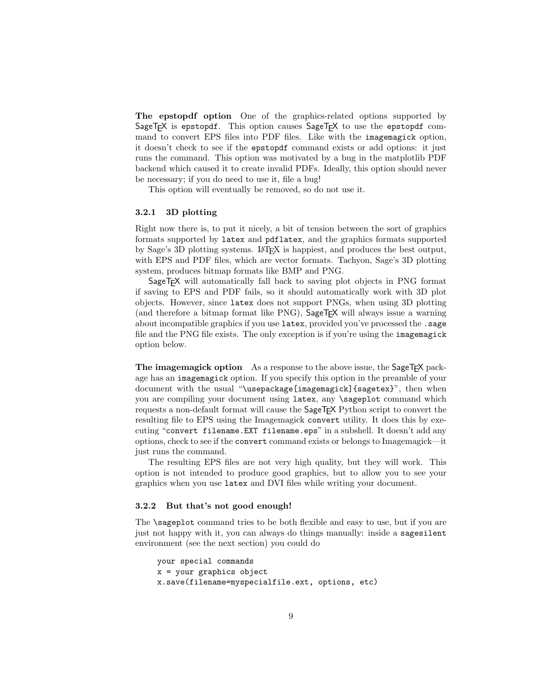The epstopdf option One of the graphics-related options supported by SageTEX is epstopdf. This option causes SageTEX to use the epstopdf command to convert EPS files into PDF files. Like with the imagemagick option, it doesn't check to see if the epstopdf command exists or add options: it just runs the command. This option was motivated by a bug in the matplotlib PDF backend which caused it to create invalid PDFs. Ideally, this option should never be necessary; if you do need to use it, file a bug!

This option will eventually be removed, so do not use it.

### 3.2.1 3D plotting

Right now there is, to put it nicely, a bit of tension between the sort of graphics formats supported by latex and pdflatex, and the graphics formats supported by Sage's 3D plotting systems. LATEX is happiest, and produces the best output, with EPS and PDF files, which are vector formats. Tachyon, Sage's 3D plotting system, produces bitmap formats like BMP and PNG.

SageT<sub>F</sub>X will automatically fall back to saving plot objects in PNG format if saving to EPS and PDF fails, so it should automatically work with 3D plot objects. However, since latex does not support PNGs, when using 3D plotting (and therefore a bitmap format like  $PNG$ ), SageT<sub>F</sub> $X$  will always issue a warning about incompatible graphics if you use latex, provided you've processed the .sage file and the PNG file exists. The only exception is if you're using the imagemagick option below.

The imagemagick option As a response to the above issue, the SageT<sub>F</sub>X package has an imagemagick option. If you specify this option in the preamble of your document with the usual "\usepackage[imagemagick]{sagetex}", then when you are compiling your document using latex, any \sageplot command which requests a non-default format will cause the SageTEX Python script to convert the resulting file to EPS using the Imagemagick convert utility. It does this by executing "convert filename.EXT filename.eps" in a subshell. It doesn't add any options, check to see if the convert command exists or belongs to Imagemagick—it just runs the command.

The resulting EPS files are not very high quality, but they will work. This option is not intended to produce good graphics, but to allow you to see your graphics when you use latex and DVI files while writing your document.

#### <span id="page-8-0"></span>3.2.2 But that's not good enough!

The \sageplot command tries to be both flexible and easy to use, but if you are just not happy with it, you can always do things manually: inside a sagesilent environment (see the next section) you could do

```
your special commands
x = your graphics object
x.save(filename=myspecialfile.ext, options, etc)
```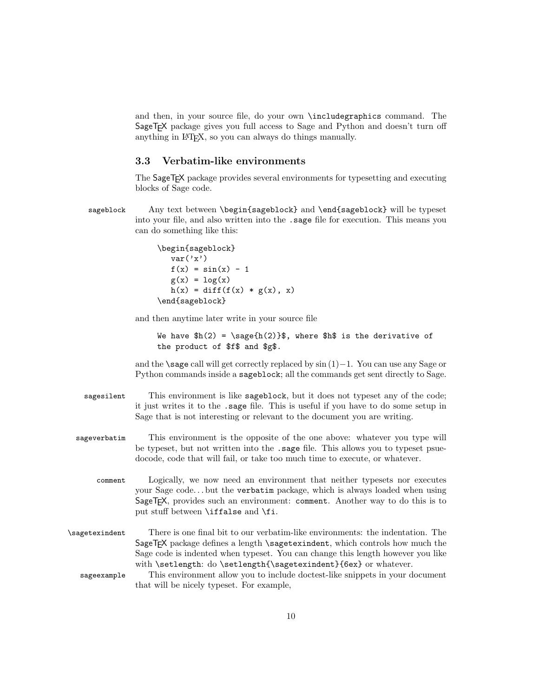and then, in your source file, do your own \includegraphics command. The SageT<sub>E</sub>X package gives you full access to Sage and Python and doesn't turn off anything in LATEX, so you can always do things manually.

### <span id="page-9-0"></span>3.3 Verbatim-like environments

The SageTEX package provides several environments for typesetting and executing blocks of Sage code.

sageblock Any text between \begin{sageblock} and \end{sageblock} will be typeset into your file, and also written into the .sage file for execution. This means you can do something like this:

```
\begin{sageblock}
  var('x')
  f(x) = sin(x) - 1g(x) = log(x)h(x) = diff(f(x) * g(x), x)\end{sageblock}
```
and then anytime later write in your source file

```
We have h(2) = \simeq{h(2)}\, where h\ is the derivative of
the product of $f$ and $g$.
```
and the \sage call will get correctly replaced by sin (1)−1. You can use any Sage or Python commands inside a sageblock; all the commands get sent directly to Sage.

- sagesilent This environment is like sageblock, but it does not typeset any of the code; it just writes it to the .sage file. This is useful if you have to do some setup in Sage that is not interesting or relevant to the document you are writing.
- sageverbatim This environment is the opposite of the one above: whatever you type will be typeset, but not written into the .sage file. This allows you to typeset psuedocode, code that will fail, or take too much time to execute, or whatever.
	- comment Logically, we now need an environment that neither typesets nor executes your Sage code. . . but the verbatim package, which is always loaded when using SageTEX, provides such an environment: comment. Another way to do this is to put stuff between \iffalse and \fi.
- \sagetexindent There is one final bit to our verbatim-like environments: the indentation. The SageTEX package defines a length \sagetexindent, which controls how much the Sage code is indented when typeset. You can change this length however you like with \setlength: do \setlength{\sagetexindent}{6ex} or whatever.
	- sageexample This environment allow you to include doctest-like snippets in your document that will be nicely typeset. For example,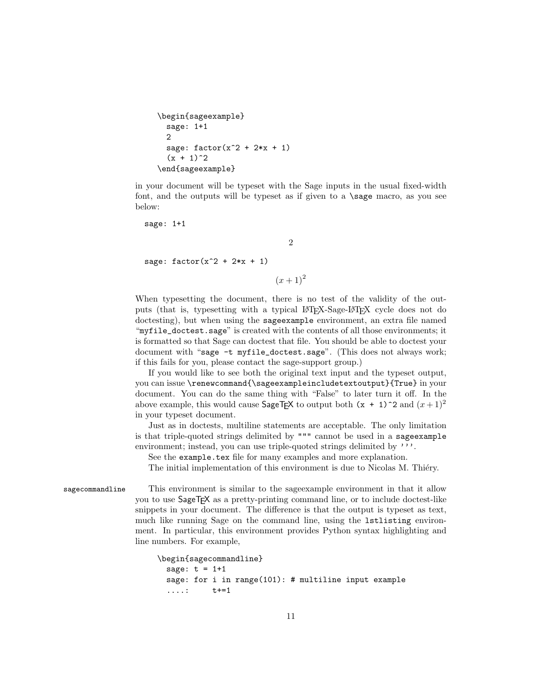```
\begin{sageexample}
  sage: 1+1
 2
  sage: factor(x^2 + 2*x + 1)(x + 1)^2\end{sageexample}
```
in your document will be typeset with the Sage inputs in the usual fixed-width font, and the outputs will be typeset as if given to a **\sage** macro, as you see below:

2

sage: 1+1

sage:  $factor(x^2 + 2*x + 1)$ 

 $(x+1)^2$ 

When typesetting the document, there is no test of the validity of the outputs (that is, typesetting with a typical LATEX-Sage-LATEX cycle does not do doctesting), but when using the sageexample environment, an extra file named "myfile\_doctest.sage" is created with the contents of all those environments; it is formatted so that Sage can doctest that file. You should be able to doctest your document with "sage -t myfile\_doctest.sage". (This does not always work; if this fails for you, please contact the sage-support group.)

If you would like to see both the original text input and the typeset output, you can issue \renewcommand{\sageexampleincludetextoutput}{True} in your document. You can do the same thing with "False" to later turn it off. In the above example, this would cause SageTEX to output both  $(x + 1)^2$  and  $(x + 1)^2$ in your typeset document.

Just as in doctests, multiline statements are acceptable. The only limitation is that triple-quoted strings delimited by """ cannot be used in a sageexample environment; instead, you can use triple-quoted strings delimited by '''.

See the example.tex file for many examples and more explanation.

The initial implementation of this environment is due to Nicolas M. Thiery.

sagecommandline This environment is similar to the sageexample environment in that it allow you to use SageTEX as a pretty-printing command line, or to include doctest-like snippets in your document. The difference is that the output is typeset as text, much like running Sage on the command line, using the lstlisting environment. In particular, this environment provides Python syntax highlighting and line numbers. For example,

```
\begin{sagecommandline}
 sage: t = 1+1sage: for i in range(101): # multiline input example
  ....: t+=1
```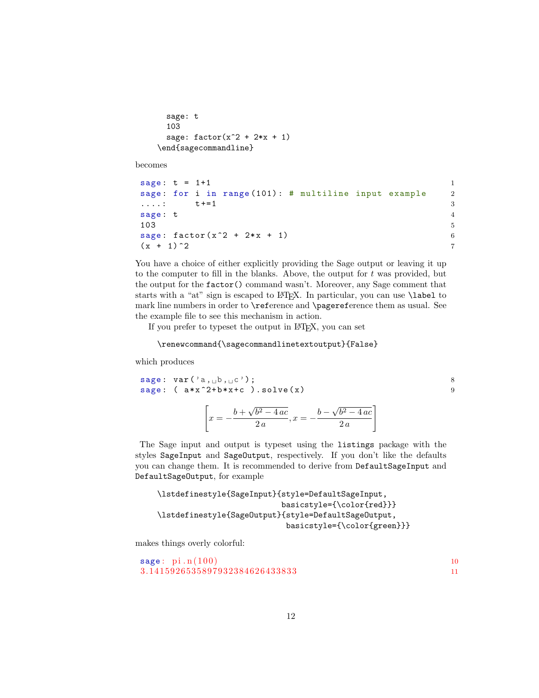```
sage: t
 103
 sage: factor(x^2 + 2*x + 1)\end{sagecommandline}
```
becomes

```
sage: t = 1 + 1 1
sage: for i in range (101): # multiline input example 2
\texttt{t++1} 3
sage: t 4
103 5
sage: factor(x^2 + 2*x + 1) 6
(x + 1)^2 7
```
You have a choice of either explicitly providing the Sage output or leaving it up to the computer to fill in the blanks. Above, the output for  $t$  was provided, but the output for the factor() command wasn't. Moreover, any Sage comment that starts with a "at" sign is escaped to LATEX. In particular, you can use \label to mark line numbers in order to \reference and \pagereference them as usual. See the example file to see this mechanism in action.

If you prefer to typeset the output in LATEX, you can set

\renewcommand{\sagecommandlinetextoutput}{False}

which produces

```
sage: var('a, \text{b}, \text{c'}); 8
sage: (a*x^2+b*x+c). solve (x) 9
             \sqrt{ }x = -\frac{b+1}{b+1}√
                       b^2 - 4ac\frac{b^2 - 4ac}{2a}, x = -\frac{b - 4ac}{a}√
                                        b^2 - 4ac2 a
                                               1
```
The Sage input and output is typeset using the listings package with the styles SageInput and SageOutput, respectively. If you don't like the defaults you can change them. It is recommended to derive from DefaultSageInput and DefaultSageOutput, for example

```
\lstdefinestyle{SageInput}{style=DefaultSageInput,
                           basicstyle={\color{red}}}
\lstdefinestyle{SageOutput}{style=DefaultSageOutput,
                            basicstyle={\color{green}}}
```
makes things overly colorful:

```
\texttt{stage}: \; \texttt{pi} \cdot \texttt{n} (100) 10
3. 1 4 1 5 9 2 6 5 3 5 8 9 7 9 3 2 3 8 4 6 2 6 4 3 3 8 3 3 11
```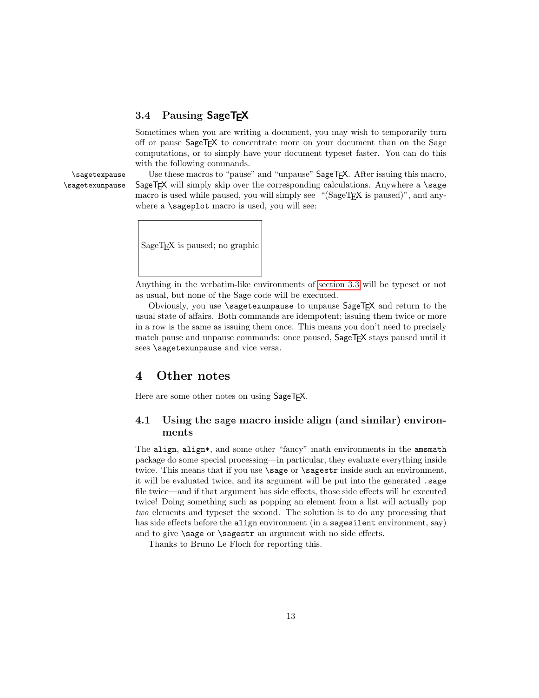# 3.4 Pausing SageTEX

Sometimes when you are writing a document, you may wish to temporarily turn off or pause SageTEX to concentrate more on your document than on the Sage computations, or to simply have your document typeset faster. You can do this with the following commands.

\sagetexpause Use these macros to "pause" and "unpause" SageTEX. After issuing this macro, \sagetexunpause SageT<sub>F</sub>X will simply skip over the corresponding calculations. Anywhere a \sage macro is used while paused, you will simply see "(SageTEX is paused)", and anywhere a **\sageplot** macro is used, you will see:



Anything in the verbatim-like environments of [section 3.3](#page-9-0) will be typeset or not as usual, but none of the Sage code will be executed.

Obviously, you use \sagetexunpause to unpause SageTEX and return to the usual state of affairs. Both commands are idempotent; issuing them twice or more in a row is the same as issuing them once. This means you don't need to precisely match pause and unpause commands: once paused, SageT<sub>E</sub>X stays paused until it sees **\sagetexunpause** and vice versa.

# 4 Other notes

Here are some other notes on using SageTEX.

# <span id="page-12-0"></span>4.1 Using the sage macro inside align (and similar) environments

The align, align\*, and some other "fancy" math environments in the amsmath package do some special processing—in particular, they evaluate everything inside twice. This means that if you use **\sage** or **\sagestr** inside such an environment, it will be evaluated twice, and its argument will be put into the generated .sage file twice—and if that argument has side effects, those side effects will be executed twice! Doing something such as popping an element from a list will actually pop two elements and typeset the second. The solution is to do any processing that has side effects before the align environment (in a sage silent environment, say) and to give **\sage** or **\sagestr** an argument with no side effects.

Thanks to Bruno Le Floch for reporting this.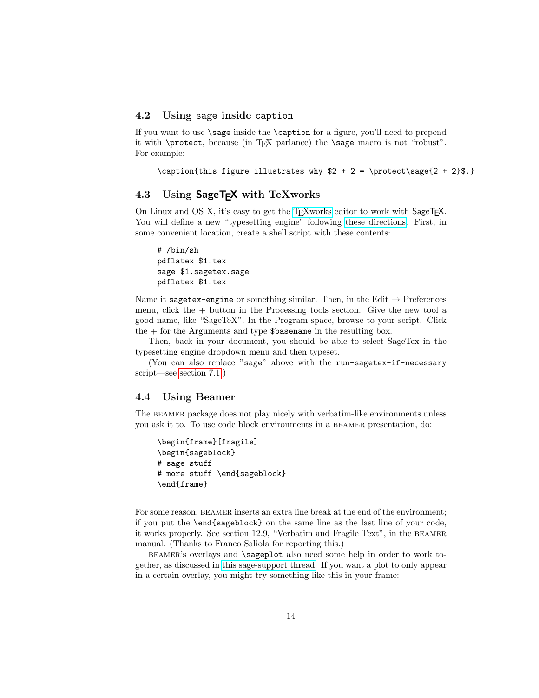### 4.2 Using sage inside caption

If you want to use  $\simeq$  inside the  $\c{aption}$  for a figure, you'll need to prepend it with \protect, because (in TEX parlance) the \sage macro is not "robust". For example:

```
\caption{this figure illustrates why 2 + 2 = \preceq 2 + 2 + 2}$.}
```
### 4.3 Using SageT<sub>F</sub>X with TeXworks

On Linux and OS X, it's easy to get the [TEXworks](https://www.tug.org/texworks/) editor to work with SageTEX. You will define a new "typesetting engine" following [these directions.](https://github.com/TeXworks/texworks/wiki/AdvancedTypesettingTools#defining-new-typesetting-tools) First, in some convenient location, create a shell script with these contents:

#!/bin/sh pdflatex \$1.tex sage \$1.sagetex.sage pdflatex \$1.tex

Name it sagetex-engine or something similar. Then, in the Edit  $\rightarrow$  Preferences menu, click the + button in the Processing tools section. Give the new tool a good name, like "SageTeX". In the Program space, browse to your script. Click the  $+$  for the Arguments and type  $\delta$ basename in the resulting box.

Then, back in your document, you should be able to select SageTex in the typesetting engine dropdown menu and then typeset.

(You can also replace "sage" above with the run-sagetex-if-necessary script—see [section 7.1.](#page-42-0))

### 4.4 Using Beamer

The BEAMER package does not play nicely with verbatim-like environments unless you ask it to. To use code block environments in a beamer presentation, do:

```
\begin{frame}[fragile]
\begin{sageblock}
# sage stuff
# more stuff \end{sageblock}
\end{frame}
```
For some reason, BEAMER inserts an extra line break at the end of the environment; if you put the \end{sageblock} on the same line as the last line of your code, it works properly. See section 12.9, "Verbatim and Fragile Text", in the beamer manual. (Thanks to Franco Saliola for reporting this.)

beamer's overlays and \sageplot also need some help in order to work together, as discussed in [this sage-support thread.](http://groups.google.com/group/sage-support/browse_thread/thread/9a0a2d60ef1126fd) If you want a plot to only appear in a certain overlay, you might try something like this in your frame: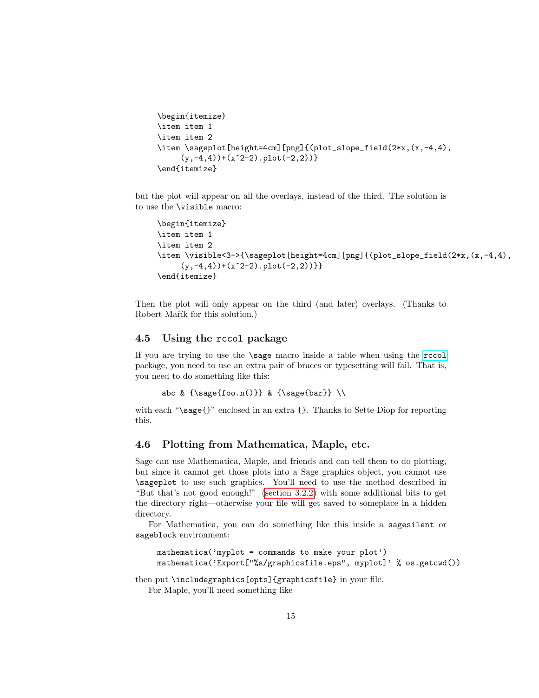```
\begin{itemize}
\item item 1
\item item 2
\item \sageplot[height=4cm][png]{(plot_slope_field(2*x,(x,-4,4),
     (y,-4,4) + (x^2-2).plot(-2,2)) }
\end{itemize}
```
but the plot will appear on all the overlays, instead of the third. The solution is to use the \visible macro:

```
\begin{itemize}
\item item 1
\item item 2
\item \visible<3->{\sageplot[height=4cm][png]{(plot_slope_field(2*x,(x,-4,4),
     (y,-4,4) + (x^2-2).plot(-2,2)) } }
\end{itemize}
```
Then the plot will only appear on the third (and later) overlays. (Thanks to Robert Mařík for this solution.)

### 4.5 Using the rccol package

If you are trying to use the \sage macro inside a table when using the [rccol](http://www.ctan.org/tex-archive/macros/latex/contrib/rccol/) package, you need to use an extra pair of braces or typesetting will fail. That is, you need to do something like this:

```
abc & {\sage{foo.n()}} & {\sage{bar}} \\
```
with each "\sage{}" enclosed in an extra {}. Thanks to Sette Diop for reporting this.

### 4.6 Plotting from Mathematica, Maple, etc.

Sage can use Mathematica, Maple, and friends and can tell them to do plotting, but since it cannot get those plots into a Sage graphics object, you cannot use \sageplot to use such graphics. You'll need to use the method described in "But that's not good enough!" [\(section 3.2.2\)](#page-8-0) with some additional bits to get the directory right—otherwise your file will get saved to someplace in a hidden directory.

For Mathematica, you can do something like this inside a sagesilent or sageblock environment:

```
mathematica('myplot = commands to make your plot')
mathematica('Export["%s/graphicsfile.eps", myplot]' % os.getcwd())
```
then put \includegraphics[opts]{graphicsfile} in your file.

For Maple, you'll need something like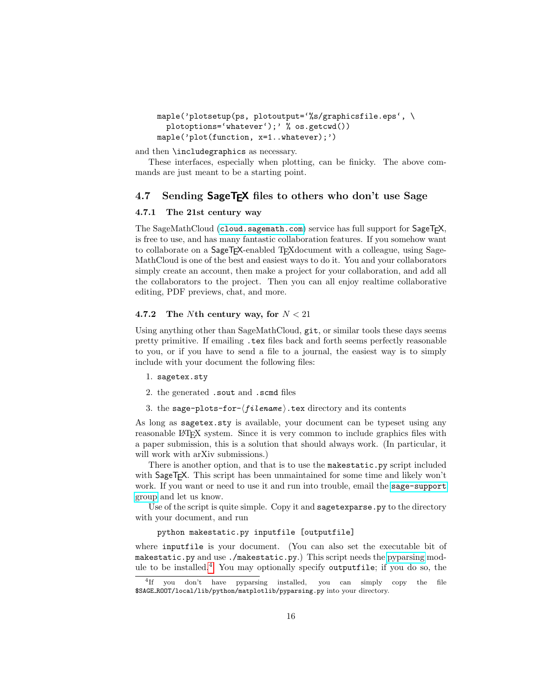```
maple('plotsetup(ps, plotoutput='%s/graphicsfile.eps', \
  plotoptions='whatever');' % os.getcwd())
maple('plot(function, x=1..whatever);')
```
and then \includegraphics as necessary.

These interfaces, especially when plotting, can be finicky. The above commands are just meant to be a starting point.

### <span id="page-15-0"></span>4.7 Sending SageT<sub>F</sub>X files to others who don't use Sage

### 4.7.1 The 21st century way

The SageMathCloud ([cloud.sagemath.com](http://cloud.sagemath.com)) service has full support for SageT<sub>F</sub>X, is free to use, and has many fantastic collaboration features. If you somehow want to collaborate on a SageT<sub>EX</sub>-enabled T<sub>EX</sub>document with a colleague, using Sage-MathCloud is one of the best and easiest ways to do it. You and your collaborators simply create an account, then make a project for your collaboration, and add all the collaborators to the project. Then you can all enjoy realtime collaborative editing, PDF previews, chat, and more.

### 4.7.2 The Nth century way, for  $N < 21$

Using anything other than SageMathCloud, git, or similar tools these days seems pretty primitive. If emailing .tex files back and forth seems perfectly reasonable to you, or if you have to send a file to a journal, the easiest way is to simply include with your document the following files:

- 1. sagetex.sty
- 2. the generated .sout and .scmd files
- 3. the sage-plots-for- $\langle filename \rangle$ .tex directory and its contents

As long as sagetex.sty is available, your document can be typeset using any reasonable LAT<sub>EX</sub> system. Since it is very common to include graphics files with a paper submission, this is a solution that should always work. (In particular, it will work with arXiv submissions.)

There is another option, and that is to use the makestatic.py script included with SageT<sub>E</sub>X. This script has been unmaintained for some time and likely won't work. If you want or need to use it and run into trouble, email the [sage-support](https://groups.google.com/forum/#!forum/sage-support) [group](https://groups.google.com/forum/#!forum/sage-support) and let us know.

Use of the script is quite simple. Copy it and **sagetexparse**, by to the directory with your document, and run

### python makestatic.py inputfile [outputfile]

where inputfile is your document. (You can also set the executable bit of makestatic.py and use ./makestatic.py.) This script needs the [pyparsing](http://pyparsing.wikispaces.com) module to be installed. $4$  You may optionally specify outputfile; if you do so, the

<span id="page-15-1"></span><sup>4</sup> If you don't have pyparsing installed, you can simply copy the file \$SAGE ROOT/local/lib/python/matplotlib/pyparsing.py into your directory.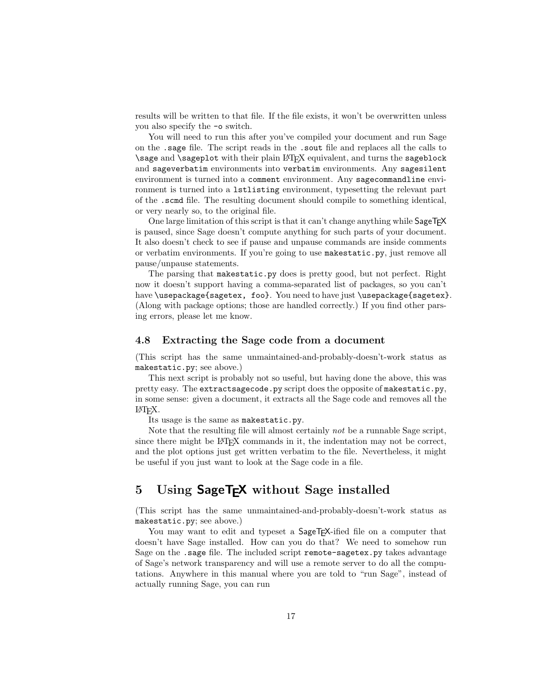results will be written to that file. If the file exists, it won't be overwritten unless you also specify the -o switch.

You will need to run this after you've compiled your document and run Sage on the .sage file. The script reads in the .sout file and replaces all the calls to \sage and \sageplot with their plain LATEX equivalent, and turns the sageblock and sageverbatim environments into verbatim environments. Any sagesilent environment is turned into a comment environment. Any sagecommandline environment is turned into a lstlisting environment, typesetting the relevant part of the .scmd file. The resulting document should compile to something identical, or very nearly so, to the original file.

One large limitation of this script is that it can't change anything while  $\mathsf{SageTFX}$ is paused, since Sage doesn't compute anything for such parts of your document. It also doesn't check to see if pause and unpause commands are inside comments or verbatim environments. If you're going to use makestatic.py, just remove all pause/unpause statements.

The parsing that makestatic.py does is pretty good, but not perfect. Right now it doesn't support having a comma-separated list of packages, so you can't have \usepackage{sagetex, foo}. You need to have just \usepackage{sagetex}. (Along with package options; those are handled correctly.) If you find other parsing errors, please let me know.

### <span id="page-16-1"></span>4.8 Extracting the Sage code from a document

(This script has the same unmaintained-and-probably-doesn't-work status as makestatic.py; see above.)

This next script is probably not so useful, but having done the above, this was pretty easy. The extractsagecode.py script does the opposite of makestatic.py, in some sense: given a document, it extracts all the Sage code and removes all the LATEX.

Its usage is the same as makestatic.py.

Note that the resulting file will almost certainly not be a runnable Sage script, since there might be LATEX commands in it, the indentation may not be correct, and the plot options just get written verbatim to the file. Nevertheless, it might be useful if you just want to look at the Sage code in a file.

# <span id="page-16-0"></span>5 Using SageT<sub>F</sub>X without Sage installed

(This script has the same unmaintained-and-probably-doesn't-work status as makestatic.py; see above.)

You may want to edit and typeset a  $\text{SageT}_{\cancel{E}}$ -ified file on a computer that doesn't have Sage installed. How can you do that? We need to somehow run Sage on the .sage file. The included script remote-sagetex.py takes advantage of Sage's network transparency and will use a remote server to do all the computations. Anywhere in this manual where you are told to "run Sage", instead of actually running Sage, you can run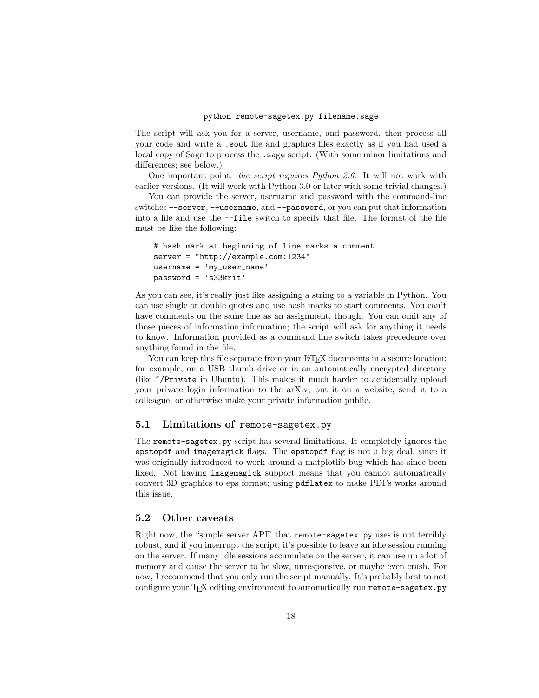The script will ask you for a server, username, and password, then process all your code and write a .sout file and graphics files exactly as if you had used a local copy of Sage to process the .sage script. (With some minor limitations and differences; see below.)

One important point: the script requires Python 2.6. It will not work with earlier versions. (It will work with Python 3.0 or later with some trivial changes.)

You can provide the server, username and password with the command-line switches --server, --username, and --password, or you can put that information into a file and use the --file switch to specify that file. The format of the file must be like the following:

```
# hash mark at beginning of line marks a comment
server = "http://example.com:1234"
username = 'my_user_name'
password = 's33krit'
```
As you can see, it's really just like assigning a string to a variable in Python. You can use single or double quotes and use hash marks to start comments. You can't have comments on the same line as an assignment, though. You can omit any of those pieces of information information; the script will ask for anything it needs to know. Information provided as a command line switch takes precedence over anything found in the file.

You can keep this file separate from your LAT<sub>EX</sub> documents in a secure location; for example, on a USB thumb drive or in an automatically encrypted directory (like ~/Private in Ubuntu). This makes it much harder to accidentally upload your private login information to the arXiv, put it on a website, send it to a colleague, or otherwise make your private information public.

### 5.1 Limitations of remote-sagetex.py

The remote-sagetex.py script has several limitations. It completely ignores the epstopdf and imagemagick flags. The epstopdf flag is not a big deal, since it was originally introduced to work around a matplotlib bug which has since been fixed. Not having imagemagick support means that you cannot automatically convert 3D graphics to eps format; using pdflatex to make PDFs works around this issue.

# 5.2 Other caveats

Right now, the "simple server API" that remote-sagetex.py uses is not terribly robust, and if you interrupt the script, it's possible to leave an idle session running on the server. If many idle sessions accumulate on the server, it can use up a lot of memory and cause the server to be slow, unresponsive, or maybe even crash. For now, I recommend that you only run the script manually. It's probably best to not configure your T<sub>E</sub>X editing environment to automatically run remote-sagetex.py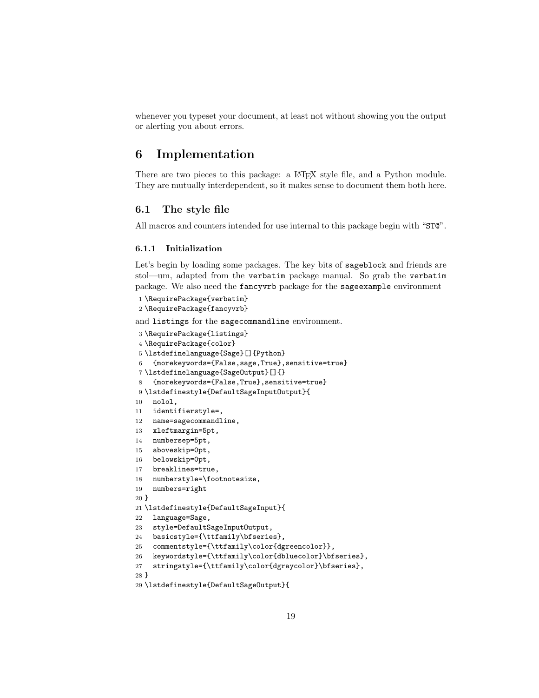whenever you typeset your document, at least not without showing you the output or alerting you about errors.

# 6 Implementation

There are two pieces to this package: a LAT<sub>E</sub>X style file, and a Python module. They are mutually interdependent, so it makes sense to document them both here.

### 6.1 The style file

All macros and counters intended for use internal to this package begin with "ST@".

### 6.1.1 Initialization

Let's begin by loading some packages. The key bits of sageblock and friends are stol—um, adapted from the verbatim package manual. So grab the verbatim package. We also need the fancyvrb package for the sageexample environment

```
1 \RequirePackage{verbatim}
2 \RequirePackage{fancyvrb}
```
and listings for the sagecommandline environment.

```
3 \RequirePackage{listings}
4 \RequirePackage{color}
5 \lstdefinelanguage{Sage}[]{Python}
6 {morekeywords={False,sage,True},sensitive=true}
7 \lstdefinelanguage{SageOutput}[]{}
8 {morekeywords={False,True},sensitive=true}
9 \lstdefinestyle{DefaultSageInputOutput}{
10 nolol,
11 identifierstyle=,
12 name=sagecommandline,
13 xleftmargin=5pt,
14 numbersep=5pt,
15 aboveskip=0pt,
16 belowskip=0pt,
17 breaklines=true,
18 numberstyle=\footnotesize,
19 numbers=right
20 }
21 \lstdefinestyle{DefaultSageInput}{
22 language=Sage,
23 style=DefaultSageInputOutput,
24 basicstyle={\ttfamily\bfseries},
25 commentstyle={\ttfamily\color{dgreencolor}},
26 keywordstyle={\ttfamily\color{dbluecolor}\bfseries},
27 stringstyle={\ttfamily\color{dgraycolor}\bfseries},
28 }
```

```
29 \lstdefinestyle{DefaultSageOutput}{
```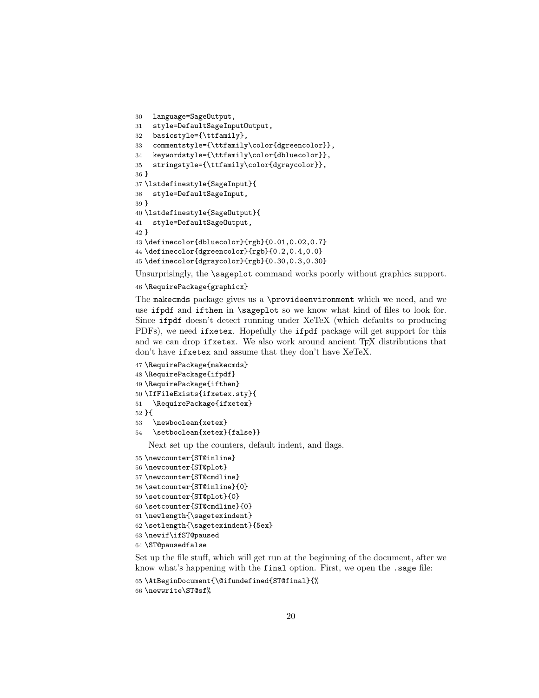```
30 language=SageOutput,
31 style=DefaultSageInputOutput,
32 basicstyle={\ttfamily},
33 commentstyle={\ttfamily\color{dgreencolor}},
34 keywordstyle={\ttfamily\color{dbluecolor}},
35 stringstyle={\ttfamily\color{dgraycolor}},
36 }
37 \lstdefinestyle{SageInput}{
38 style=DefaultSageInput,
39 }
40 \lstdefinestyle{SageOutput}{
41 style=DefaultSageOutput,
42 }
43 \definecolor{dbluecolor}{rgb}{0.01,0.02,0.7}
44 \definecolor{dgreencolor}{rgb}{0.2,0.4,0.0}
45 \definecolor{dgraycolor}{rgb}{0.30,0.3,0.30}
```
Unsurprisingly, the **\sageplot** command works poorly without graphics support.

### \RequirePackage{graphicx}

The makecmds package gives us a \provideenvironment which we need, and we use ifpdf and ifthen in \sageplot so we know what kind of files to look for. Since ifpdf doesn't detect running under XeTeX (which defaults to producing PDFs), we need ifxetex. Hopefully the ifpdf package will get support for this and we can drop if xetex. We also work around ancient T<sub>EX</sub> distributions that don't have ifxetex and assume that they don't have XeTeX.

```
47 \RequirePackage{makecmds}
48 \RequirePackage{ifpdf}
49 \RequirePackage{ifthen}
50 \IfFileExists{ifxetex.sty}{
51 \RequirePackage{ifxetex}
52 }{
53 \newboolean{xetex}
54 \setboolean{xetex}{false}}
   Next set up the counters, default indent, and flags.
55 \newcounter{ST@inline}
```

```
56 \newcounter{ST@plot}
57 \newcounter{ST@cmdline}
58 \setcounter{ST@inline}{0}
59 \setcounter{ST@plot}{0}
60 \setcounter{ST@cmdline}{0}
61 \newlength{\sagetexindent}
62 \setlength{\sagetexindent}{5ex}
63 \newif\ifST@paused
64 \ST@pausedfalse
```
Set up the file stuff, which will get run at the beginning of the document, after we know what's happening with the final option. First, we open the .sage file:

```
65 \AtBeginDocument{\@ifundefined{ST@final}{%
```

```
66 \newwrite\ST@sf%
```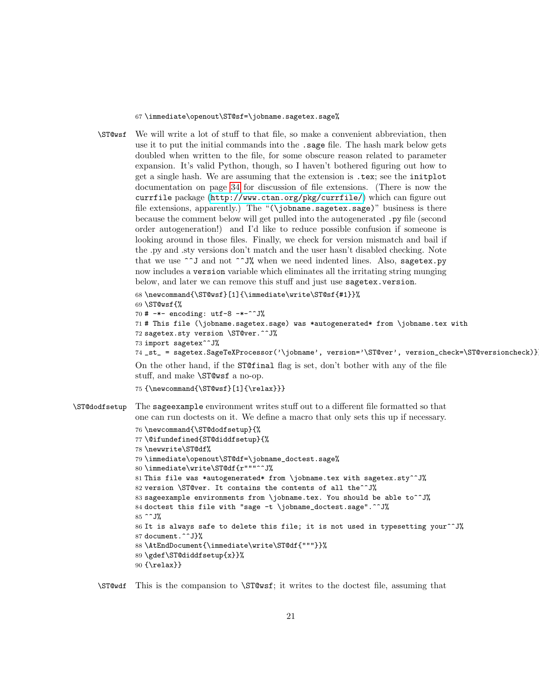67 \immediate\openout\ST@sf=\jobname.sagetex.sage%

\ST@wsf We will write a lot of stuff to that file, so make a convenient abbreviation, then use it to put the initial commands into the .sage file. The hash mark below gets doubled when written to the file, for some obscure reason related to parameter expansion. It's valid Python, though, so I haven't bothered figuring out how to get a single hash. We are assuming that the extension is .tex; see the initplot documentation on page [34](#page-33-0) for discussion of file extensions. (There is now the currfile package (<http://www.ctan.org/pkg/currfile/>) which can figure out file extensions, apparently.) The "(\jobname.sagetex.sage)" business is there because the comment below will get pulled into the autogenerated .py file (second order autogeneration!) and I'd like to reduce possible confusion if someone is looking around in those files. Finally, we check for version mismatch and bail if the .py and .sty versions don't match and the user hasn't disabled checking. Note that we use ^^J and not ^^J% when we need indented lines. Also, sagetex.py now includes a version variable which eliminates all the irritating string munging below, and later we can remove this stuff and just use sagetex.version.

```
68 \newcommand{\ST@wsf}[1]{\immediate\write\ST@sf{#1}}%
69 \ST@wsf{%
70 # -*- encoding: utf-8 -*-^*J%
71 # This file (\jobname.sagetex.sage) was *autogenerated* from \jobname.tex with
72 sagetex.sty version \ST@ver.^^J%
73 import sagetex^^J%
74 _st_ = sagetex.SageTeXProcessor('\jobname', version='\ST@ver', version_check=\ST@versioncheck)}}%
On the other hand, if the ST@final flag is set, don't bother with any of the file
stuff, and make \ST@wsf a no-op.
```

```
75 {\newcommand{\ST@wsf}[1]{\relax}}}
```
\ST@dodfsetup The sageexample environment writes stuff out to a different file formatted so that one can run doctests on it. We define a macro that only sets this up if necessary.

```
76 \newcommand{\ST@dodfsetup}{%
77 \@ifundefined{ST@diddfsetup}{%
78 \newwrite\ST@df%
79 \immediate\openout\ST@df=\jobname_doctest.sage%
80 \immediate\write\ST@df{r"""^^J%
81 This file was *autogenerated* from \jobname.tex with sagetex.sty^^J%
82 version \ST@ver. It contains the contents of all the^^J%
83 sageexample environments from \jobname.tex. You should be able to^^J%
84 doctest this file with "sage -t \jobname_doctest.sage".^^J%
85 ^^J%
86 It is always safe to delete this file; it is not used in typesetting your<sup>^^J%</sup>
87 document.^^J}%
88 \AtEndDocument{\immediate\write\ST@df{"""}}%
89 \gdef\ST@diddfsetup{x}}%
90 {\relax}}
```
\ST@wdf This is the compansion to \ST@wsf; it writes to the doctest file, assuming that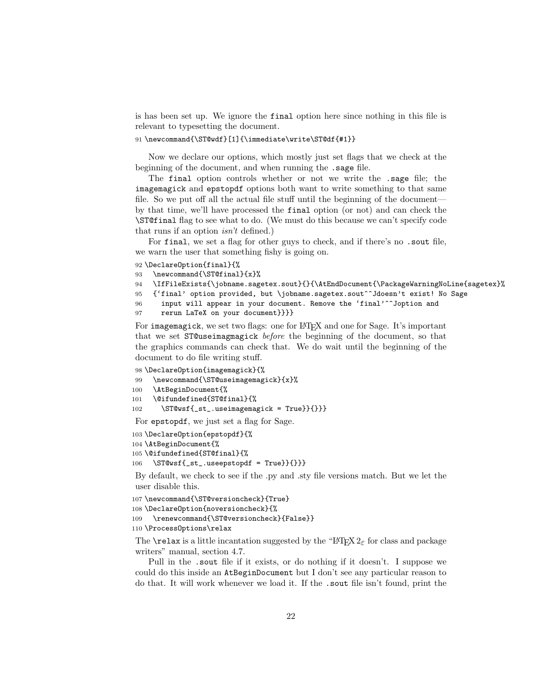is has been set up. We ignore the final option here since nothing in this file is relevant to typesetting the document.

91 \newcommand{\ST@wdf}[1]{\immediate\write\ST@df{#1}}

Now we declare our options, which mostly just set flags that we check at the beginning of the document, and when running the .sage file.

The final option controls whether or not we write the .sage file; the imagemagick and epstopdf options both want to write something to that same file. So we put off all the actual file stuff until the beginning of the document by that time, we'll have processed the final option (or not) and can check the \ST@final flag to see what to do. (We must do this because we can't specify code that runs if an option isn't defined.)

For final, we set a flag for other guys to check, and if there's no .sout file, we warn the user that something fishy is going on.

92 \DeclareOption{final}{%

```
93 \newcommand{\ST@final}{x}%
```

```
94 \IfFileExists{\jobname.sagetex.sout}{}{\AtEndDocument{\PackageWarningNoLine{sagetex}%
```

```
95 {'final' option provided, but \jobname.sagetex.sout^^Jdoesn't exist! No Sage
```

```
96 input will appear in your document. Remove the 'final'^^Joption and
97 rerun LaTeX on your document}}}}
```
For imagemagick, we set two flags: one for LAT<sub>EX</sub> and one for Sage. It's important that we set ST@useimagmagick before the beginning of the document, so that the graphics commands can check that. We do wait until the beginning of the document to do file writing stuff.

 \DeclareOption{imagemagick}{% \newcommand{\ST@useimagemagick}{x}% \AtBeginDocument{% \@ifundefined{ST@final}{% \ST@wsf{\_st\_.useimagemagick = True}}{}}} For epstopdf, we just set a flag for Sage.

```
103 \DeclareOption{epstopdf}{%
```

```
104 \AtBeginDocument{%
105 \@ifundefined{ST@final}{%
```

```
106 \ST@wsf{_st_.useepstopdf = True}}{}}}
```
By default, we check to see if the .py and .sty file versions match. But we let the user disable this.

```
107 \newcommand{\ST@versioncheck}{True}
108 \DeclareOption{noversioncheck}{%
109 \renewcommand{\ST@versioncheck}{False}}
110 \ProcessOptions\relax
```
The **\relax** is a little incantation suggested by the "LATEX  $2\varepsilon$  for class and package writers" manual, section 4.7.

Pull in the .sout file if it exists, or do nothing if it doesn't. I suppose we could do this inside an AtBeginDocument but I don't see any particular reason to do that. It will work whenever we load it. If the .sout file isn't found, print the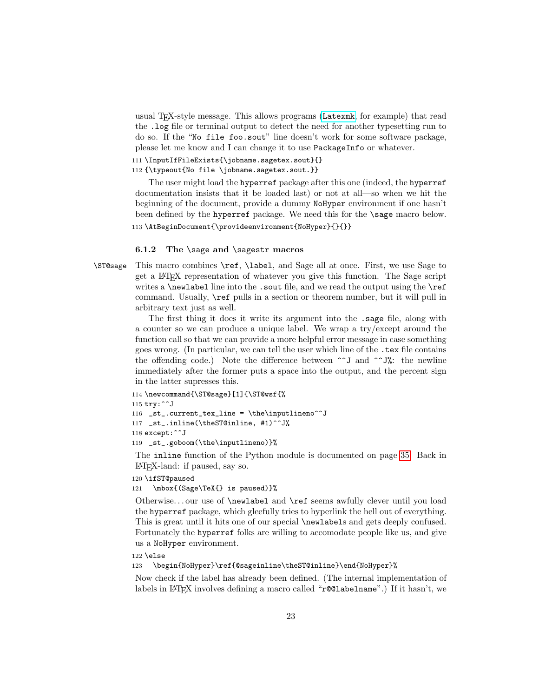usual TEX-style message. This allows programs ([Latexmk](http://www.phys.psu.edu/~collins/software/latexmk-jcc/), for example) that read the .log file or terminal output to detect the need for another typesetting run to do so. If the "No file foo.sout" line doesn't work for some software package, please let me know and I can change it to use PackageInfo or whatever.

```
111 \InputIfFileExists{\jobname.sagetex.sout}{}
112 {\typeout{No file \jobname.sagetex.sout.}}
```
The user might load the hyperref package after this one (indeed, the hyperref documentation insists that it be loaded last) or not at all—so when we hit the beginning of the document, provide a dummy NoHyper environment if one hasn't been defined by the hyperref package. We need this for the \sage macro below.

```
113 \AtBeginDocument{\provideenvironment{NoHyper}{}{}}
```
#### <span id="page-22-0"></span>6.1.2 The \sage and \sagestr macros

\ST@sage This macro combines \ref, \label, and Sage all at once. First, we use Sage to get a LATEX representation of whatever you give this function. The Sage script writes a **\newlabel** line into the .sout file, and we read the output using the **\ref** command. Usually, \ref pulls in a section or theorem number, but it will pull in arbitrary text just as well.

> The first thing it does it write its argument into the .sage file, along with a counter so we can produce a unique label. We wrap a try/except around the function call so that we can provide a more helpful error message in case something goes wrong. (In particular, we can tell the user which line of the .tex file contains the offending code.) Note the difference between  $\sim$  J and  $\sim$ J%: the newline immediately after the former puts a space into the output, and the percent sign in the latter supresses this.

```
114 \newcommand{\ST@sage}[1]{\ST@wsf{%
115 try:^^J
116 _st_.current_tex_line = \the\inputlineno^^J
117 _st_.inline(\theST@inline, #1)^^J%
118 except:^^J
119 _st_.goboom(\the\inputlineno)}%
```
The inline function of the Python module is documented on page [35.](#page-34-0) Back in LATEX-land: if paused, say so.

```
120 \ifST@paused
121 \mbox{(Sage\TeX{} is paused)}%
```
Otherwise. . . our use of \newlabel and \ref seems awfully clever until you load the hyperref package, which gleefully tries to hyperlink the hell out of everything. This is great until it hits one of our special \newlabels and gets deeply confused. Fortunately the hyperref folks are willing to accomodate people like us, and give us a NoHyper environment.

```
122 \else
```
123 \begin{NoHyper}\ref{@sageinline\theST@inline}\end{NoHyper}%

Now check if the label has already been defined. (The internal implementation of labels in L<sup>AT</sup>EX involves defining a macro called "**r@@labelname**".) If it hasn't, we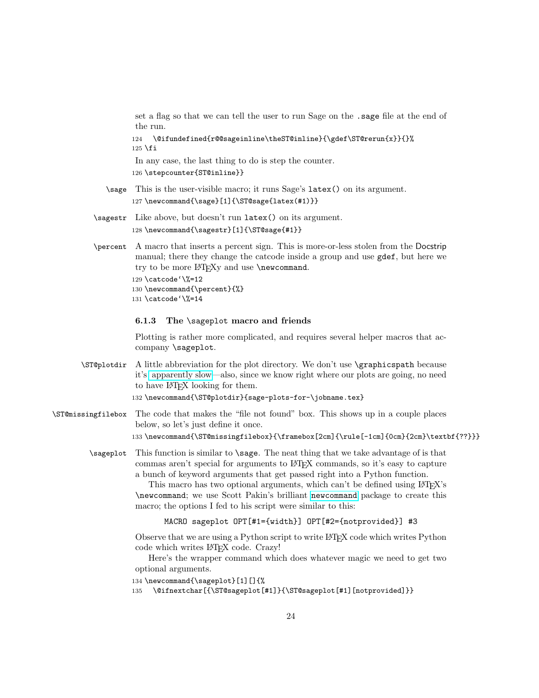set a flag so that we can tell the user to run Sage on the .sage file at the end of the run.

124 \@ifundefined{r@@sageinline\theST@inline}{\gdef\ST@rerun{x}}{}%  $125$  \fi

In any case, the last thing to do is step the counter.

126 \stepcounter{ST@inline}}

- \sage This is the user-visible macro; it runs Sage's latex() on its argument. 127 \newcommand{\sage}[1]{\ST@sage{latex(#1)}}
- \sagestr Like above, but doesn't run latex() on its argument. 128 \newcommand{\sagestr}[1]{\ST@sage{#1}}
- \percent A macro that inserts a percent sign. This is more-or-less stolen from the Docstrip manual; there they change the catcode inside a group and use gdef, but here we try to be more LAT<sub>EXY</sub> and use \newcommand.

129 \catcode'\%=12 130 \newcommand{\percent}{%} 131 \catcode'\%=14

### <span id="page-23-0"></span>6.1.3 The \sageplot macro and friends

Plotting is rather more complicated, and requires several helper macros that accompany \sageplot.

\ST@plotdir A little abbreviation for the plot directory. We don't use \graphicspath because it's [apparently slow—](http://www.tex.ac.uk/cgi-bin/texfaq2html?label=graphicspath)also, since we know right where our plots are going, no need to have LATEX looking for them.

```
132 \newcommand{\ST@plotdir}{sage-plots-for-\jobname.tex}
```
- \ST@missingfilebox The code that makes the "file not found" box. This shows up in a couple places below, so let's just define it once. 133 \newcommand{\ST@missingfilebox}{\framebox[2cm]{\rule[-1cm]{0cm}{2cm}\textbf{??}}}
	- \sageplot This function is similar to \sage. The neat thing that we take advantage of is that commas aren't special for arguments to LATEX commands, so it's easy to capture a bunch of keyword arguments that get passed right into a Python function.

This macro has two optional arguments, which can't be defined using LAT<sub>EX</sub>'s \newcommand; we use Scott Pakin's brilliant [newcommand](http://tug.ctan.org/tex-archive/support/newcommand/) package to create this macro; the options I fed to his script were similar to this:

### MACRO sageplot OPT[#1={width}] OPT[#2={notprovided}] #3

Observe that we are using a Python script to write LATEX code which writes Python code which writes LATEX code. Crazy!

Here's the wrapper command which does whatever magic we need to get two optional arguments.

```
134 \newcommand{\sageplot}[1][]{%
```
135 \@ifnextchar[{\ST@sageplot[#1]}{\ST@sageplot[#1][notprovided]}}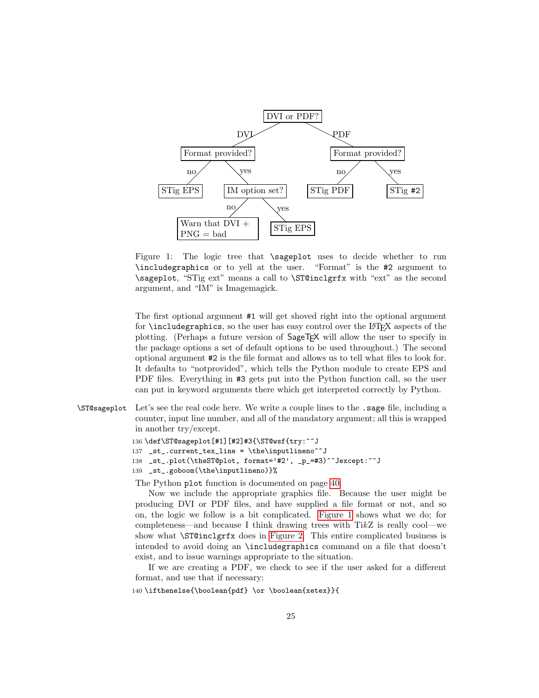

<span id="page-24-0"></span>Figure 1: The logic tree that \sageplot uses to decide whether to run \includegraphics or to yell at the user. "Format" is the #2 argument to \sageplot, "STig ext" means a call to \ST@inclgrfx with "ext" as the second argument, and "IM" is Imagemagick.

The first optional argument #1 will get shoved right into the optional argument for \includegraphics, so the user has easy control over the LATEX aspects of the plotting. (Perhaps a future version of  $\text{SageTrX}$  will allow the user to specify in the package options a set of default options to be used throughout.) The second optional argument #2 is the file format and allows us to tell what files to look for. It defaults to "notprovided", which tells the Python module to create EPS and PDF files. Everything in #3 gets put into the Python function call, so the user can put in keyword arguments there which get interpreted correctly by Python.

\ST@sageplot Let's see the real code here. We write a couple lines to the .sage file, including a counter, input line number, and all of the mandatory argument; all this is wrapped in another try/except.

```
136 \def\ST@sageplot[#1][#2]#3{\ST@wsf{try:^^J
137 _st.current_tex_line = \the\inputlineno^^J
138 _st_.plot(\theST@plot, format='#2', _p_=#3)^^Jexcept:^^J
139 _st_.goboom(\the\inputlineno)}%
```
The Python plot function is documented on page [40.](#page-39-0)

Now we include the appropriate graphics file. Because the user might be producing DVI or PDF files, and have supplied a file format or not, and so on, the logic we follow is a bit complicated. [Figure 1](#page-24-0) shows what we do; for completeness—and because I think drawing trees with  $TikZ$  is really cool—we show what \ST@inclgrfx does in [Figure 2.](#page-26-0) This entire complicated business is intended to avoid doing an \includegraphics command on a file that doesn't exist, and to issue warnings appropriate to the situation.

If we are creating a PDF, we check to see if the user asked for a different format, and use that if necessary:

140 \ifthenelse{\boolean{pdf} \or \boolean{xetex}}{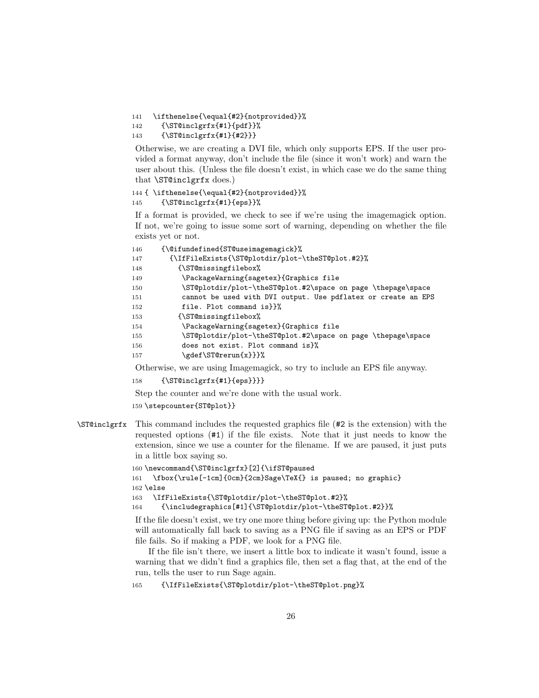```
141 \ifthenelse{\equal{#2}{notprovided}}%
```

```
142 {\ST@inclgrfx{#1}{pdf}}%
```

```
143 {\ST@inclgrfx{#1}{#2}}}
```
Otherwise, we are creating a DVI file, which only supports EPS. If the user provided a format anyway, don't include the file (since it won't work) and warn the user about this. (Unless the file doesn't exist, in which case we do the same thing that \ST@inclgrfx does.)

```
144 { \ifthenelse{\equal{#2}{notprovided}}%
```

```
145 {\ST@inclgrfx{#1}{eps}}%
```
If a format is provided, we check to see if we're using the imagemagick option. If not, we're going to issue some sort of warning, depending on whether the file exists yet or not.

| 146 | {\@ifundefined{ST@useimagemagick}%                            |
|-----|---------------------------------------------------------------|
| 147 | {\IfFileExists{\ST@plotdir/plot-\theST@plot.#2}%              |
| 148 | {\ST@missingfilebox%                                          |
| 149 | \PackageWarning{sagetex}{Graphics file                        |
| 150 | \ST@plotdir/plot-\theST@plot.#2\space on page \thepage\space  |
| 151 | cannot be used with DVI output. Use pdflatex or create an EPS |
| 152 | file. Plot command is ??                                      |
| 153 | {\ST@missingfilebox%                                          |
| 154 | \PackageWarning{sagetex}{Graphics file                        |
| 155 | \ST@plotdir/plot-\theST@plot.#2\space on page \thepage\space  |
| 156 | does not exist. Plot command is}%                             |
| 157 | \gdef\ST@rerun{x}}}%                                          |

Otherwise, we are using Imagemagick, so try to include an EPS file anyway.

```
158 {\ST@inclgrfx{#1}{eps}}}}
```
Step the counter and we're done with the usual work.

159 \stepcounter{ST@plot}}

\ST@inclgrfx This command includes the requested graphics file (#2 is the extension) with the requested options (#1) if the file exists. Note that it just needs to know the extension, since we use a counter for the filename. If we are paused, it just puts in a little box saying so.

```
160 \newcommand{\ST@inclgrfx}[2]{\ifST@paused
```

```
161 \fbox{\rule[-1cm]{0cm}{2cm}Sage\TeX{} is paused; no graphic}
162 \else
163 \IfFileExists{\ST@plotdir/plot-\theST@plot.#2}%
```
164 {\includegraphics[#1]{\ST@plotdir/plot-\theST@plot.#2}}%

If the file doesn't exist, we try one more thing before giving up: the Python module will automatically fall back to saving as a PNG file if saving as an EPS or PDF file fails. So if making a PDF, we look for a PNG file.

If the file isn't there, we insert a little box to indicate it wasn't found, issue a warning that we didn't find a graphics file, then set a flag that, at the end of the run, tells the user to run Sage again.

```
165 {\IfFileExists{\ST@plotdir/plot-\theST@plot.png}%
```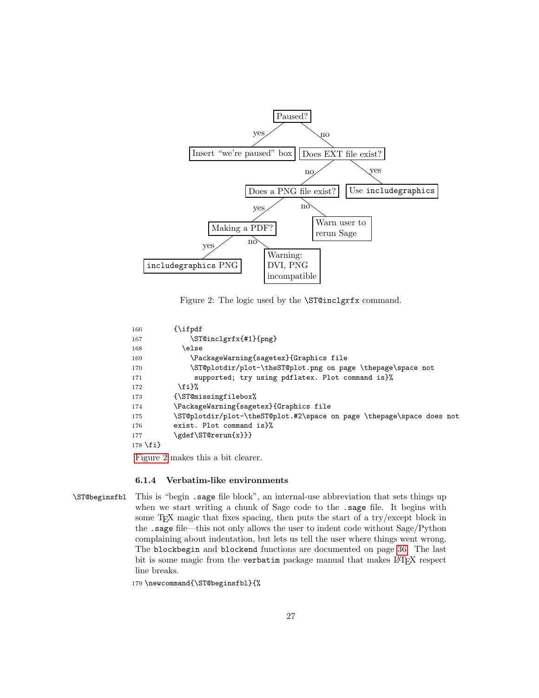

<span id="page-26-0"></span>Figure 2: The logic used by the \ST@inclgrfx command.

```
166 {\ifpdf
167 \ST@inclgrfx{#1}{png}
168 \else
169 \PackageWarning{sagetex}{Graphics file
170 \ST@plotdir/plot-\theST@plot.png on page \thepage\space not
171 supported; try using pdflatex. Plot command is}%
172 \fi}%
173 {\ST@missingfilebox%
174 \PackageWarning{sagetex}{Graphics file
175 \ST@plotdir/plot-\theST@plot.#2\space on page \thepage\space does not
176 exist. Plot command is}%
177 \gdef\ST@rerun{x}}}
178 \fi}
```
[Figure 2](#page-26-0) makes this a bit clearer.

#### <span id="page-26-1"></span>6.1.4 Verbatim-like environments

\ST@beginsfbl This is "begin .sage file block", an internal-use abbreviation that sets things up when we start writing a chunk of Sage code to the .sage file. It begins with some T<sub>E</sub>X magic that fixes spacing, then puts the start of a try/except block in the .sage file—this not only allows the user to indent code without Sage/Python complaining about indentation, but lets us tell the user where things went wrong. The blockbegin and blockend functions are documented on page [36.](#page-35-0) The last bit is some magic from the verbatim package manual that makes LAT<sub>EX</sub> respect line breaks.

179 \newcommand{\ST@beginsfbl}{%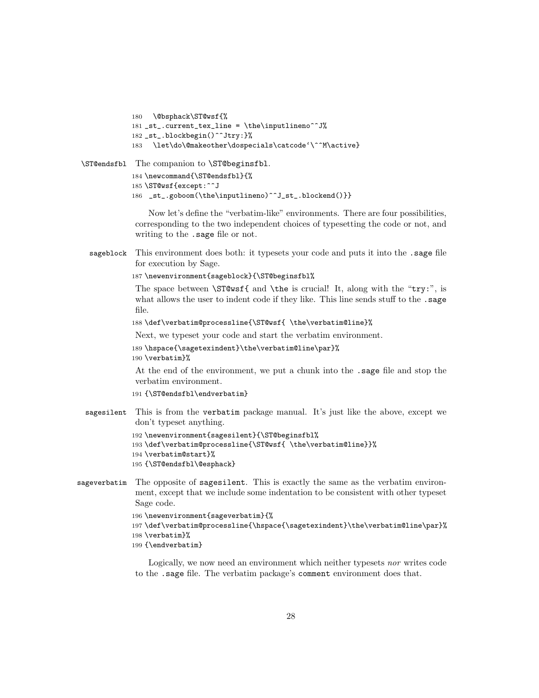```
180 \@bsphack\ST@wsf{%
181 _st_.current_tex_line = \the\inputlineno^^J%
182 _st_.blockbegin()^^Jtry:}%
183 \let\do\@makeother\dospecials\catcode'\^^M\active}
```
\ST@endsfbl The companion to \ST@beginsfbl.

```
184 \newcommand{\ST@endsfbl}{%
185 \ST@wsf{except:^^J
186 _st_.goboom(\the\inputlineno)^^J_st_.blockend()}}
```
Now let's define the "verbatim-like" environments. There are four possibilities, corresponding to the two independent choices of typesetting the code or not, and writing to the .sage file or not.

sageblock This environment does both: it typesets your code and puts it into the .sage file for execution by Sage.

```
187 \newenvironment{sageblock}{\ST@beginsfbl%
```
The space between  $\S$ T@wsf{ and \the is crucial! It, along with the "try:", is what allows the user to indent code if they like. This line sends stuff to the .sage file.

```
188 \def\verbatim@processline{\ST@wsf{ \the\verbatim@line}%
```
Next, we typeset your code and start the verbatim environment.

- 189 \hspace{\sagetexindent}\the\verbatim@line\par}%
- 190 \verbatim}%

At the end of the environment, we put a chunk into the .sage file and stop the verbatim environment.

```
191 {\ST@endsfbl\endverbatim}
```
sagesilent This is from the verbatim package manual. It's just like the above, except we don't typeset anything.

```
192 \newenvironment{sagesilent}{\ST@beginsfbl%
193 \def\verbatim@processline{\ST@wsf{ \the\verbatim@line}}%
194 \verbatim@start}%
195 {\ST@endsfbl\@esphack}
```
sageverbatim The opposite of sagesilent. This is exactly the same as the verbatim environment, except that we include some indentation to be consistent with other typeset Sage code.

```
196 \newenvironment{sageverbatim}{%
197 \def\verbatim@processline{\hspace{\sagetexindent}\the\verbatim@line\par}%
198 \verbatim}%
199 {\endverbatim}
```
Logically, we now need an environment which neither typesets nor writes code to the .sage file. The verbatim package's comment environment does that.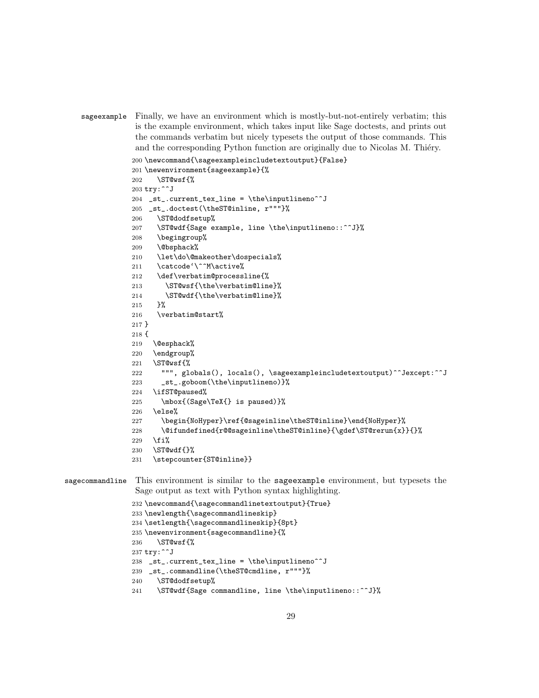```
sageexample Finally, we have an environment which is mostly-but-not-entirely verbatim; this
             is the example environment, which takes input like Sage doctests, and prints out
             the commands verbatim but nicely typesets the output of those commands. This
             and the corresponding Python function are originally due to Nicolas M. Thiéry.
```

```
200 \newcommand{\sageexampleincludetextoutput}{False}
201 \newenvironment{sageexample}{%
202 \ST@wsf{%
203 try:^^J
204 _st_.current_tex_line = \the\inputlineno^^J
205 _st_.doctest(\theST@inline, r"""}%
206 \ST@dodfsetup%
207 \ST@wdf{Sage example, line \the\inputlineno::^^J}%
208 \begingroup%
209 \@bsphack%
210 \let\do\@makeother\dospecials%
211 \catcode'\^^M\active%
212 \def\verbatim@processline{%
213 \ST@wsf{\the\verbatim@line}%
214 \ST@wdf{\the\verbatim@line}%
215 }%
216 \verbatim@start%
217 }
218 {
219 \@esphack%
220 \endgroup%
221 \ST@wsf{%
222 """, globals(), locals(), \sageexampleincludetextoutput)^^Jexcept:^^J
223 _st_.goboom(\the\inputlineno)}%
224 \ifST@paused%
225 \mbox{(Sage\TeX{} is paused)}%
226 \else%
227 \begin{NoHyper}\ref{@sageinline\theST@inline}\end{NoHyper}%
228 \@ifundefined{r@@sageinline\theST@inline}{\gdef\ST@rerun{x}}{}%
229 \fi%
230 \ST@wdf{}%
231 \stepcounter{ST@inline}}
```
sagecommandline This environment is similar to the sageexample environment, but typesets the Sage output as text with Python syntax highlighting.

```
232 \newcommand{\sagecommandlinetextoutput}{True}
233 \newlength{\sagecommandlineskip}
234 \setlength{\sagecommandlineskip}{8pt}
235 \newenvironment{sagecommandline}{%
236 \ST@wsf{%
237 try:^^J
238 _st.current_tex_line = \the\inputlineno^^J
239 _st_.commandline(\theST@cmdline, r"""}%
240 \ST@dodfsetup%
241 \ST@wdf{Sage commandline, line \the\inputlineno::^^J}%
```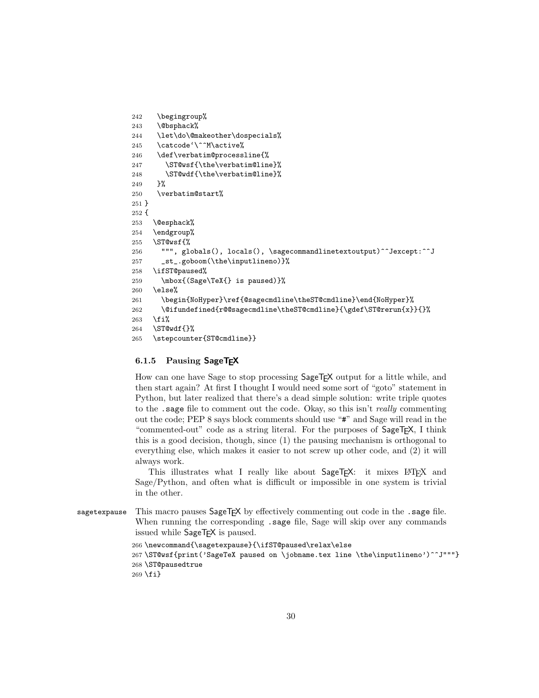```
242 \begingroup%
243 \@bsphack%
244 \let\do\@makeother\dospecials%
245 \catcode'\^^M\active%
246 \def\verbatim@processline{%
247 \ST@wsf{\the\verbatim@line}%
248 \ST@wdf{\the\verbatim@line}%
249 }%
250 \verbatim@start%
251 }
252 {
253 \@esphack%
254 \endgroup%
255 \ST@wsf{%
256 """, globals(), locals(), \sagecommandlinetextoutput)^^Jexcept:^^J
257 _st_.goboom(\the\inputlineno)}%
258 \ifST@paused%
259 \mbox{(Sage\TeX{} is paused)}%
260 \else%
261 \begin{NoHyper}\ref{@sagecmdline\theST@cmdline}\end{NoHyper}%
262 \@ifundefined{r@@sagecmdline\theST@cmdline}{\gdef\ST@rerun{x}}{}%
263 \{f_i\}264 \ST@wdf{}%
265 \stepcounter{ST@cmdline}}
```
### 6.1.5 Pausing SageT<sub>F</sub>X

How can one have Sage to stop processing SageTEX output for a little while, and then start again? At first I thought I would need some sort of "goto" statement in Python, but later realized that there's a dead simple solution: write triple quotes to the sage file to comment out the code. Okay, so this isn't *really* commenting out the code; PEP 8 says block comments should use "#" and Sage will read in the "commented-out" code as a string literal. For the purposes of SageTEX, I think this is a good decision, though, since (1) the pausing mechanism is orthogonal to everything else, which makes it easier to not screw up other code, and (2) it will always work.

This illustrates what I really like about SageTEX: it mixes LATEX and Sage/Python, and often what is difficult or impossible in one system is trivial in the other.

sagetexpause This macro pauses  $SageTrX$  by effectively commenting out code in the .sage file. When running the corresponding .sage file, Sage will skip over any commands issued while SageT<sub>F</sub>X is paused.

```
266 \newcommand{\sagetexpause}{\ifST@paused\relax\else
267 \ST@wsf{print('SageTeX paused on \jobname.tex line \the\inputlineno')^^J"""}
268 \ST@pausedtrue
269 \fi}
```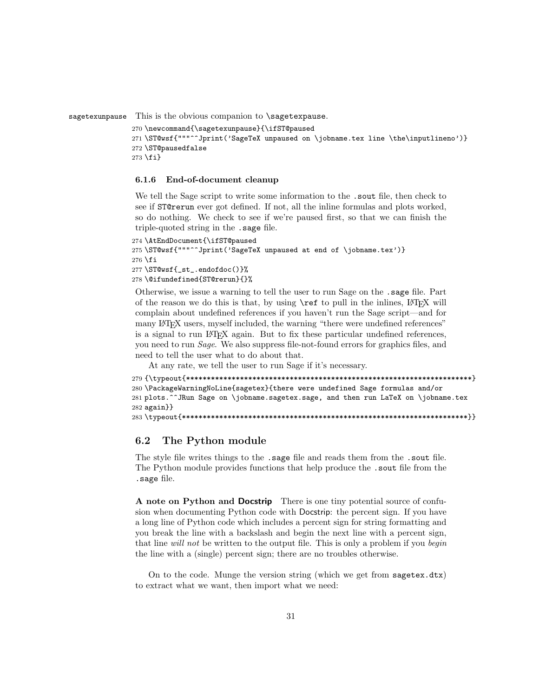sagetexunpause This is the obvious companion to **\sagetexpause**.

```
270 \newcommand{\sagetexunpause}{\ifST@paused
271 \ST@wsf{"""^^Jprint('SageTeX unpaused on \jobname.tex line \the\inputlineno')}
272 \ST@pausedfalse
273 \fi}
```
### 6.1.6 End-of-document cleanup

We tell the Sage script to write some information to the . sout file, then check to see if ST@rerun ever got defined. If not, all the inline formulas and plots worked, so do nothing. We check to see if we're paused first, so that we can finish the triple-quoted string in the .sage file.

```
274 \AtEndDocument{\ifST@paused
275 \ST@wsf{"""^^Jprint('SageTeX unpaused at end of \jobname.tex')}
276 \fi
277 \ST@wsf{_st_.endofdoc()}%
278 \@ifundefined{ST@rerun}{}%
```
Otherwise, we issue a warning to tell the user to run Sage on the .sage file. Part of the reason we do this is that, by using  $\text{ref}$  to pull in the inlines, LATEX will complain about undefined references if you haven't run the Sage script—and for many LATEX users, myself included, the warning "there were undefined references" is a signal to run LATEX again. But to fix these particular undefined references, you need to run Sage. We also suppress file-not-found errors for graphics files, and need to tell the user what to do about that.

At any rate, we tell the user to run Sage if it's necessary.

```
279 {\typeout{*********************************************************************}
280 \PackageWarningNoLine{sagetex}{there were undefined Sage formulas and/or
281 plots.^^JRun Sage on \jobname.sagetex.sage, and then run LaTeX on \jobname.tex
282 again}}
283 \typeout{*********************************************************************}}
```
### 6.2 The Python module

The style file writes things to the .sage file and reads them from the .sout file. The Python module provides functions that help produce the .sout file from the .sage file.

A note on Python and Docstrip There is one tiny potential source of confusion when documenting Python code with Docstrip: the percent sign. If you have a long line of Python code which includes a percent sign for string formatting and you break the line with a backslash and begin the next line with a percent sign, that line will not be written to the output file. This is only a problem if you begin the line with a (single) percent sign; there are no troubles otherwise.

On to the code. Munge the version string (which we get from sagetex.dtx) to extract what we want, then import what we need: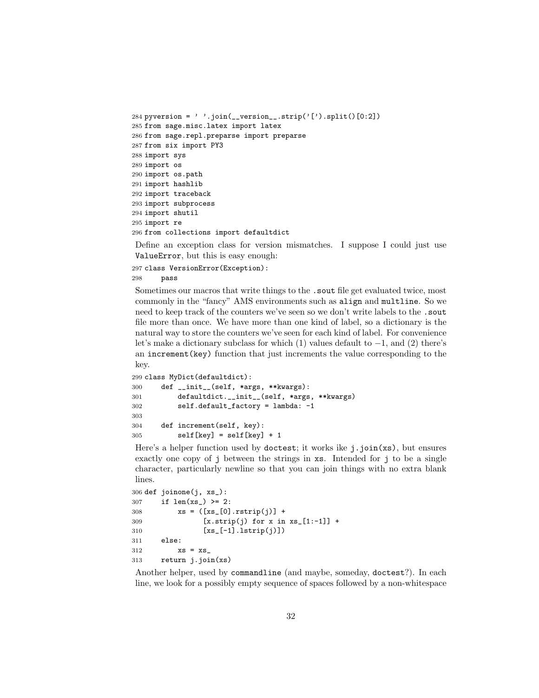```
284 pyversion = ' '.join(__version__.strip('[').split()[0:2])
285 from sage.misc.latex import latex
286 from sage.repl.preparse import preparse
287 from six import PY3
288 import sys
289 import os
290 import os.path
291 import hashlib
292 import traceback
293 import subprocess
294 import shutil
295 import re
296 from collections import defaultdict
```
Define an exception class for version mismatches. I suppose I could just use ValueError, but this is easy enough:

```
297 class VersionError(Exception):
298 pass
```
key.

Sometimes our macros that write things to the .sout file get evaluated twice, most commonly in the "fancy" AMS environments such as align and multline. So we need to keep track of the counters we've seen so we don't write labels to the .sout file more than once. We have more than one kind of label, so a dictionary is the natural way to store the counters we've seen for each kind of label. For convenience let's make a dictionary subclass for which (1) values default to −1, and (2) there's an increment(key) function that just increments the value corresponding to the

```
299 class MyDict(defaultdict):
300 def __init__(self, *args, **kwargs):
301 defaultdict.__init__(self, *args, **kwargs)
302 self.default_factory = lambda: -1
303
304 def increment(self, key):
305 self[key] = self[key] + 1
```
Here's a helper function used by doctest; it works ike j.join(xs), but ensures exactly one copy of j between the strings in xs. Intended for j to be a single character, particularly newline so that you can join things with no extra blank lines.

```
306 def joinone(j, xs_):
307 if len(xs_>) >= 2:
308 \quad xS = (\lceil xS_{-}[0] \cdot rstrip(j)] +309 [x.strip(j) for x in xs.[1:-1]] +
310 [xs_[-1].lstrip(j)])
311 else:
312 xs = xs313 return j.join(xs)
```
Another helper, used by commandline (and maybe, someday, doctest?). In each line, we look for a possibly empty sequence of spaces followed by a non-whitespace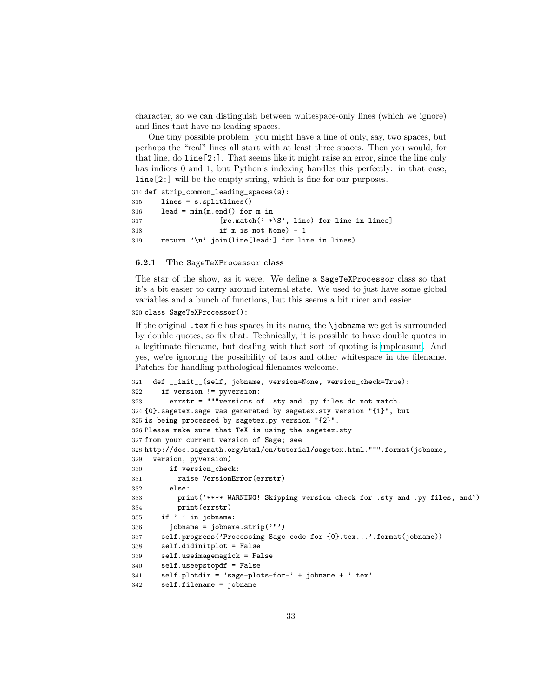character, so we can distinguish between whitespace-only lines (which we ignore) and lines that have no leading spaces.

One tiny possible problem: you might have a line of only, say, two spaces, but perhaps the "real" lines all start with at least three spaces. Then you would, for that line, do line[2:]. That seems like it might raise an error, since the line only has indices 0 and 1, but Python's indexing handles this perfectly: in that case, line[2:] will be the empty string, which is fine for our purposes.

```
314 def strip_common_leading_spaces(s):
315 lines = s.splitlines()
316 lead = min(m.end() for m in
317 [re.match(' *\S', line) for line in lines]
318 if m is not None) - 1
319 return '\n'.join(line[lead:] for line in lines)
```
#### 6.2.1 The SageTeXProcessor class

The star of the show, as it were. We define a SageTeXProcessor class so that it's a bit easier to carry around internal state. We used to just have some global variables and a bunch of functions, but this seems a bit nicer and easier.

#### 320 class SageTeXProcessor():

If the original .tex file has spaces in its name, the \jobname we get is surrounded by double quotes, so fix that. Technically, it is possible to have double quotes in a legitimate filename, but dealing with that sort of quoting is [unpleasant.](http://tug.org/pipermail/xetex/2006-August/004712.html) And yes, we're ignoring the possibility of tabs and other whitespace in the filename. Patches for handling pathological filenames welcome.

```
321 def __init__(self, jobname, version=None, version_check=True):
322 if version != pyversion:
323 errstr = """versions of .sty and .py files do not match.
324 {0}.sagetex.sage was generated by sagetex.sty version "{1}", but
325 is being processed by sagetex.py version "{2}".
326 Please make sure that TeX is using the sagetex.sty
327 from your current version of Sage; see
328 http://doc.sagemath.org/html/en/tutorial/sagetex.html.""".format(jobname,
329 version, pyversion)
330 if version_check:
331 raise VersionError(errstr)
332 else:
333 print('**** WARNING! Skipping version check for .sty and .py files, and')
334 print(errstr)
335 if ' ' in jobname:
336 jobname = jobname.strip('")337 self.progress('Processing Sage code for {0}.tex...'.format(jobname))
338 self.didinitplot = False
339 self.useimagemagick = False
340 self.useepstopdf = False
341 self.plotdir = 'sage-plots-for-' + jobname + '.tex'
342 self.filename = jobname
```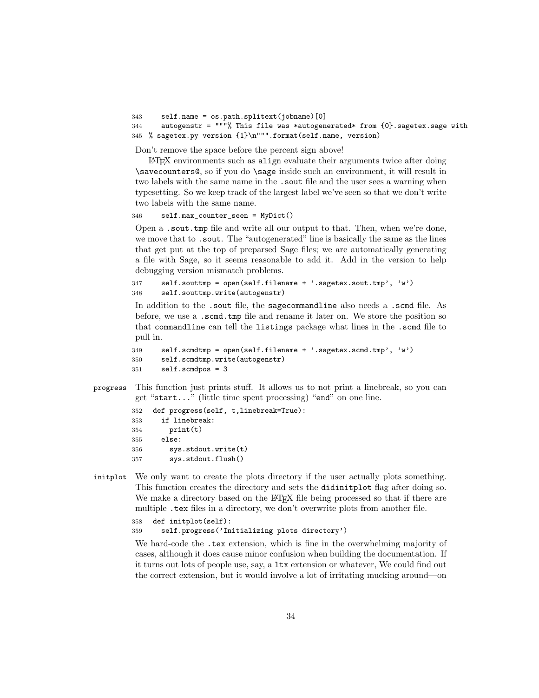```
343 self.name = os.path.splitext(jobname)[0]
```

```
344 autogenstr = """% This file was *autogenerated* from {0}.sagetex.sage with
345 % sagetex.py version {1}\n""".format(self.name, version)
```
Don't remove the space before the percent sign above!

LATEX environments such as align evaluate their arguments twice after doing \savecounters@, so if you do \sage inside such an environment, it will result in two labels with the same name in the .sout file and the user sees a warning when typesetting. So we keep track of the largest label we've seen so that we don't write two labels with the same name.

346 self.max\_counter\_seen = MyDict()

Open a .sout.tmp file and write all our output to that. Then, when we're done, we move that to .sout. The "autogenerated" line is basically the same as the lines that get put at the top of preparsed Sage files; we are automatically generating a file with Sage, so it seems reasonable to add it. Add in the version to help debugging version mismatch problems.

```
347 self.souttmp = open(self.filename + '.sagetex.sout.tmp', 'w')
348 self.souttmp.write(autogenstr)
```
In addition to the .sout file, the sagecommandline also needs a .scmd file. As before, we use a .scmd.tmp file and rename it later on. We store the position so that commandline can tell the listings package what lines in the .scmd file to pull in.

```
349 self.scmdtmp = open(self.filename + '.sagetex.scmd.tmp', 'w')
350 self.scmdtmp.write(autogenstr)
351 self.scmdpos = 3
```
progress This function just prints stuff. It allows us to not print a linebreak, so you can get "start..." (little time spent processing) "end" on one line.

```
352 def progress(self, t,linebreak=True):
353 if linebreak:
354 print(t)
355 else:
356 sys.stdout.write(t)
357 sys.stdout.flush()
```
<span id="page-33-0"></span>initplot We only want to create the plots directory if the user actually plots something. This function creates the directory and sets the didinitplot flag after doing so. We make a directory based on the LAT<sub>EX</sub> file being processed so that if there are multiple .tex files in a directory, we don't overwrite plots from another file.

```
358 def initplot(self):
359 self.progress('Initializing plots directory')
```
We hard-code the .tex extension, which is fine in the overwhelming majority of cases, although it does cause minor confusion when building the documentation. If it turns out lots of people use, say, a ltx extension or whatever, We could find out the correct extension, but it would involve a lot of irritating mucking around—on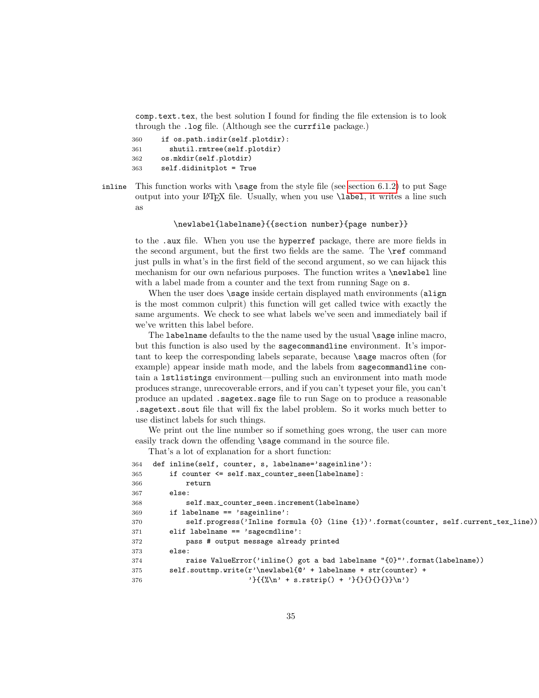comp.text.tex, the best solution I found for finding the file extension is to look through the .log file. (Although see the currfile package.)

```
360 if os.path.isdir(self.plotdir):
361 shutil.rmtree(self.plotdir)
362 os.mkdir(self.plotdir)
363 self.didinitplot = True
```
<span id="page-34-0"></span>inline This function works with  $\simeq$  from the style file (see [section 6.1.2\)](#page-22-0) to put Sage output into your LATEX file. Usually, when you use \label, it writes a line such as

### \newlabel{labelname}{{section number}{page number}}

to the .aux file. When you use the hyperref package, there are more fields in the second argument, but the first two fields are the same. The \ref command just pulls in what's in the first field of the second argument, so we can hijack this mechanism for our own nefarious purposes. The function writes a \newlabel line with a label made from a counter and the text from running Sage on  $s$ .

When the user does **\sage** inside certain displayed math environments (align is the most common culprit) this function will get called twice with exactly the same arguments. We check to see what labels we've seen and immediately bail if we've written this label before.

The labelname defaults to the the name used by the usual \sage inline macro, but this function is also used by the sagecommandline environment. It's important to keep the corresponding labels separate, because \sage macros often (for example) appear inside math mode, and the labels from sagecommandline contain a lstlistings environment—pulling such an environment into math mode produces strange, unrecoverable errors, and if you can't typeset your file, you can't produce an updated .sagetex.sage file to run Sage on to produce a reasonable .sagetext.sout file that will fix the label problem. So it works much better to use distinct labels for such things.

We print out the line number so if something goes wrong, the user can more easily track down the offending **\sage** command in the source file.

That's a lot of explanation for a short function:

```
364 def inline(self, counter, s, labelname='sageinline'):
365 if counter <= self.max_counter_seen[labelname]:
366 return
367 else:
368 self.max_counter_seen.increment(labelname)
369 if labelname == 'sageinline':
370 self.progress('Inline formula {0} (line {1})'.format(counter, self.current_tex_line))
371 elif labelname == 'sagecmdline':
372 pass # output message already printed
373 else:
374 raise ValueError('inline() got a bad labelname "{0}"'.format(labelname))
375 self.souttmp.write(r'\newlabel{@' + labelname + str(counter) +
376 {}^{\{{}^{\prime}\}{}_{\{{}\cdot}\n} \cdot s.rstrip() + {}^{\{{}^{\prime}\}{}_{\{}\}\n} \cdot)
```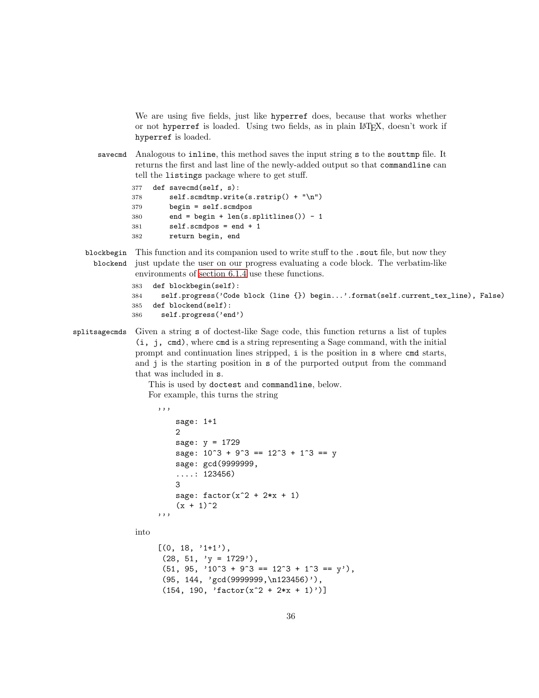We are using five fields, just like hyperref does, because that works whether or not hyperref is loaded. Using two fields, as in plain LATEX, doesn't work if hyperref is loaded.

savecmd Analogous to inline, this method saves the input string s to the souttmp file. It returns the first and last line of the newly-added output so that commandline can tell the listings package where to get stuff.

```
377 def savecmd(self, s):
378 self.scmdtmp.write(s.rstrip() + "\n")
379 begin = self.scmdpos
380 end = begin + len(s.splitlines()) - 1
381 self.scmdpos = end + 1
382 return begin, end
```
blockbegin This function and its companion used to write stuff to the .sout file, but now they blockend just update the user on our progress evaluating a code block. The verbatim-like environments of [section 6.1.4](#page-26-1) use these functions.

```
383 def blockbegin(self):
384 self.progress('Code block (line {}) begin...'.format(self.current_tex_line), False)
385 def blockend(self):
386 self.progress('end')
```

```
splitsagecmds Given a string s of doctest-like Sage code, this function returns a list of tuples
                (i, j, cmd), where cmd is a string representing a Sage command, with the initial
               prompt and continuation lines stripped, i is the position in s where cmd starts,
               and j is the starting position in s of the purported output from the command
               that was included in s.
```
This is used by doctest and commandline, below. For example, this turns the string

```
'''
   sage: 1+1
   2
   sage: y = 1729
   sage: 10^3 + 9^3 = 12^3 + 1^3 = ysage: gcd(9999999,
    ....: 123456)
   3
   sage: factor(x^2 + 2*x + 1)(x + 1)^2'''
```
into

```
[(0, 18, '1+1'),(28, 51, 'y = 1729),
(51, 95, '10^3 + 9^3 = 12^3 + 1^3 = y'),
(95, 144, 'gcd(9999999,\n123456)'),
(154, 190, 'factor(x^2 + 2*x + 1)')
```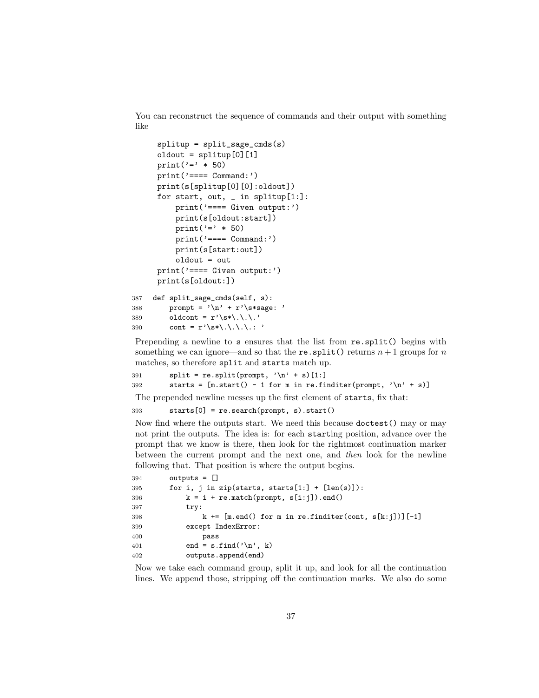You can reconstruct the sequence of commands and their output with something like

```
splitup = split_sage_cmds(s)
     oldout = splitup[0][1]
     print('=" * 50)
     print('==== Command:')
     print(s[splitup[0][0]:oldout])
     for start, out, \_ in splitup[1:]:
         print('==== Given output:')
         print(s[oldout:start])
         print('=" * 50)
         print('==== Command:')
         print(s[start:out])
         oldout = out
     print('==== Given output:')
     print(s[oldout:])
387 def split_sage_cmds(self, s):
```

```
388 prompt = \ln' + r'\s*sage: '
389 oldcont = r'\s\ast\ldots'390 cont = r' \succeq \cdot \ldots '
```
Prepending a newline to s ensures that the list from  $re.split()$  begins with something we can ignore—and so that the re. split() returns  $n+1$  groups for n matches, so therefore split and starts match up.

```
391 split = re.split(prompt, '\n' + s)[1:]
392 starts = [m.start() - 1 for m in re.finditer(prompt, 'n' + s)]
```
The prepended newline messes up the first element of starts, fix that:

393 starts[0] = re.search(prompt, s).start()

Now find where the outputs start. We need this because doctest() may or may not print the outputs. The idea is: for each starting position, advance over the prompt that we know is there, then look for the rightmost continuation marker between the current prompt and the next one, and then look for the newline following that. That position is where the output begins.

```
394 outputs = []
395 for i, j in zip(starts, starts[1:] + [len(s)]):
396 k = i + re.match(prompt, s[i:j]).end()
397 try:
398 k \leftarrow [m.end() for m in re.finditer(cont, s[k:j])][-1]
399 except IndexError:
400 pass
401 end = s.find('\n\ranglen', k)
402 outputs.append(end)
```
Now we take each command group, split it up, and look for all the continuation lines. We append those, stripping off the continuation marks. We also do some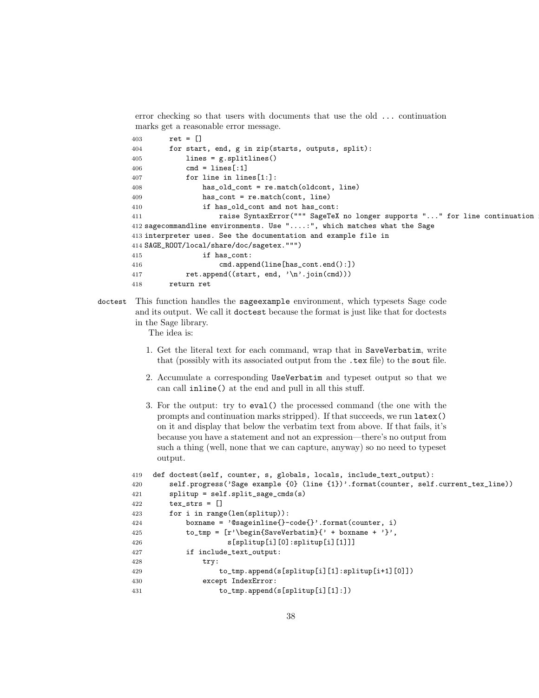error checking so that users with documents that use the old ... continuation marks get a reasonable error message.

```
403 ret = []
404 for start, end, g in zip(starts, outputs, split):
405 lines = g.splitlines()
406 cmd = lines [:1]
407 for line in lines[1:]:
408 has_old_cont = re.match(oldcont, line)
409 has_cont = re.match(cont, line)
410 if has_old_cont and not has_cont:
411 raise SyntaxError(""" SageTeX no longer supports "..." for line continuation
412 sagecommandline environments. Use "....:", which matches what the Sage
413 interpreter uses. See the documentation and example file in
414 SAGE_ROOT/local/share/doc/sagetex.""")
415 if has_cont:
416 cmd.append(line[has_cont.end():])
417 ret.append((start, end, '\n'.join(cmd)))
418 return ret
```
doctest This function handles the sageexample environment, which typesets Sage code and its output. We call it doctest because the format is just like that for doctests in the Sage library.

The idea is:

- 1. Get the literal text for each command, wrap that in SaveVerbatim, write that (possibly with its associated output from the .tex file) to the sout file.
- 2. Accumulate a corresponding UseVerbatim and typeset output so that we can call inline() at the end and pull in all this stuff.
- 3. For the output: try to eval() the processed command (the one with the prompts and continuation marks stripped). If that succeeds, we run latex() on it and display that below the verbatim text from above. If that fails, it's because you have a statement and not an expression—there's no output from such a thing (well, none that we can capture, anyway) so no need to typeset output.

```
419 def doctest(self, counter, s, globals, locals, include_text_output):
420 self.progress('Sage example {0} (line {1})'.format(counter, self.current_tex_line))
421 splitup = self.split_sage_cmds(s)
422 tex_strs = []
423 for i in range(len(splitup)):
424 boxname = '@sageinline{}-code{}'.format(counter, i)
425 to_tmp = [r' \begin{bmatrix} SaveVerbating {'} + boxname + '}', \end{bmatrix}426 s[splitup[i][0]:splitup[i][1]]]
427 if include_text_output:
428 try:
429 to_tmp.append(s[splitup[i][1]:splitup[i+1][0]])
430 except IndexError:
431 to_tmp.append(s[splitup[i][1]:])
```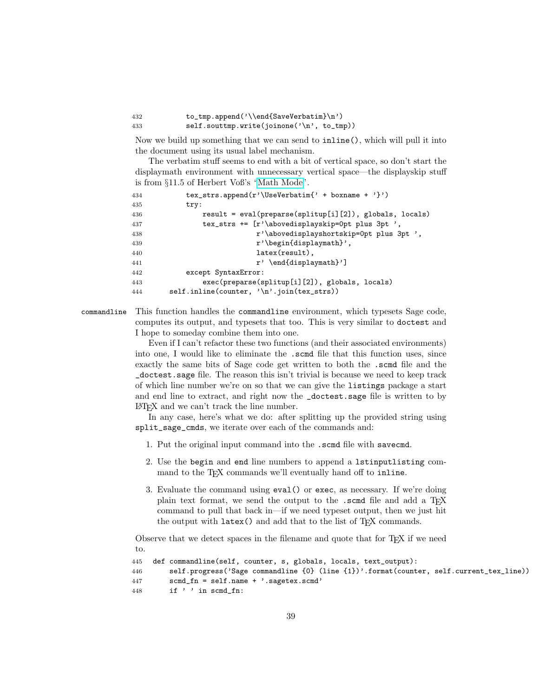432 to\_tmp.append('\\end{SaveVerbatim}\n') 433 self.souttmp.write(joinone('\n', to\_tmp))

Now we build up something that we can send to inline(), which will pull it into the document using its usual label mechanism.

The verbatim stuff seems to end with a bit of vertical space, so don't start the displaymath environment with unnecessary vertical space—the displayskip stuff is from §11.5 of Herbert Voß's ["Math Mode"](http://www.ctan.org/tex-archive/info/math/voss/mathmode/).

| 434 | tex_strs.append(r'\UseVerbatim{' + boxname + '}')          |
|-----|------------------------------------------------------------|
| 435 | try:                                                       |
| 436 | $result = eval(preparse(splitude[i][2]), globals, locals)$ |
| 437 | tex_strs += $[r'\abovedisplayskip=0pt plus 3pt ',$         |
| 438 | r'\abovedisplayshortskip=0pt plus 3pt ',                   |
| 439 | $r'$ \begin{displaymath}',                                 |
| 440 | $later(result)$ ,                                          |
| 441 | $r' \end{display$                                          |
| 442 | except SyntaxError:                                        |
| 443 | exec(preparse(splitup[i][2]), globals, locals)             |
| 444 | $self.inline(counter, '\\n'.join(text_strs))$              |

commandline This function handles the commandline environment, which typesets Sage code, computes its output, and typesets that too. This is very similar to doctest and I hope to someday combine them into one.

> Even if I can't refactor these two functions (and their associated environments) into one, I would like to eliminate the .scmd file that this function uses, since exactly the same bits of Sage code get written to both the .scmd file and the \_doctest.sage file. The reason this isn't trivial is because we need to keep track of which line number we're on so that we can give the listings package a start and end line to extract, and right now the \_doctest.sage file is written to by LATEX and we can't track the line number.

> In any case, here's what we do: after splitting up the provided string using split\_sage\_cmds, we iterate over each of the commands and:

- 1. Put the original input command into the .scmd file with savecmd.
- 2. Use the begin and end line numbers to append a lstinputlisting command to the T<sub>E</sub>X commands we'll eventually hand off to inline.
- 3. Evaluate the command using eval() or exec, as necessary. If we're doing plain text format, we send the output to the .scmd file and add a T<sub>E</sub>X command to pull that back in—if we need typeset output, then we just hit the output with latex() and add that to the list of T<sub>E</sub>X commands.

Observe that we detect spaces in the filename and quote that for TEX if we need to.

```
445 def commandline(self, counter, s, globals, locals, text_output):
446 self.progress('Sage commandline {0} (line {1})'.format(counter, self.current_tex_line))
447 scmd_fn = self.name + '.sagetex.scmd'
448 if ' ' in scmd_fn:
```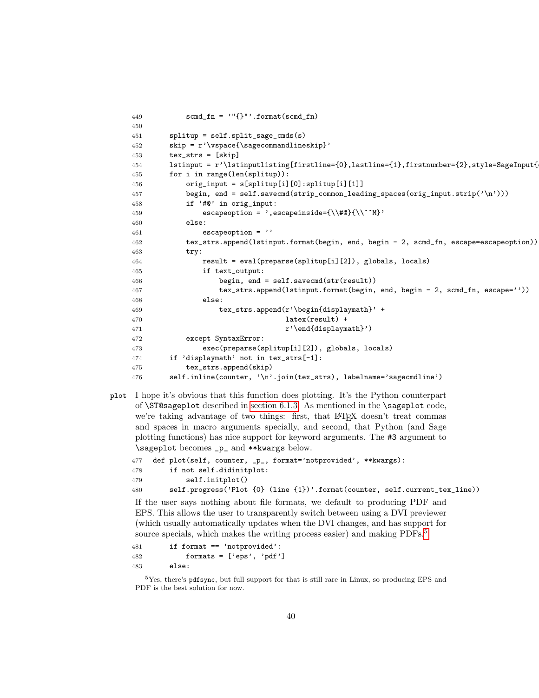```
449 \text{scmd\_fn} = '"\{\}'''.format(\text{scmd\_fn})450
451 splitup = self.split_sage_cmds(s)
452 skip = r' \vspace \text{page[} \space \text{page[} \space \text{page[} \space \text{page[} \space \text{page[} \space \text{page[} \space \text{page[} \space \text{page[} \space \text{page[} \space \text{page[} \space \text{page[} \space \text{page[} \space \text{page[} \space \text{page[} \space \text{page[} \space \text{page[} \space \text{page[} \space \text{page[} \space \text{page[} \space \text{page[} \space \text{page[} \space \text{page[} \space \text{page[}453 tex_strs = [skip]
154 lstinput = r'\lstinputlisting[firstline={0},lastline={1},firstnumber={2},style=SageInput{
455 for i in range(len(splitup)):
456 orig_input = s[splitup[i][0]:splitup[i][1]]
457 begin, end = self.savecmd(strip_common_leading_spaces(orig_input.strip('\n')))
458 if '#@' in orig_input:
459 escapeoption = ', escapeinside={\\#@}{\\^^M}'
460 else:
461 escapeoption = ''
462 tex_strs.append(lstinput.format(begin, end, begin - 2, scmd_fn, escape=escapeoption))
463 try:
464 result = eval(preparse(splitup[i][2]), globals, locals)
465 if text_output:
466 begin, end = self.savecmd(str(result))
467 tex_strs.append(lstinput.format(begin, end, begin - 2, scmd_fn, escape=''))
468 else:
469 tex_strs.append(r'\begin{displaymath}' +
470 latex(result) +
471 \mathbf{r'}\end{displaystyle}<sup>471</sup>
472 except SyntaxError:
473 exec(preparse(splitup[i][2]), globals, locals)
474 if 'displaymath' not in tex_strs[-1]:
475 tex_strs.append(skip)
476 self.inline(counter, '\n'.join(tex_strs), labelname='sagecmdline')
```
<span id="page-39-0"></span>plot I hope it's obvious that this function does plotting. It's the Python counterpart of \ST@sageplot described in [section 6.1.3.](#page-23-0) As mentioned in the \sageplot code, we're taking advantage of two things: first, that LATEX doesn't treat commas and spaces in macro arguments specially, and second, that Python (and Sage plotting functions) has nice support for keyword arguments. The #3 argument to \sageplot becomes \_p\_ and \*\*kwargs below.

```
477 def plot(self, counter, _p_, format='notprovided', **kwargs):
478 if not self.didinitplot:
479 self.initplot()
480 self.progress('Plot {0} (line {1})'.format(counter, self.current_tex_line))
```
If the user says nothing about file formats, we default to producing PDF and EPS. This allows the user to transparently switch between using a DVI previewer (which usually automatically updates when the DVI changes, and has support for source specials, which makes the writing process easier) and making PDFs.<sup>[5](#page-39-1)</sup>

```
481 if format == 'notprovided':
482 formats = ['eps', 'pdf']483 else:
```
<span id="page-39-1"></span>Yes, there's pdf sync, but full support for that is still rare in Linux, so producing EPS and PDF is the best solution for now.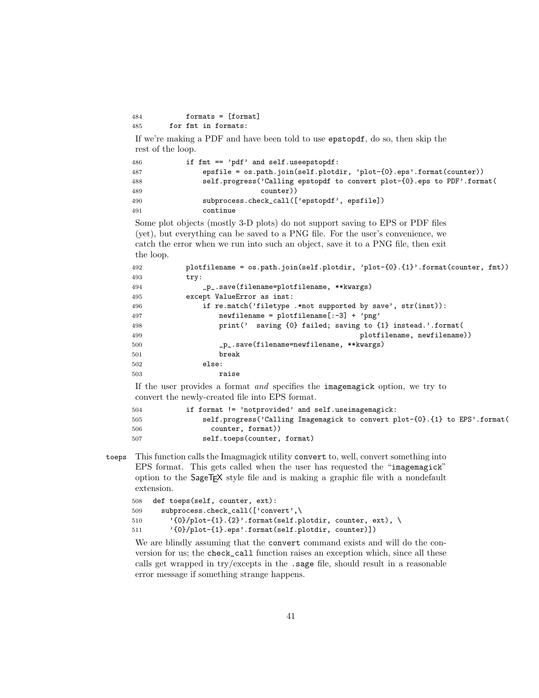```
484 formats = [format]
485 for fmt in formats:
```
If we're making a PDF and have been told to use epstopdf, do so, then skip the rest of the loop.

```
486 if fmt == 'pdf' and self.useepstopdf:
487 epsfile = os.path.join(self.plotdir, 'plot-{0}.eps'.format(counter))
488 self.progress('Calling epstopdf to convert plot-{0}.eps to PDF'.format(
489 counter))
490 subprocess.check_call(['epstopdf', epsfile])
491 continue
```
Some plot objects (mostly 3-D plots) do not support saving to EPS or PDF files (yet), but everything can be saved to a PNG file. For the user's convenience, we catch the error when we run into such an object, save it to a PNG file, then exit the loop.

```
492 plotfilename = os.path.join(self.plotdir, 'plot-{0}.{1}'.format(counter, fmt))
493 try:
494 _p_.save(filename=plotfilename, **kwargs)
495 except ValueError as inst:
496 if re.match('filetype .*not supported by save', str(inst)):
497 newfilename = plotfilename[:-3] + 'png'
498 print(' saving {0} failed; saving to {1} instead.'.format(
499 plotfilename, newfilename))
500 p_.save(filename=newfilename, **kwargs)
501 break
502 else:
503 raise
```
If the user provides a format and specifies the imagemagick option, we try to convert the newly-created file into EPS format.

| 504 | if format $!=$ 'notprovided' and self.useimagemagick:                             |
|-----|-----------------------------------------------------------------------------------|
| 505 | self.progress('Calling Imagemagick to convert plot- ${0}$ . ${1}$ to EPS'.format( |
| 506 | counter, format))                                                                 |
| 507 | self.toeps(counter, format)                                                       |

toeps This function calls the Imagmagick utility convert to, well, convert something into EPS format. This gets called when the user has requested the "imagemagick" option to the  $\text{SageTrX}$  style file and is making a graphic file with a nondefault extension.

```
508 def toeps(self, counter, ext):
509 subprocess.check_call(['convert',\
510 \{0\}/\text{plot}-\{1\}.\{2\}'.format(self.plotdir, counter, ext), \
511 '{0}/plot-{1}.eps'.format(self.plotdir, counter)])
```
<span id="page-40-0"></span>We are blindly assuming that the convert command exists and will do the conversion for us; the check\_call function raises an exception which, since all these calls get wrapped in try/excepts in the .sage file, should result in a reasonable error message if something strange happens.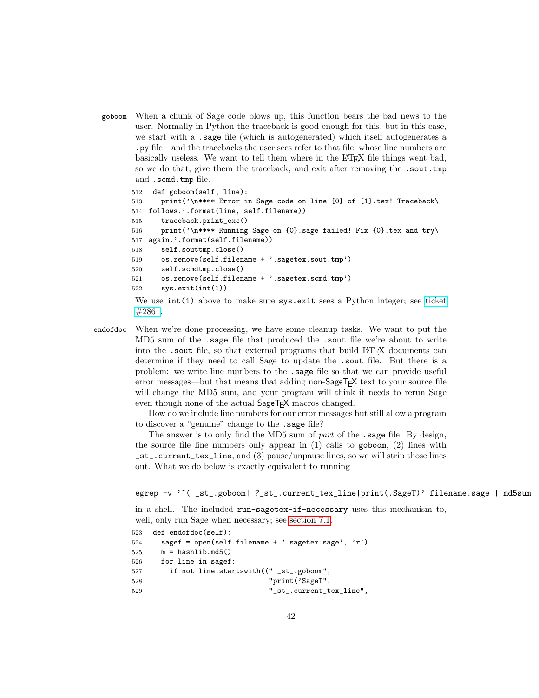goboom When a chunk of Sage code blows up, this function bears the bad news to the user. Normally in Python the traceback is good enough for this, but in this case, we start with a .sage file (which is autogenerated) which itself autogenerates a .py file—and the tracebacks the user sees refer to that file, whose line numbers are basically useless. We want to tell them where in the LATEX file things went bad, so we do that, give them the traceback, and exit after removing the .sout.tmp and .scmd.tmp file.

```
512 def goboom(self, line):
513 print('\n**** Error in Sage code on line {0} of {1}.tex! Traceback\
514 follows.'.format(line, self.filename))
515 traceback.print_exc()
516 print('\n**** Running Sage on {0}.sage failed! Fix {0}.tex and try\
517 again.'.format(self.filename))
518 self.souttmp.close()
519 os.remove(self.filename + '.sagetex.sout.tmp')
520 self.scmdtmp.close()
521 os.remove(self.filename + '.sagetex.scmd.tmp')
522 sys.exit(int(1))
```
<span id="page-41-0"></span>We use  $int(1)$  above to make sure sys.exit sees a Python integer; see [ticket](http://trac.sagemath.org/sage_trac/ticket/2861#comment:5) [#2861.](http://trac.sagemath.org/sage_trac/ticket/2861#comment:5)

endofdoc When we're done processing, we have some cleanup tasks. We want to put the MD5 sum of the .sage file that produced the .sout file we're about to write into the .sout file, so that external programs that build LATEX documents can determine if they need to call Sage to update the .sout file. But there is a problem: we write line numbers to the .sage file so that we can provide useful error messages—but that means that adding non-SageT<sub>F</sub>X text to your source file will change the MD5 sum, and your program will think it needs to rerun Sage even though none of the actual SageT<sub>F</sub>X macros changed.

> How do we include line numbers for our error messages but still allow a program to discover a "genuine" change to the .sage file?

> The answer is to only find the MD5 sum of part of the . sage file. By design, the source file line numbers only appear in  $(1)$  calls to goboom,  $(2)$  lines with \_st\_.current\_tex\_line, and (3) pause/unpause lines, so we will strip those lines out. What we do below is exactly equivalent to running

```
egrep -v '^( _st_.goboom| ?_st_.current_tex_line|print(.SageT)' filename.sage | md5sum
```
in a shell. The included run-sagetex-if-necessary uses this mechanism to, well, only run Sage when necessary; see [section 7.1.](#page-42-0)

```
523 def endofdoc(self):
524 sagef = open(self.filename + '.sagetex.sage', 'r')
525 \qquad m = hashlib.md5()
526 for line in sagef:
527 if not line.startswith((" _st_.goboom",
528 "print('SageT",
529 "_st_.current_tex_line",
```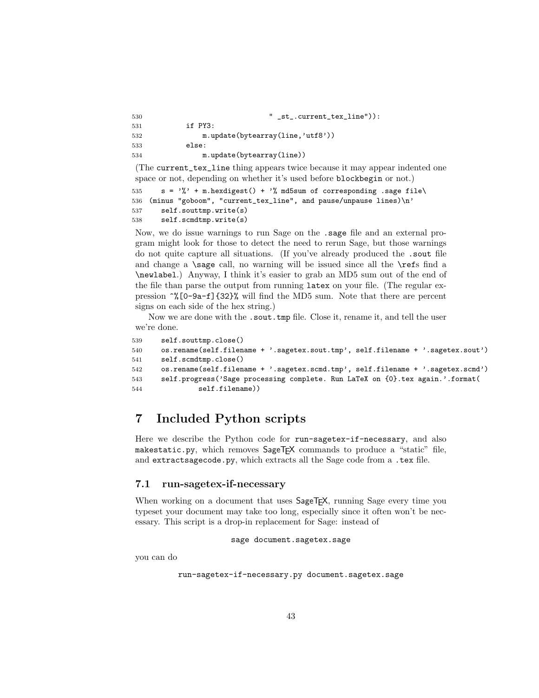| 530 | " $_st$ . current_tex_line")):    |
|-----|-----------------------------------|
| 531 | if PY3:                           |
| 532 | m.update(bytearray(line, 'utf8')) |
| 533 | else:                             |
| 534 | m.update(bytearray(line))         |
|     |                                   |

(The current\_tex\_line thing appears twice because it may appear indented one space or not, depending on whether it's used before blockbegin or not.)

```
535 s = \gamma'' + m.hexdigest() + \gamma'' md5sum of corresponding .sage file\
536 (minus "goboom", "current_tex_line", and pause/unpause lines)\n'
537 self.souttmp.write(s)
538 self.scmdtmp.write(s)
```
Now, we do issue warnings to run Sage on the .sage file and an external program might look for those to detect the need to rerun Sage, but those warnings do not quite capture all situations. (If you've already produced the .sout file and change a \sage call, no warning will be issued since all the \refs find a \newlabel.) Anyway, I think it's easier to grab an MD5 sum out of the end of the file than parse the output from running latex on your file. (The regular expression ^%[0-9a-f]{32}% will find the MD5 sum. Note that there are percent signs on each side of the hex string.)

Now we are done with the .sout.tmp file. Close it, rename it, and tell the user we're done.

```
539 self.souttmp.close()
540 os.rename(self.filename + '.sagetex.sout.tmp', self.filename + '.sagetex.sout')
541 self.scmdtmp.close()
542 os.rename(self.filename + '.sagetex.scmd.tmp', self.filename + '.sagetex.scmd')
543 self.progress('Sage processing complete. Run LaTeX on {0}.tex again.'.format(
544 self.filename))
```
# 7 Included Python scripts

Here we describe the Python code for run-sagetex-if-necessary, and also makestatic.py, which removes SageT<sub>F</sub>X commands to produce a "static" file, and extractsagecode.py, which extracts all the Sage code from a .tex file.

### <span id="page-42-0"></span>7.1 run-sagetex-if-necessary

When working on a document that uses  $\text{SageTFX}$ , running Sage every time you typeset your document may take too long, especially since it often won't be necessary. This script is a drop-in replacement for Sage: instead of

```
sage document.sagetex.sage
```
you can do

```
run-sagetex-if-necessary.py document.sagetex.sage
```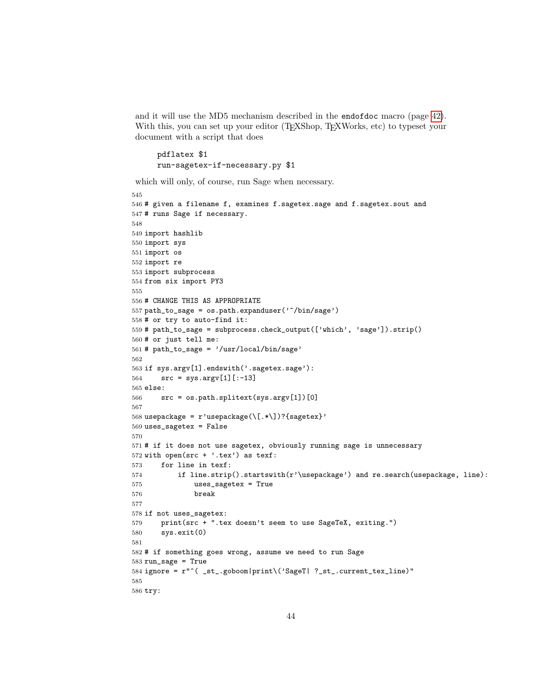and it will use the MD5 mechanism described in the endofdoc macro (page [42\)](#page-41-0). With this, you can set up your editor (TEXShop, TEXWorks, etc) to typeset your document with a script that does

```
pdflatex $1
run-sagetex-if-necessary.py $1
```
which will only, of course, run Sage when necessary.

```
545
546 # given a filename f, examines f.sagetex.sage and f.sagetex.sout and
547 # runs Sage if necessary.
548
549 import hashlib
550 import sys
551 import os
552 import re
553 import subprocess
554 from six import PY3
555
556 # CHANGE THIS AS APPROPRIATE
557 path_to_sage = os.path.expanduser('~/bin/sage')
558 # or try to auto-find it:
559 # path_to_sage = subprocess.check_output(['which', 'sage']).strip()
560 # or just tell me:
561 # path_to_sage = '/usr/local/bin/sage'
562
563 if sys.argv[1].endswith('.sagetex.sage'):
564 src = sys.argv[1][:-13]565 else:
566 src = os.path.splitext(sys.argv[1])[0]
567
568 usepackage = r'usepackage(\[.*\])?{sagetex}'
569 uses_sagetex = False
570
571 # if it does not use sagetex, obviously running sage is unnecessary
572 with open(src + '.tex') as texf:
573 for line in texf:
574 if line.strip().startswith(r'\usepackage') and re.search(usepackage, line):
575 uses_sagetex = True
576 break
577
578 if not uses_sagetex:
579 print(src + ".tex doesn't seem to use SageTeX, exiting.")
580 sys.exit(0)
581
582 # if something goes wrong, assume we need to run Sage
583 run_sage = True
584 ignore = r"^( _st_.goboom|print\('SageT| ?_st_.current_tex_line)"
585
586 try:
```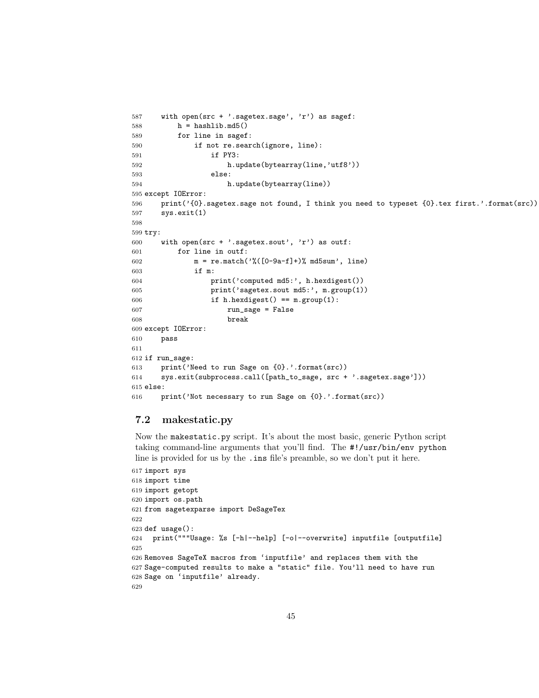```
587 with open(src + '.sagetex.sage', 'r') as sagef:
588 h = hashlib.md5()589 for line in sagef:
590 if not re.search(ignore, line):
591 if PY3:
592 h.update(bytearray(line,'utf8'))
593 else:
594 h.update(bytearray(line))
595 except IOError:
596 print('{0}.sagetex.sage not found, I think you need to typeset {0}.tex first.'.format(src))
597 sys.exit(1)
598
599 try:
600 with open(src + '.sagetex.sout', 'r') as outf:
601 for line in outf:
602 m = re.match('%([0-9a-f]+)) md5sum', line)
603 if m:
604 print('computed md5:', h.hexdigest())
605 print('sagetex.sout md5:', m.group(1))
606 if h.hexdigest() == m.group(1):
607 run_sage = False
608 break
609 except IOError:
610 pass
611
612 if run_sage:
613 print('Need to run Sage on {0}.'.format(src))
614 sys.exit(subprocess.call([path_to_sage, src + '.sagetex.sage']))
615 else:
616 print('Not necessary to run Sage on {0}.'.format(src))
```
### 7.2 makestatic.py

Now the makestatic.py script. It's about the most basic, generic Python script taking command-line arguments that you'll find. The #!/usr/bin/env python line is provided for us by the .ins file's preamble, so we don't put it here.

```
617 import sys
618 import time
619 import getopt
620 import os.path
621 from sagetexparse import DeSageTex
622
623 def usage():
624 print("""Usage: %s [-h|--help] [-o|--overwrite] inputfile [outputfile]
625
626 Removes SageTeX macros from 'inputfile' and replaces them with the
627 Sage-computed results to make a "static" file. You'll need to have run
628 Sage on 'inputfile' already.
629
```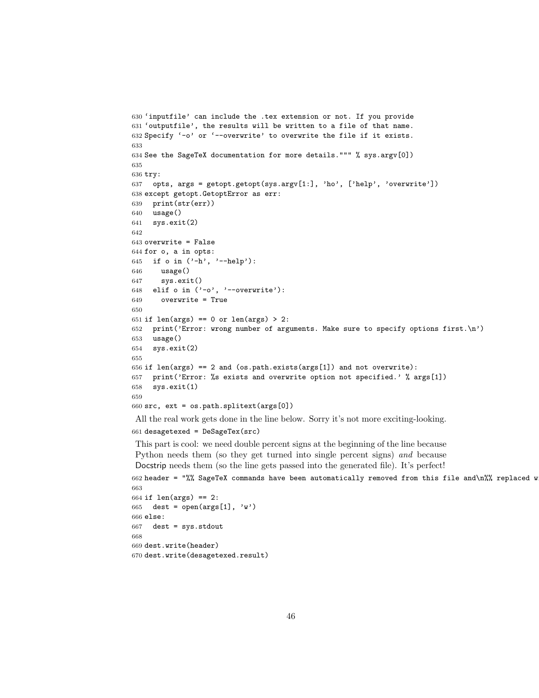```
630 'inputfile' can include the .tex extension or not. If you provide
631 'outputfile', the results will be written to a file of that name.
632 Specify '-o' or '--overwrite' to overwrite the file if it exists.
633
634 See the SageTeX documentation for more details.""" % sys.argv[0])
635
636 try:
637 opts, args = getopt.getopt(sys.argv[1:], 'ho', ['help', 'overwrite'])
638 except getopt.GetoptError as err:
639 print(str(err))
640 usage()
641 sys.exit(2)
642
643 overwrite = False
644 for o, a in opts:
645 if o in ('-h', '--help'):
646 usage()
647 sys.exit()
648 elif o in ('-o', '--overwrite'):
649 overwrite = True
650
651 if len(args) == 0 or len(args) > 2:
652 print('Error: wrong number of arguments. Make sure to specify options first.\n')
653 usage()
654 sys.exit(2)
655
656 if len(args) == 2 and (os.path.exists(args[1]) and not overwrite):
657 print('Error: %s exists and overwrite option not specified.' % args[1])
658 sys.exit(1)
659
660 src, ext = os.path.splitext(args[0])
```
All the real work gets done in the line below. Sorry it's not more exciting-looking.

```
661 desagetexed = DeSageTex(src)
```
This part is cool: we need double percent signs at the beginning of the line because Python needs them (so they get turned into single percent signs) and because Docstrip needs them (so the line gets passed into the generated file). It's perfect!

662 header = "%% SageTeX commands have been automatically removed from this file and\n%% replaced w 

```
664 if len(args) == 2:
665 dest = open(\arg\left[1\right], 'w')
666 else:
667 dest = sys.stdout
668
669 dest.write(header)
670 dest.write(desagetexed.result)
```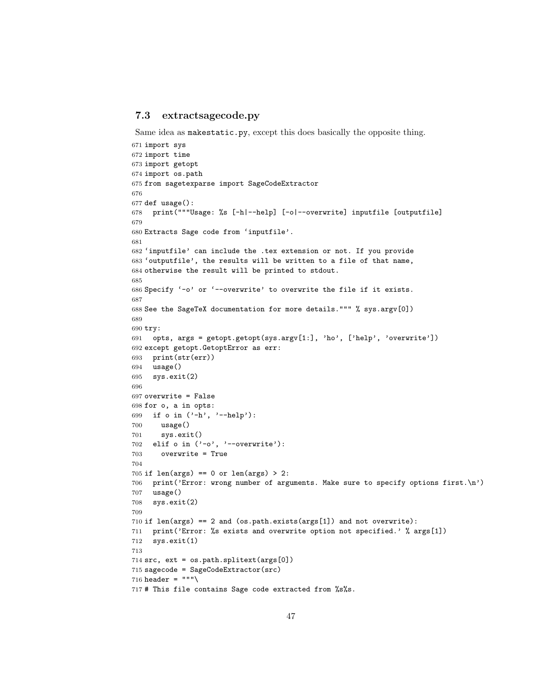### 7.3 extractsagecode.py

Same idea as makestatic.py, except this does basically the opposite thing.

```
671 import sys
672 import time
673 import getopt
674 import os.path
675 from sagetexparse import SageCodeExtractor
676
677 def usage():
678 print("""Usage: %s [-h|--help] [-o|--overwrite] inputfile [outputfile]
679
680 Extracts Sage code from 'inputfile'.
681
682 'inputfile' can include the .tex extension or not. If you provide
683 'outputfile', the results will be written to a file of that name,
684 otherwise the result will be printed to stdout.
685
686 Specify '-o' or '--overwrite' to overwrite the file if it exists.
687
688 See the SageTeX documentation for more details.""" % sys.argv[0])
689
690 try:
691 opts, args = getopt.getopt(sys.argv[1:], 'ho', ['help', 'overwrite'])
692 except getopt.GetoptError as err:
693 print(str(err))
694 usage()
695 sys.exit(2)
696
697 overwrite = False
698 for o, a in opts:
699 if o in ('-h', '--help'):
700 usage()
701 sys.exit()
702 elif o in ('-o', '--overwrite'):
703 overwrite = True
704
705 if len(args) == 0 or len(args) > 2:
706 print('Error: wrong number of arguments. Make sure to specify options first.\n')
707 usage()
708 sys.exit(2)
709
710 if len(args) == 2 and (os.path.exists(args[1]) and not overwrite):
711 print('Error: %s exists and overwrite option not specified.' % args[1])
712 sys.exit(1)
713
714 src, ext = os.path.splitext(args[0])
715 sagecode = SageCodeExtractor(src)
716 header = """717 # This file contains Sage code extracted from %s%s.
```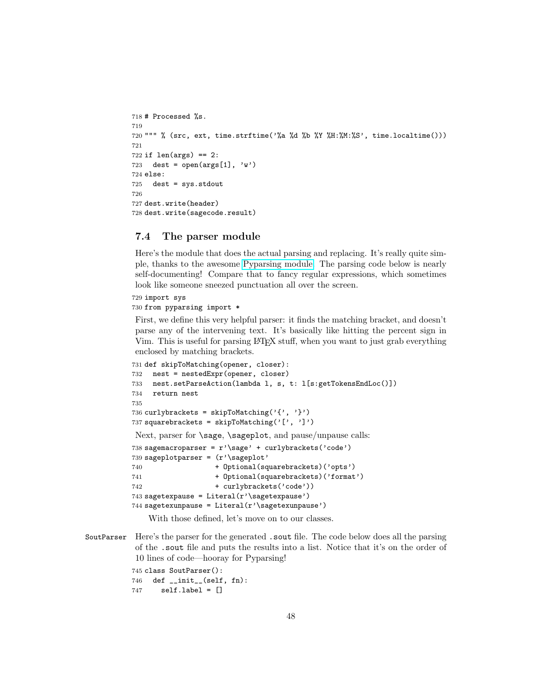```
718 # Processed %s.
719
720 """ % (src, ext, time.strftime('%a %d %b %Y %H:%M:%S', time.localtime()))
721
722 if len(args) == 2:
723 dest = open(\arg\left[1\right], 'w')
724 else:
725 dest = sys.stdout
726
727 dest.write(header)
728 dest.write(sagecode.result)
```
### 7.4 The parser module

Here's the module that does the actual parsing and replacing. It's really quite simple, thanks to the awesome [Pyparsing module.](http://pyparsing.wikispaces.com) The parsing code below is nearly self-documenting! Compare that to fancy regular expressions, which sometimes look like someone sneezed punctuation all over the screen.

```
729 import sys
```

```
730 from pyparsing import *
```
First, we define this very helpful parser: it finds the matching bracket, and doesn't parse any of the intervening text. It's basically like hitting the percent sign in Vim. This is useful for parsing LATEX stuff, when you want to just grab everything enclosed by matching brackets.

```
731 def skipToMatching(opener, closer):
732 nest = nestedExpr(opener, closer)
733 nest.setParseAction(lambda l, s, t: l[s:getTokensEndLoc()])
734 return nest
735
736 curlybrackets = skipToMatching('{', '}')
737 squarebrackets = skipToMatching('[', ']')
Next, parser for \sage, \sageplot, and pause/unpause calls:
738 sagemacroparser = r'\sage' + curlybrackets('code')
739 sageplotparser = (r'\sageplot'
740 + Optional(squarebrackets)('opts')
741 + Optional(squarebrackets)('format')
742 + curlybrackets('code'))
743 sagetexpause = Literal(r'\sagetexpause')
744 sagetexunpause = Literal(r' \simeq r)
```
With those defined, let's move on to our classes.

SoutParser Here's the parser for the generated .sout file. The code below does all the parsing of the .sout file and puts the results into a list. Notice that it's on the order of 10 lines of code—hooray for Pyparsing!

```
745 class SoutParser():
746 def __init__(self, fn):
747 self.label = []
```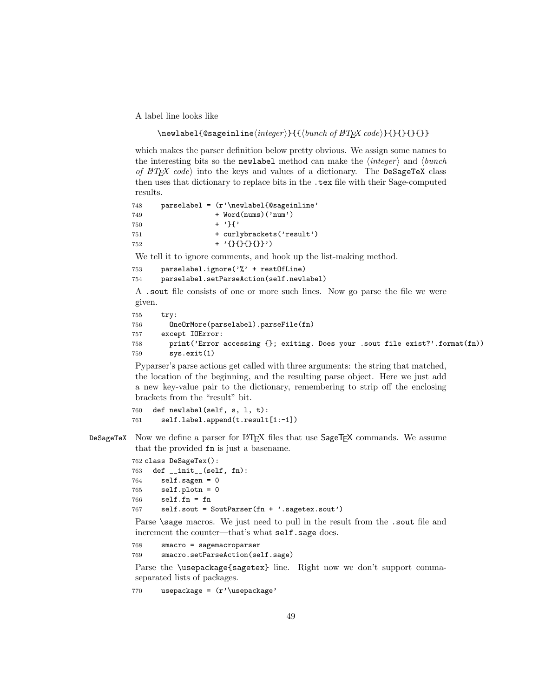A label line looks like

\newlabel{@sageinline\integer\}{{\bunch of  $BTFX \ code$ }{}{}{}{}}

which makes the parser definition below pretty obvious. We assign some names to the interesting bits so the newlabel method can make the  $\langle integer \rangle$  and  $\langle bunch \rangle$ of  $BTFX \ code$  into the keys and values of a dictionary. The DeSageTeX class then uses that dictionary to replace bits in the .tex file with their Sage-computed results.

```
748 parselabel = (r')\neq 748749 + Word(nums)('num')
750 + '}{'
751 + curlybrackets('result')
752 + '{}{}{}{}}')
```
We tell it to ignore comments, and hook up the list-making method.

```
753 parselabel.ignore('%' + restOfLine)
754 parselabel.setParseAction(self.newlabel)
```
A .sout file consists of one or more such lines. Now go parse the file we were given.

```
755 try:
756 OneOrMore(parselabel).parseFile(fn)
757 except IOError:
758 print('Error accessing {}; exiting. Does your .sout file exist?'.format(fn))
759 sys.exit(1)
```
Pyparser's parse actions get called with three arguments: the string that matched, the location of the beginning, and the resulting parse object. Here we just add a new key-value pair to the dictionary, remembering to strip off the enclosing brackets from the "result" bit.

```
760 def newlabel(self, s, l, t):
761 self.label.append(t.result[1:-1])
```
DeSageTeX Now we define a parser for LATEX files that use  $\text{SageTFX}$  commands. We assume that the provided fn is just a basename.

```
762 class DeSageTex():
763 def __init__(self, fn):
764 self.sagen = 0
765 self.plotn = 0
766 self.fn = fn
767 self.sout = SoutParser(fn + '.sagetex.sout')
```
Parse \sage macros. We just need to pull in the result from the .sout file and increment the counter—that's what self.sage does.

```
768 smacro = sagemacroparser
769 smacro.setParseAction(self.sage)
```
Parse the \usepackage{sagetex} line. Right now we don't support commaseparated lists of packages.

770 usepackage = (r'\usepackage'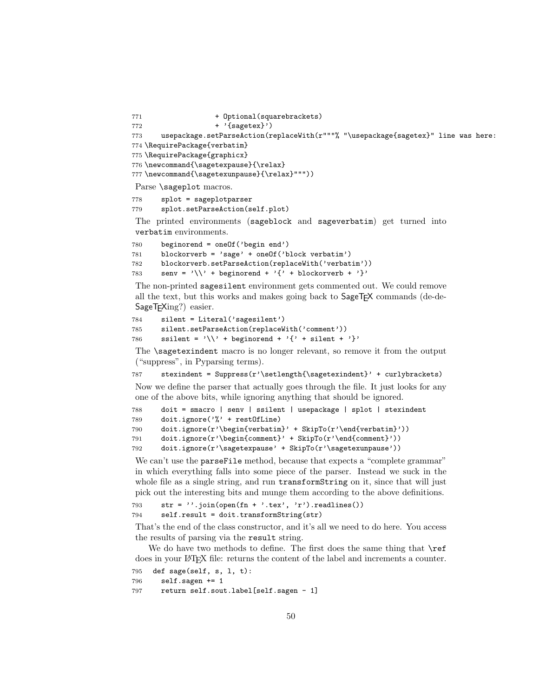```
771 + Optional (squarebrackets)
772 + '{sagerex}'773 usepackage.setParseAction(replaceWith(r"""% "\usepackage{sagetex}" line was here:
774 \RequirePackage{verbatim}
775 \RequirePackage{graphicx}
776 \newcommand{\sagetexpause}{\relax}
777 \newcommand{\sagetexunpause}{\relax}"""))
Parse \sageplot macros.
778 splot = sageplotparser
779 splot.setParseAction(self.plot)
```
The printed environments (sageblock and sageverbatim) get turned into verbatim environments.

```
780 beginorend = oneOf('begin end')
781 blockorverb = 'sage' + oneOf('block verbatim')
782 blockorverb.setParseAction(replaceWith('verbatim'))
783 senv = \sqrt{\ } + beginorend + \{' + blockorverb + '}'
```
The non-printed sagesilent environment gets commented out. We could remove all the text, but this works and makes going back to SageTEX commands (de-de-SageT<sub>F</sub>Xing?) easier.

```
784 silent = Literal('sagesilent')
785 silent.setParseAction(replaceWith('comment'))
786 ssilent = \sqrt{}' + beginorend + \sqrt{}' + silent + \sqrt{}'
```
The \sagetexindent macro is no longer relevant, so remove it from the output ("suppress", in Pyparsing terms).

787 stexindent = Suppress( $r'$ \setlength{\sagetexindent}' + curlybrackets) Now we define the parser that actually goes through the file. It just looks for any one of the above bits, while ignoring anything that should be ignored.

```
788 doit = smacro | senv | ssilent | usepackage | splot | stexindent
789 doit.ignore('%' + restOfLine)
790 doit.ignore(r'\begin{verbatim}' + SkipTo(r'\end{verbatim}'))
791 doit.ignore(r'\begin{comment}' + SkipTo(r'\end{comment}'))
792 doit.ignore(r'\sagetexpause' + SkipTo(r'\sagetexunpause'))
```
We can't use the parseFile method, because that expects a "complete grammar" in which everything falls into some piece of the parser. Instead we suck in the whole file as a single string, and run transformString on it, since that will just pick out the interesting bits and munge them according to the above definitions.

```
793 str = '''.join(open(fn + '.tex', 'r').readlines())794 self.result = doit.transformString(str)
```
That's the end of the class constructor, and it's all we need to do here. You access the results of parsing via the result string.

We do have two methods to define. The first does the same thing that  $\ref$ does in your LATEX file: returns the content of the label and increments a counter.

```
795 def sage(self, s, l, t):
796 self.sagen += 1
797 return self.sout.label[self.sagen - 1]
```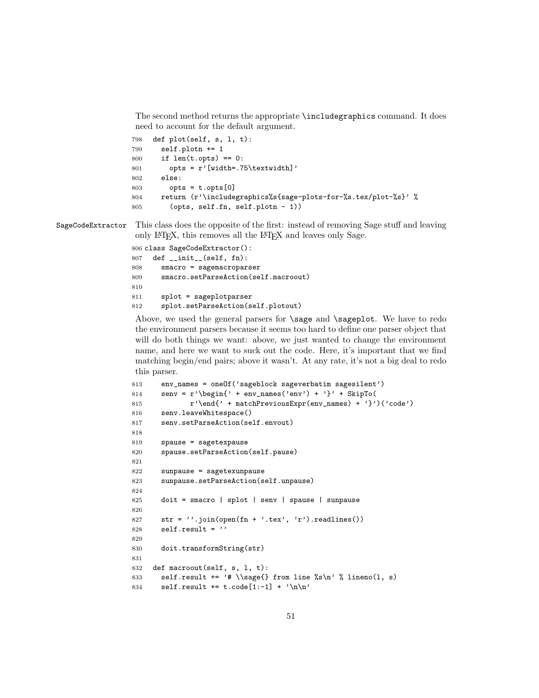The second method returns the appropriate \includegraphics command. It does need to account for the default argument.

```
798 def plot(self, s, l, t):
799 self.plotn += 1
800 if len(t.opts) == 0:
801 opts = r'[width=.75\textwidth]'
802 else:
803 opts = t.opts[0]
804 return (r'\includegraphics%s{sage-plots-for-%s.tex/plot-%s}' %
805 (opts, self.fn, self.plotn - 1))
```
SageCodeExtractor This class does the opposite of the first: instead of removing Sage stuff and leaving only LATEX, this removes all the LATEX and leaves only Sage.

```
806 class SageCodeExtractor():
807 def __init__(self, fn):
808 smacro = sagemacroparser
809 smacro.setParseAction(self.macroout)
810
811 splot = sageplotparser
812 splot.setParseAction(self.plotout)
```
Above, we used the general parsers for **\sage** and **\sageplot**. We have to redo the environment parsers because it seems too hard to define one parser object that will do both things we want: above, we just wanted to change the environment name, and here we want to suck out the code. Here, it's important that we find matching begin/end pairs; above it wasn't. At any rate, it's not a big deal to redo this parser.

```
813 env_names = oneOf('sageblock sageverbatim sagesilent')
814 senv = r' \begin{pmatrix} ' & ' & ' & ' \end{pmatrix} + \begin{pmatrix} ' & ' & ' & ' \end{pmatrix}' + \begin{pmatrix} ' & ' & ' & ' \end{pmatrix}'815 r' \end{r' + matchPrevious<sup>Expr(env_name) + '}')('code')</sup>
816 senv.leaveWhitespace()
817 senv.setParseAction(self.envout)
818
819 spause = sagetexpause
820 spause.setParseAction(self.pause)
821
822 sunpause = sagetexunpause
823 sunpause.setParseAction(self.unpause)
824
825 doit = smacro | splot | senv | spause | sunpause
826
827 str = ', join(open(fn + '.tex', 'r').readlines())
828 self.result = ''
829
830 doit.transformString(str)
831
832 def macroout(self, s, l, t):
833 self.result += '# \\sage{} from line %s\n' % lineno(1, s)
834 self.result += t.code[1:-1] + '\n\times
```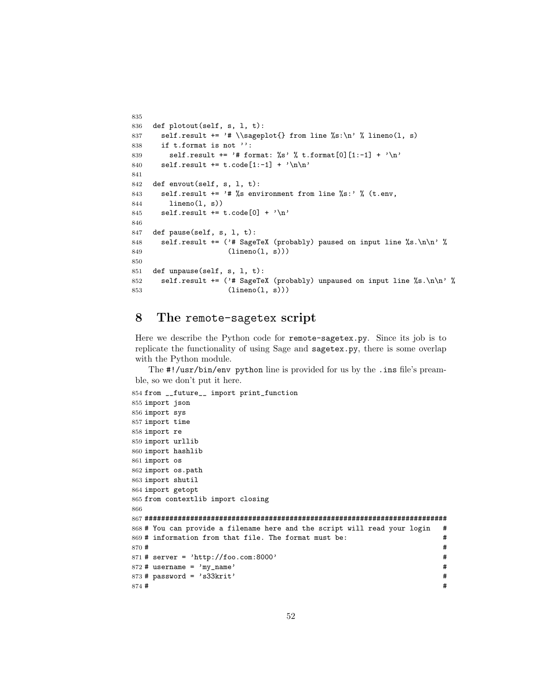```
835
836 def plotout(self, s, l, t):
837 self.result += '# \\sageplot{} from line \Ss:\n' % lineno(1, s)
838 if t.format is not '':
839 self.result += '# format: \%s' % t.format[0][1:-1] + '\n'
840 self.result += t.\text{code}[1:-1] + ' \n\ln'841
842 def envout(self, s, l, t):
843 self.result += '# %s environment from line %s:' % (t.env,
844 lineno(l, s))
845 self.result += t.code[0] + '\n\846
847 def pause(self, s, l, t):
848 self.result += ('# SageTeX (probably) paused on input line %s.\n\n' %
849 (lineno(1, s)))
850
851 def unpause(self, s, l, t):
852 self.result += ('# SageText (probably) unpaused on input line %s.\n\n<math>\sqrt{n}</math>853 (lineno(l, s)))
```
# 8 The remote-sagetex script

Here we describe the Python code for remote-sagetex.py. Since its job is to replicate the functionality of using Sage and sagetex.py, there is some overlap with the Python module.

The #!/usr/bin/env python line is provided for us by the .ins file's preamble, so we don't put it here.

```
854 from __future__ import print_function
855 import json
856 import sys
857 import time
858 import re
859 import urllib
860 import hashlib
861 import os
862 import os.path
863 import shutil
864 import getopt
865 from contextlib import closing
866
867 #########################################################################
868 # You can provide a filename here and the script will read your login #
869 # information from that file. The format must be: \#870 \text{ H} 4 \text{ H}871 # server = 'http://foo.com:8000' #
872 \text{#} username = \text{'my\_name'} \text{#}873 \# password = 's33krit' \#874 # ^{4}
```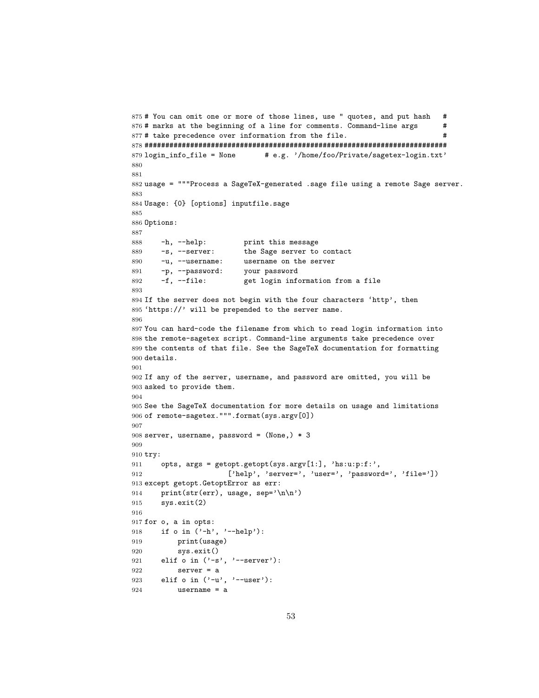```
875 # You can omit one or more of those lines, use " quotes, and put hash #
876 # marks at the beginning of a line for comments. Command-line args #
877 # take precedence over information from the file. \#878 #########################################################################
879 login\_info\_file = None # e.g. '/home/foo/Private/sagetex-login.txt'
880
881
882 usage = """Process a SageTeX-generated .sage file using a remote Sage server.
883
884 Usage: {0} [options] inputfile.sage
885
886 Options:
887
888 -h, --help: print this message
889 -s, --server: the Sage server to contact
890 -u, --username: username on the server<br>891 -p, --password: your password
891 -p, --password:
892 -f, --file: get login information from a file
893
894 If the server does not begin with the four characters 'http', then
895 'https://' will be prepended to the server name.
896
897 You can hard-code the filename from which to read login information into
898 the remote-sagetex script. Command-line arguments take precedence over
899 the contents of that file. See the SageTeX documentation for formatting
900 details.
901
902 If any of the server, username, and password are omitted, you will be
903 asked to provide them.
904
905 See the SageTeX documentation for more details on usage and limitations
906 of remote-sagetex.""".format(sys.argv[0])
907
908 server, username, password = (None,) * 3
909
910 try:
911 opts, args = getopt.getopt(sys.argv[1:], 'hs:u:p:f:',
912 ['help', 'server=', 'user=', 'password=', 'file='])
913 except getopt.GetoptError as err:
914 print(str(err), usage, sep='\n\n')
915 sys.exit(2)
916
917 for o, a in opts:
918 if o in ('-h', '--help'):
919 print(usage)
920 sys.exit()
921 elif o in ('-s', '--server'):
922 server = a
923 elif o in ('-u', '--user'):
924 username = a
```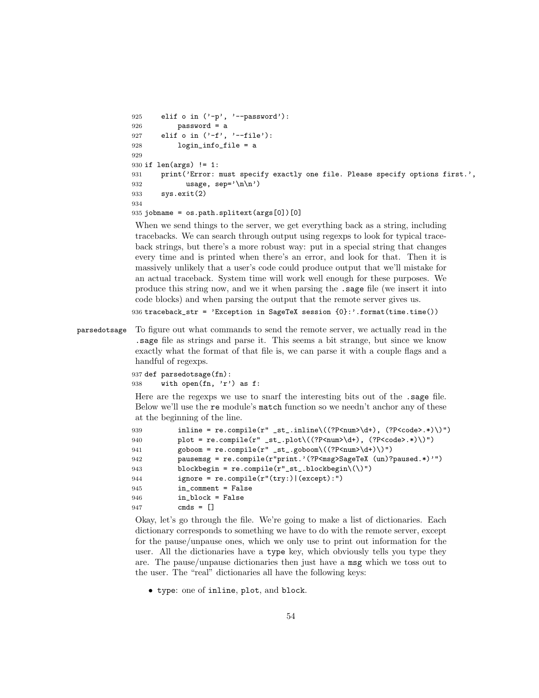```
925 elif o in ('-p', '--password'):
926 password = a
927 elif o in ('-f', '--file'):
928 login_info_file = a
929
930 if len(args) != 1:
931 print ('Error: must specify exactly one file. Please specify options first.',
932 usage, \text{sep} = \ln \ln \ln933 sys.exit(2)
934
```
935 jobname = os.path.splitext(args[0])[0]

When we send things to the server, we get everything back as a string, including tracebacks. We can search through output using regexps to look for typical traceback strings, but there's a more robust way: put in a special string that changes every time and is printed when there's an error, and look for that. Then it is massively unlikely that a user's code could produce output that we'll mistake for an actual traceback. System time will work well enough for these purposes. We produce this string now, and we it when parsing the .sage file (we insert it into code blocks) and when parsing the output that the remote server gives us.

936 traceback\_str = 'Exception in SageTeX session {0}:'.format(time.time())

parsedotsage To figure out what commands to send the remote server, we actually read in the .sage file as strings and parse it. This seems a bit strange, but since we know exactly what the format of that file is, we can parse it with a couple flags and a handful of regexps.

```
937 def parsedotsage(fn):
938 with open(fn, 'r') as f:
```
Here are the regexps we use to snarf the interesting bits out of the .sage file. Below we'll use the re module's match function so we needn't anchor any of these at the beginning of the line.

| 939 | inline = re.compile(r" _st_.inline\((?P <num>\d+), (?P<code>.*)\)")</code></num> |
|-----|----------------------------------------------------------------------------------|
| 940 | plot = re.compile(r" _st_.plot\((?P <num>\d+), (?P<code>.*)\)")</code></num>     |
| 941 | $\text{goboom} = \text{re.compile(r''_st\_goboom}((?P<num>d+))")$                |
| 942 | pausemsg = re.compile(r"print.'(?P <msg>SageTeX (un)?paused.*)'")</msg>          |
| 943 | blockbegin = $re.compile(r"_st_, blockbegin\()$ ")                               |
| 944 | $ignore = re.compile(r"(try:)   (except):")$                                     |
| 945 | $in_{\text{comment}}$ = False                                                    |
| 946 | in block = False                                                                 |
| 947 | $cmds = \Box$                                                                    |
|     |                                                                                  |

Okay, let's go through the file. We're going to make a list of dictionaries. Each dictionary corresponds to something we have to do with the remote server, except for the pause/unpause ones, which we only use to print out information for the user. All the dictionaries have a type key, which obviously tells you type they are. The pause/unpause dictionaries then just have a msg which we toss out to the user. The "real" dictionaries all have the following keys:

• type: one of inline, plot, and block.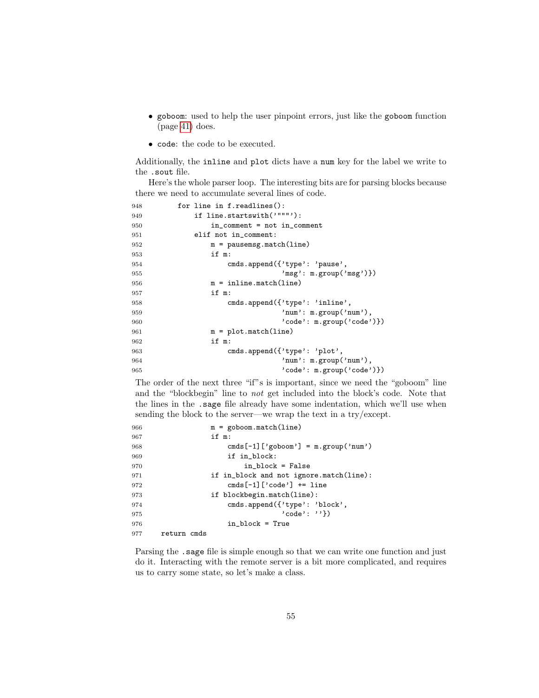- goboom: used to help the user pinpoint errors, just like the goboom function (page [41\)](#page-40-0) does.
- code: the code to be executed.

Additionally, the inline and plot dicts have a num key for the label we write to the .sout file.

Here's the whole parser loop. The interesting bits are for parsing blocks because there we need to accumulate several lines of code.

```
948 for line in f.readlines():
949 if line.startswith('"""'):
950 in_comment = not in_comment
951 elif not in_comment:
952 m = pausemsg.match(line)
953 if m:
954 cmds.append({'type': 'pause',
955 'msg': m.group('msg')})
956 m = inline.match(line)
957 if m:
958 cmds.append({'type': 'inline',
959 'num': m.group('num'),
960 'code': m.group('code')})
961 m = plot.match(line)
962 if m:
963 cmds.append({'type': 'plot',
964 'num': m.group('num'),
965 'code': m.group('code')})
```
The order of the next three "if"s is important, since we need the "goboom" line and the "blockbegin" line to not get included into the block's code. Note that the lines in the .sage file already have some indentation, which we'll use when sending the block to the server—we wrap the text in a try/except.

| 966 | $m =$ goboom.match(line)                |  |  |
|-----|-----------------------------------------|--|--|
| 967 | if m:                                   |  |  |
| 968 | cmds $[-1]$ ['goboom'] = m.group('num') |  |  |
| 969 | if in_block:                            |  |  |
| 970 | in block = False                        |  |  |
| 971 | if in_block and not ignore.match(line): |  |  |
| 972 | cmds $[-1]$ $\lceil$ 'code'] += line    |  |  |
| 973 | if blockbegin.match(line):              |  |  |
| 974 | cmds.append({'type': 'block',           |  |  |
| 975 | $'code': ''\}$                          |  |  |
| 976 | in block = True                         |  |  |
| 977 | return cmds                             |  |  |

Parsing the .sage file is simple enough so that we can write one function and just do it. Interacting with the remote server is a bit more complicated, and requires us to carry some state, so let's make a class.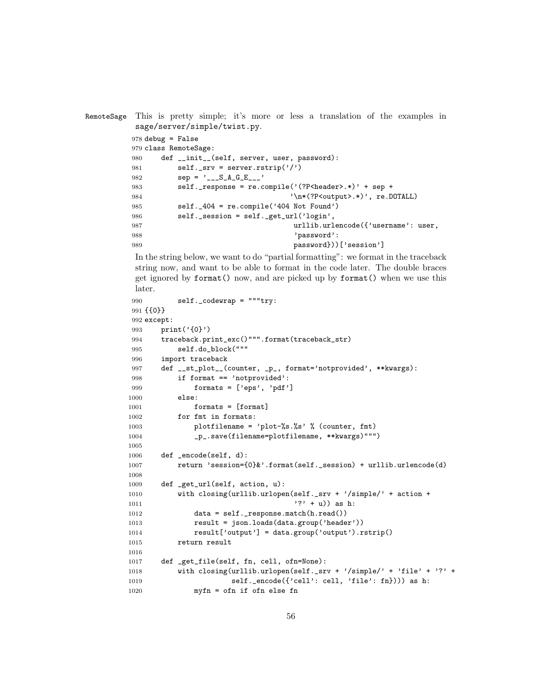```
RemoteSage This is pretty simple; it's more or less a translation of the examples in
         sage/server/simple/twist.py.
        978 debug = False
        979 class RemoteSage:
        980 def __init__(self, server, user, password):
        981 self._srv = server.rstrip('')982 \text{sep} = '_{---}S_A_G_E_{---}'983 self._response = re.compile('(?P<header>.*)' + sep +
        984 '\n*(?P<output>.*)', re.DOTALL)
        985 self._404 = re.compile('404 Not Found')
        986 self._session = self._get_url('login',
        987 urllib.urlencode({'username': user,
        988 'password':
        989 password}))['session']
```
In the string below, we want to do "partial formatting": we format in the traceback string now, and want to be able to format in the code later. The double braces get ignored by format() now, and are picked up by format() when we use this later.

```
990 self._codewrap = """try:
991 {{0}}
992 except:
993 print('{0}')
994 traceback.print_exc()""".format(traceback_str)
995 self.do_block("""
996 import traceback
997 def __st_plot__(counter, _p_, format='notprovided', **kwargs):
998 if format == 'notprovided':
999 formats = ['eps', 'pdf']1000 else:
1001 formats = [format]1002 for fmt in formats:
1003 plotfilename = 'plot-%s.%s' % (counter, fmt)
1004 _p_.save(filename=plotfilename, **kwargs)""")
1005
1006 def _encode(self, d):
1007 return 'session={0}&'.format(self._session) + urllib.urlencode(d)
1008
1009 def _get_url(self, action, u):
1010 with closing(urllib.urlopen(self._srv + '/simple/' + action +
1011 '?' + u)) as h:
1012 data = self._response.match(h.read())
1013 result = json.loads(data.group('header'))
1014 result['output'] = data.group('output').rstrip()
1015 return result
1016
1017 def _get_file(self, fn, cell, ofn=None):
1018 with closing(urllib.urlopen(self._srv + '/simple/' + 'file' + '?' +
1019 self._encode({'cell': cell, 'file': fn}))) as h:
1020 myfn = ofn if ofn else fn
```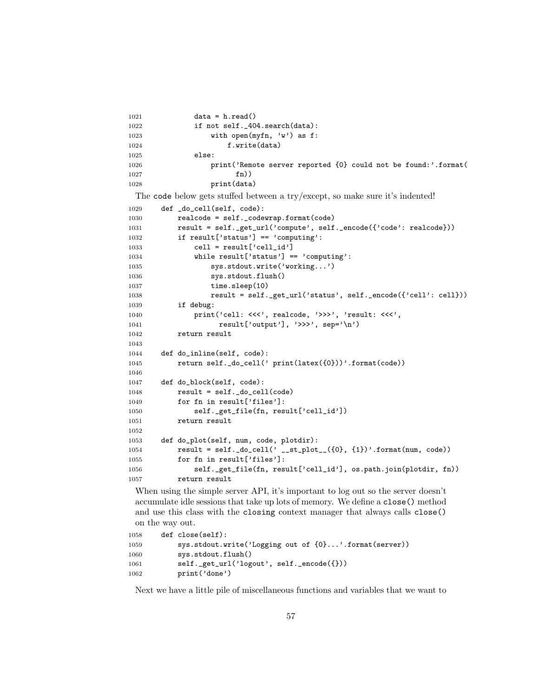```
1021 data = h.read()
1022 if not self._404.search(data):
1023 with open(myfn, 'w') as f:
1024 f.write(data)
1025 else:
1026 print('Remote server reported {0} could not be found:'.format(
1027 fn))
1028 print(data)
 The code below gets stuffed between a try/except, so make sure it's indented!
1029 def _do_cell(self, code):
1030 realcode = self._codewrap.format(code)
1031 result = self._get_url('compute', self._encode({'code': realcode}))
1032 if result['status'] == 'computing':
1033 cell = result['cell_id']
1034 while result['status'] == 'computing':
1035 sys.stdout.write('working...')
1036 sys.stdout.flush()
1037 time.sleep(10)
1038 result = self._get_url('status', self._encode({'cell': cell}))
1039 if debug:
1040    print('cell: <<<', realcode, '>>>', 'result: <<<',
1041 result['output'], '>>>', sep='\n')
1042 return result
1043
1044 def do_inline(self, code):
1045 return self._do_cell(' print(latex({0}))'.format(code))
1046
1047 def do_block(self, code):
1048 result = self._do_cell(code)
1049 for fn in result['files']:
1050 self._get_file(fn, result['cell_id'])
1051 return result
1052
1053 def do_plot(self, num, code, plotdir):
1054 result = self._do_cell(' __st_plot__({0}, {1})'.format(num, code))
1055 for fn in result['files']:
1056 self._get_file(fn, result['cell_id'], os.path.join(plotdir, fn))
1057 return result
 When using the simple server API, it's important to log out so the server doesn't
```
accumulate idle sessions that take up lots of memory. We define a close() method and use this class with the closing context manager that always calls close() on the way out.

```
1058 def close(self):
1059 sys.stdout.write('Logging out of {0}...'.format(server))
1060 sys.stdout.flush()
1061 self._get_url('logout', self._encode({}))
1062 print('done')
```
Next we have a little pile of miscellaneous functions and variables that we want to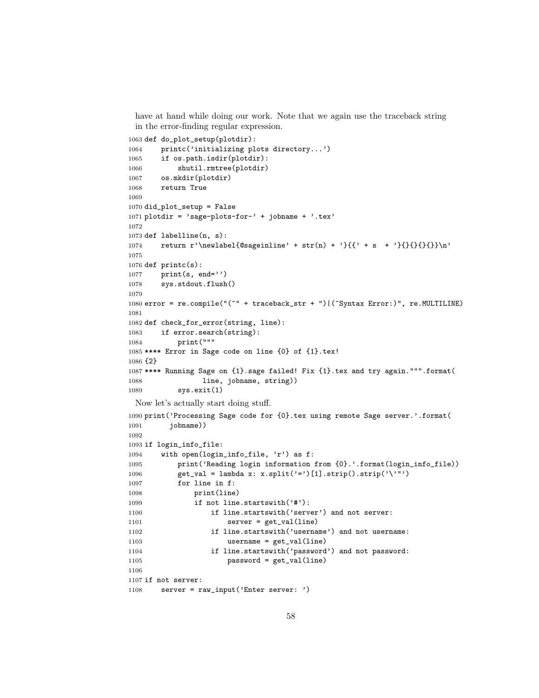have at hand while doing our work. Note that we again use the traceback string in the error-finding regular expression.

```
1063 def do_plot_setup(plotdir):
1064 printc('initializing plots directory...')
1065 if os.path.isdir(plotdir):
1066 shutil.rmtree(plotdir)
1067 os.mkdir(plotdir)
1068 return True
1069
1070 did_plot_setup = False
1071 plotdir = 'sage-plots-for-' + jobname + '.tex'
1072
1073 def labelline(n, s):
1074 return r'\newlabel{@sageinline' + str(n) + '}{{' + s + '}{}{}{}}\n'
1075
1076 def print(s):
1077 print(s, end='')
1078 sys.stdout.flush()
1079
1080 error = re.compile("(^" + traceback_str + ")|(^Syntax Error:)", re.MULTILINE)
1081
1082 def check_for_error(string, line):
1083 if error.search(string):
1084 print("""
1085 **** Error in Sage code on line {0} of {1}.tex!
1086 {2}
1087 **** Running Sage on {1}.sage failed! Fix {1}.tex and try again.""".format(
1088 1ine, jobname, string))
1089 sys.exit(1)
 Now let's actually start doing stuff.
1090 print('Processing Sage code for {0}.tex using remote Sage server.'.format(
1091 jobname))
1092
1093 if login_info_file:
1094 with open(login_info_file, 'r') as f:
1095 print('Reading login information from {0}.'.format(login_info_file))
1096 get_val = lambda x: x.split('=')[1].strip().strip('\'"')
1097 for line in f:
1098 print(line)
1099 if not line.startswith('#'):
1100 if line.startswith('server') and not server:
1101 server = get_val(line)
1102 if line.startswith('username') and not username:
1103 username = get_val(line)
1104 if line.startswith('password') and not password:
1105 password = get_val(line)
1106
1107 if not server:
1108 server = raw_input('Enter server: ')
```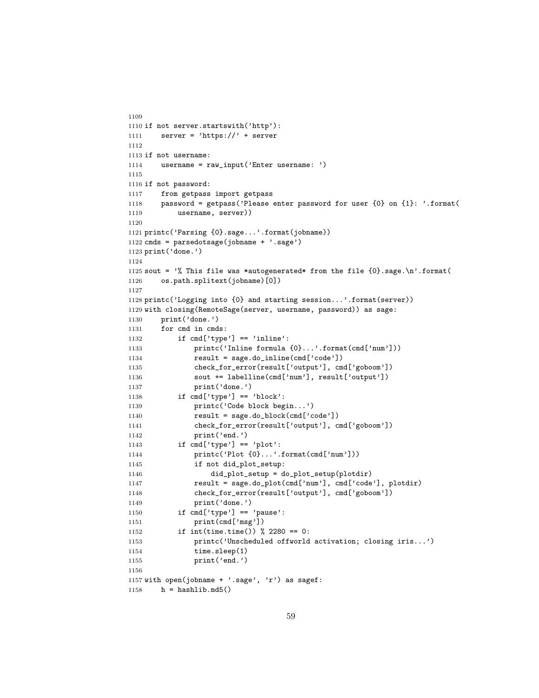```
1109
1110 if not server.startswith('http'):
1111 server = 'https://' + server
1112
1113 if not username:
1114 username = raw_input('Enter username: ')
1115
1116 if not password:
1117 from getpass import getpass
1118 password = getpass('Please enter password for user {0} on {1}: '.format(
1119 username, server))
1120
1121 printc('Parsing {0}.sage...'.format(jobname))
1122 cmds = parsedotsage(jobname + '.sage')
1123 print('done.')
1124
1125 sout = \% This file was *autogenerated* from the file \{0\}. sage.\n'.format(
1126 os.path.splitext(jobname)[0])
1127
1128 printc('Logging into {0} and starting session...'.format(server))
1129 with closing(RemoteSage(server, username, password)) as sage:
1130 print('done.')
1131 for cmd in cmds:
1132 if cmd['type'] == 'inline':
1133 printc('Inline formula {0}...'.format(cmd['num']))
1134 result = sage.do_inline(cmd['code'])
1135 check_for_error(result['output'], cmd['goboom'])
1136 sout += labelline(cmd['num'], result['output'])
1137 print('done.')
1138 if cmd['type'] == 'block':
1139 printc('Code block begin...')
1140 result = sage.do_block(cmd['code'])
1141 check_for_error(result['output'], cmd['goboom'])
1142 print('end.')
1143 if cmd['type'] == 'plot':1144 printc('Plot {0}...'.format(cmd['num']))
1145 if not did_plot_setup:
1146 did_plot_setup = do_plot_setup(plotdir)
1147 result = sage.do_plot(cmd['num'], cmd['code'], plotdir)
1148 check_for_error(result['output'], cmd['goboom'])
1149 print('done.')
1150 if cmd['type'] == 'pause':
1151 print(cmd['msg'])
1152 if int(time.time()) % 2280 == 0:
1153 printc('Unscheduled offworld activation; closing iris...')
1154 time.sleep(1)
1155 print('end.')
1156
1157 with open(jobname + '.sage', 'r') as sagef:
1158 h = hashlib.md5()
```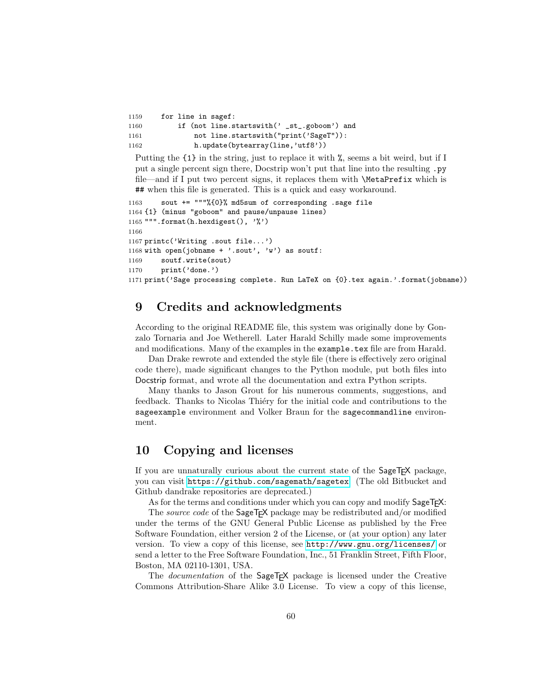| 1159 | for line in sagef:                          |
|------|---------------------------------------------|
| 1160 | if (not line.startswith(' _st_.goboom') and |
| 1161 | not line.startswith("print('SageT")):       |
| 1162 | h.update(bytearray(line, 'utf8'))           |

Putting the {1} in the string, just to replace it with %, seems a bit weird, but if I put a single percent sign there, Docstrip won't put that line into the resulting .py file—and if I put two percent signs, it replaces them with \MetaPrefix which is ## when this file is generated. This is a quick and easy workaround.

```
1163 sout += """%{0}% md5sum of corresponding .sage file
1164 {1} (minus "goboom" and pause/unpause lines)
1165 """.format(h.hexdigest(), '%')
1166
1167 printc('Writing .sout file...')
1168 with open(jobname + '.sout', 'w') as soutf:
1169 soutf.write(sout)
1170 print('done.')
1171 print('Sage processing complete. Run LaTeX on {0}.tex again.'.format(jobname))
```
# 9 Credits and acknowledgments

According to the original README file, this system was originally done by Gonzalo Tornaria and Joe Wetherell. Later Harald Schilly made some improvements and modifications. Many of the examples in the example.tex file are from Harald.

Dan Drake rewrote and extended the style file (there is effectively zero original code there), made significant changes to the Python module, put both files into Docstrip format, and wrote all the documentation and extra Python scripts.

Many thanks to Jason Grout for his numerous comments, suggestions, and feedback. Thanks to Nicolas Thiéry for the initial code and contributions to the sageexample environment and Volker Braun for the sagecommandline environment.

# 10 Copying and licenses

If you are unnaturally curious about the current state of the SageT<sub>F</sub>X package, you can visit <https://github.com/sagemath/sagetex>. (The old Bitbucket and Github dandrake repositories are deprecated.)

As for the terms and conditions under which you can copy and modify Sage T<sub>F</sub>X:

The source code of the SageT<sub>F</sub>X package may be redistributed and/or modified under the terms of the GNU General Public License as published by the Free Software Foundation, either version 2 of the License, or (at your option) any later version. To view a copy of this license, see <http://www.gnu.org/licenses/> or send a letter to the Free Software Foundation, Inc., 51 Franklin Street, Fifth Floor, Boston, MA 02110-1301, USA.

The *documentation* of the SageT<sub>E</sub>X package is licensed under the Creative Commons Attribution-Share Alike 3.0 License. To view a copy of this license,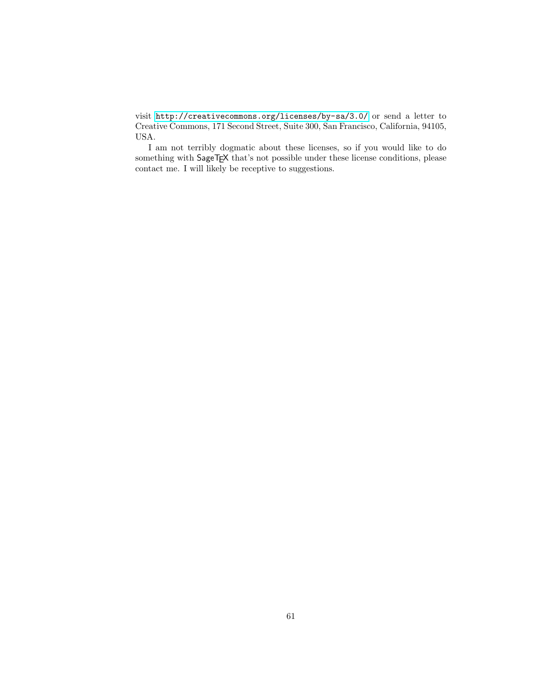visit <http://creativecommons.org/licenses/by-sa/3.0/> or send a letter to Creative Commons, 171 Second Street, Suite 300, San Francisco, California, 94105, USA.

I am not terribly dogmatic about these licenses, so if you would like to do something with SageTEX that's not possible under these license conditions, please contact me. I will likely be receptive to suggestions.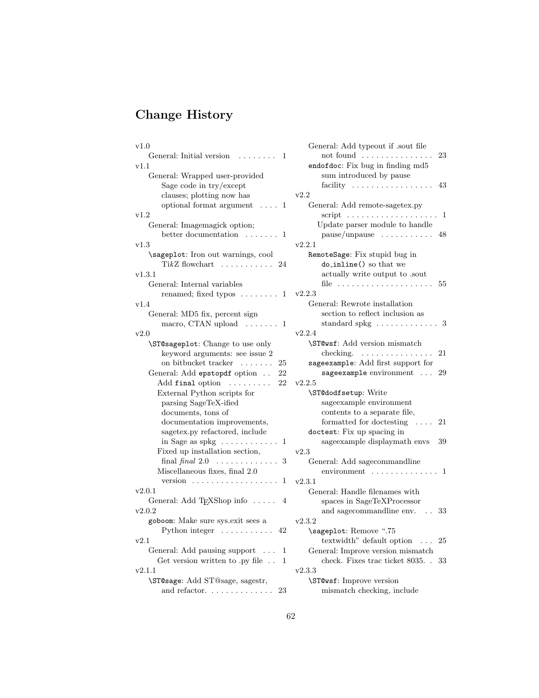# Change History

| v1.0                                                             |  |
|------------------------------------------------------------------|--|
| General: Initial version<br>1                                    |  |
| v1.1                                                             |  |
| General: Wrapped user-provided                                   |  |
| Sage code in try/except                                          |  |
| clauses; plotting now has                                        |  |
| optional format argument<br>1<br>$\cdots$                        |  |
| v1.2                                                             |  |
| General: Imagemagick option;                                     |  |
| better documentation<br>1                                        |  |
| $_{\rm v1.3}$                                                    |  |
| \sageplot: Iron out warnings, cool                               |  |
| $TikZ$ flowchart $\ldots \ldots \ldots$<br>24                    |  |
| v1.3.1                                                           |  |
| General: Internal variables                                      |  |
| renamed; fixed typos  1                                          |  |
| v1.4                                                             |  |
| General: MD5 fix, percent sign                                   |  |
| macro, CTAN upload $\ldots \ldots 1$                             |  |
|                                                                  |  |
| v2.0                                                             |  |
| \ST@sageplot: Change to use only                                 |  |
| keyword arguments: see issue 2                                   |  |
| on bitbucket tracker<br>25                                       |  |
| General: Add epstopdf option<br>22                               |  |
| Add final option<br>22<br>$\alpha$ , and $\alpha$ , and $\alpha$ |  |
| External Python scripts for                                      |  |
| parsing SageTeX-ified                                            |  |
| documents, tons of                                               |  |
| documentation improvements,                                      |  |
| sagetex.py refactored, include                                   |  |
| in Sage as spkg $\dots \dots \dots$<br>1                         |  |
| Fixed up installation section,                                   |  |
| final final $2.0$<br>3                                           |  |
| Miscellaneous fixes, final 2.0                                   |  |
| version $\ldots \ldots \ldots \ldots \ldots$<br>1                |  |
| v2.0.1                                                           |  |
| General: Add TEXShop info<br>4                                   |  |
| v2.0.2                                                           |  |
| goboom: Make sure sys.exit sees a                                |  |
| Python integer $\dots \dots \dots$<br>42                         |  |
| v2.1                                                             |  |
| General: Add pausing support<br>1                                |  |
| Get version written to .py file<br>1                             |  |
| v2.1.1                                                           |  |
| \ST@sage: Add ST@sage, sagestr,                                  |  |
| and refactor. $\dots \dots \dots \dots$<br>23                    |  |
|                                                                  |  |

| General: Add typeout if .sout file       |     |
|------------------------------------------|-----|
| not found                                | 23  |
| endofdoc: Fix bug in finding md5         |     |
| sum introduced by pause                  |     |
| facility                                 | 43  |
| v2.2                                     |     |
| General: Add remote-sagetex.py           |     |
| script $\dots\dots\dots\dots\dots\dots$  | 1   |
| Update parser module to handle           |     |
| $pause/unpause \dots$<br>1.1.1.1.1.1     | 48  |
| v2.2.1                                   |     |
| RemoteSage: Fix stupid bug in            |     |
| do_inline() so that we                   |     |
| actually write output to .sout           |     |
| file $\dots \dots$<br>.                  | 55  |
| v2.2.3                                   |     |
| General: Rewrote installation            |     |
| section to reflect inclusion as          |     |
| standard spkg $\dots \dots \dots \dots$  | -3  |
| v2.2.4                                   |     |
| \ST@wsf: Add version mismatch            |     |
| checking.                                | 21  |
| sageexample: Add first support for       |     |
|                                          | 29  |
| sageexample environment<br>v2.2.5        |     |
|                                          |     |
| \ST@dodfsetup: Write                     |     |
| sage<br>example environment              |     |
| contents to a separate file,             |     |
| formatted for doctesting                 | 21  |
| doctest: Fix up spacing in               |     |
| sage<br>example displaymath envs         | 39  |
| v2.3                                     |     |
| General: Add sagecommandline             |     |
| environment<br>$\mathbf{r}$              | - 1 |
| v2.3.1                                   |     |
| General: Handle filenames with           |     |
| spaces in SageTeXProcessor               |     |
| and sagecommandline env.                 | 33  |
| v2.3.2                                   |     |
| \sageplot: Remove ".75                   |     |
| textwidth" default option $\ldots$       | 25  |
| General: Improve version mismatch        |     |
| check. Fixes trac ticket 8035.<br>$\sim$ | 33  |
| v2.3.3                                   |     |
| \ST@wsf: Improve version                 |     |
| mismatch checking, include               |     |
|                                          |     |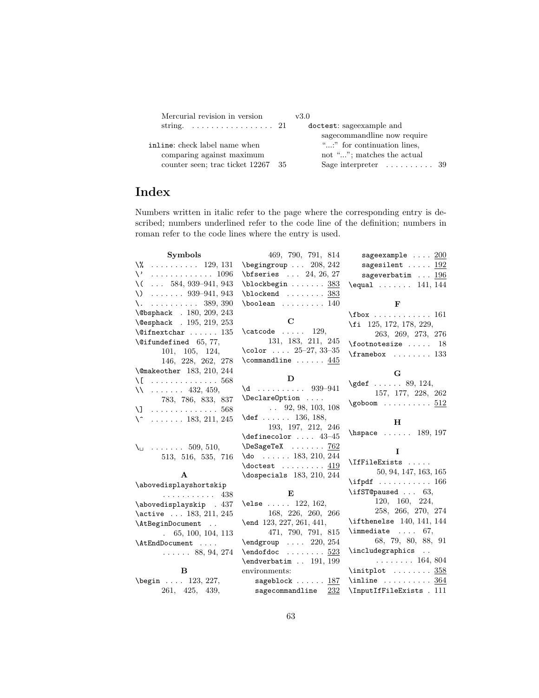| Mercurial revision in version                   | v3.0                                  |
|-------------------------------------------------|---------------------------------------|
| string. $\ldots \ldots \ldots \ldots \ldots 21$ | doctest: sage example and             |
|                                                 | sagecommandline now require           |
| inline: check label name when                   | ":" for continuation lines.           |
| comparing against maximum                       | not ""; matches the actual            |
| counter seen; trac ticket 12267 35              | Sage interpreter $\dots\dots\dots 39$ |

# Index

Numbers written in italic refer to the page where the corresponding entry is described; numbers underlined refer to the code line of the definition; numbers in roman refer to the code lines where the entry is used.

| <b>Symbols</b>                                  | 469, 790, 791, 814                                                                       | sageexample $\ldots$ 200                        |
|-------------------------------------------------|------------------------------------------------------------------------------------------|-------------------------------------------------|
| $\sqrt{2}$ 129, 131                             | $\begin{bmatrix} \begin{array}{ccc} \text{begin} \text{array} \end{array} \end{bmatrix}$ | sagesilent $192$                                |
| $\vee$<br>. 1096                                | $\big\{\text{b}fseries \dots 24, 26, 27\right\}$                                         | sageverbatim $\ldots$ 196                       |
| $\ldots$ 584, 939–941, 943<br>\ (               | $\boldsymbol{\lambda}$ 383                                                               | $\text{equal} \dots \dots \quad 141, 144$       |
| $\setminus$ 939–941, 943                        | $\boldsymbol{\lambda} \ldots \ldots \frac{383}{}$                                        |                                                 |
| $\lambda$ . 389, 390                            | $\boldsymbol{\lambda}$ 140                                                               | $\mathbf{F}$                                    |
| \@bsphack . 180, 209, 243                       |                                                                                          | $\text{161}$                                    |
| \@esphack . 195, 219, 253                       | $\mathbf C$                                                                              | \fi 125, 172, 178, 229,                         |
| $\verb+\@ifnextchar +\dots 135$                 | $\text{29},$                                                                             | 263, 269, 273, 276                              |
| $\text{Qifundefined}$ 65, 77,                   | 131, 183, 211, 245                                                                       | $\setminus$ footnotesize  18                    |
| 101, 105, 124,                                  | $\text{color}$ $25-27, 33-35$                                                            | $\frac{b}{x}$ 133                               |
| 146, 228, 262, 278                              | \commandline $\dots \dots$ 445                                                           |                                                 |
| \@makeother 183, 210, 244<br>$\setminus$ [  568 | D                                                                                        | G                                               |
| $11 \ldots 432, 459,$                           | $\frac{1}{939-941}$                                                                      | $\qquad \qquad 89, 124,$                        |
| 783, 786, 833, 837                              | \DeclareOption                                                                           | 157, 177, 228, 262                              |
| $\setminus$ ] 568                               | $\ldots$ 92, 98, 103, 108                                                                | $\qquad \qquad \ldots \ldots 512$               |
| $\setminus$ 183, 211, 245                       | \def 136, 188,                                                                           |                                                 |
|                                                 | 193, 197, 212, 246                                                                       | н                                               |
|                                                 | $\definecolor 43-45$                                                                     | $\hbox{\tt hspace} \ldots 189, 197$             |
| $\setminus$ 509, 510,                           | $\Delta$ PeSageTeX  762                                                                  | L                                               |
| 513, 516, 535, 716                              | $\{do \dots 183, 210, 244$                                                               | \IfFileExists                                   |
|                                                 | $\lambda$ doctest  419                                                                   | 50, 94, 147, 163, 165                           |
| A                                               | $\text{dospecials}$ 183, 210, 244                                                        | $\left\{\text{indf}\right.\dots\dots\dots\ 166$ |
| \abovedisplayshortskip                          |                                                                                          | \ifST@paused $\ldots$ 63,                       |
| . 438                                           | Е                                                                                        | 120, 160, 224,                                  |
| \abovedisplayskip . 437                         | \else $122, 162,$                                                                        | 258, 266, 270, 274                              |
| \active  183, 211, 245                          | 168, 226, 260, 266                                                                       | $\left\{ \right. 140, 141, 144 \right\}$        |
| \AtBeginDocument                                | \end 123, 227, 261, 441,<br>471, 790, 791, 815                                           | $\{immediate \ldots 67\}$                       |
| $\ldots$ 65, 100, 104, 113                      | $\end{group}$ 220, 254                                                                   | 68, 79, 80, 88, 91                              |
| \AtEndDocument                                  | $\endofdoc \ldots \ldots \frac{523}{ }$                                                  | \includegraphics                                |
| $\ldots$ $88, 94, 274$                          | \endverbatim  191, 199                                                                   | $\ldots \ldots 164, 804$                        |
| B                                               | environments:                                                                            | $\infty$ 358                                    |
| \begin  123, 227,                               | sageblock $\ldots \ldots \frac{187}{2}$                                                  | $\infty$ 364                                    |
| 261, 425, 439,                                  | sagecommandline<br>232                                                                   | \InputIfFileExists . 111                        |
|                                                 |                                                                                          |                                                 |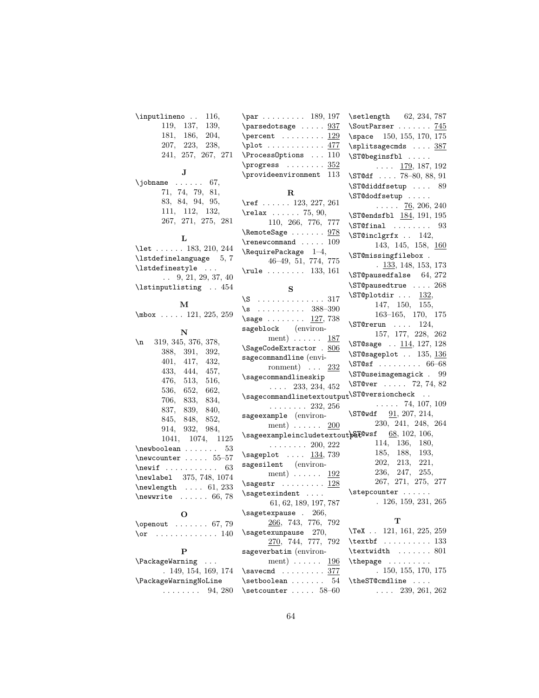| \inputlineno<br>116,                           | $\parbox{ 189, 197}$                                                  | \setlength 62, 234, 787                        |
|------------------------------------------------|-----------------------------------------------------------------------|------------------------------------------------|
| 119, 137,<br>139,                              | $\text{parsedotsage} \dots 937$                                       | \SoutParser $745$                              |
| 181, 186,<br>204,                              | \percent $\dots\dots \cdot 129$                                       | \space 150, 155, 170, 175                      |
| 207, 223, 238,                                 |                                                                       | \splitsagecmds  387                            |
| 241, 257, 267, 271                             | $\PrecessOptions \dots 110$                                           | \ST@beginsfbl                                  |
|                                                | \progress $352$                                                       | $\ldots$ 179, 187, 192                         |
| J                                              | \provideenvironment<br>113                                            | $\setminus$ ST@df  78—80, 88, 91               |
| \jobname<br>67,                                |                                                                       | $\S T@diddfsetup \dots 89$                     |
| 71, 74, 79, 81,                                | R                                                                     | \ST@dodfsetup                                  |
| 83, 84, 94, 95,                                | \ref 123, 227, 261                                                    | $\ldots$ 76, 206, 240                          |
| 111, 112, 132,                                 | $\texttt{relax} \dots 75, 90,$                                        | \ST@endsfbl 184, 191, 195                      |
| 267, 271, 275, 281                             | 110, 266, 776, 777                                                    | $\sqrt{STCfinal}$ 93                           |
|                                                | \RemoteSage  978                                                      | \ST@inclgrfx  142,                             |
| L                                              | $\gamma$ 109                                                          | 143, 145, 158, 160                             |
| \let  183, 210, 244                            | $\verb+\RequirePackage 1-4+$                                          | \ST@missingfilebox.                            |
| $\lambda$ 3.7                                  | $46-49, 51, 774, 775$                                                 | $\frac{133}{133}$ , 148, 153, 173              |
| \lstdefinestyle                                | $\texttt{rule} \dots \dots \quad 133, 161$                            | $\S$ T@pausedfalse 64, 272                     |
| $\ldots$ 9, 21, 29, 37, 40                     |                                                                       | \ST@pausedtrue  268                            |
| \lstinputlisting  454                          | S                                                                     | $\S$ T@plotdir  132,                           |
| м                                              | $\S$ 317                                                              | 147, 150, 155,                                 |
| $\mbox{mbox} \ldots$ 121, 225, 259             | $\s$ 388-390                                                          | $163-165, 170, 175$                            |
|                                                | $\simeq$<br>127,738                                                   | $\S$ T@rerun  124,                             |
| ${\bf N}$                                      | sageblock (environ-                                                   | 157, 177, 228, 262                             |
| \n<br>319, 345, 376, 378,                      | ment) $\ldots \ldots$ 187                                             | \ST@sage $\ldots$ $\frac{114}{127}$ , 128      |
| 388, 391, 392,                                 | \SageCodeExtractor . 806                                              | \ST@sageplot . 135, 136                        |
| 401, 417,<br>432,                              | sagecommandline (envi-                                                | $\S$ T@sf  66–68                               |
| 433, 444, 457,                                 | ronment) $\ldots$ 232                                                 | \ST@useimagemagick . 99                        |
| 476, 513,<br>516,                              | \sagecommandlineskip                                                  | \ST@ver  72, 74, 82                            |
| 536, 652, 662,                                 | $\ldots$ 233, 234, 452                                                |                                                |
| 706, 833,<br>834,                              | $\verb \sagecommandlinetext  output \verb \ST@versioncheck  $         |                                                |
| 837, 839,<br>840,                              | $\cdots \cdots \cdots 232, 256$                                       | $\ldots$ . 74, 107, 109                        |
| 852,<br>845, 848,                              | sageexample (environ-                                                 | $\S$ T@wdf $91, 207, 214,$                     |
| 914, 932,<br>984,                              | $ment) \dots \dots$<br>200                                            | 230, 241, 248, 264                             |
| 1041, 1074, 1125                               | $\verb \sageexample  including \verb textout  by E@wsf 68, 102, 106,$ |                                                |
| $\neq 53$                                      | $\cdots \cdots 200, 222$                                              | 114, 136, 180,<br>185, 188,<br>193,            |
| $\neq$ $55-57$                                 | $\simeq$ 134, 739                                                     | 202, 213,<br>221,                              |
| 63                                             | sagesilent (environ-                                                  | 236, 247,<br>255,                              |
| \newlabel 375, 748, 1074                       | ment) $\ldots \ldots$ 192                                             | 267, 271, 275, 277                             |
| $\neq$ lewlength  61, 233                      | $\verb \sagestr \dots\ldots\ldots\; \underline{128}$                  |                                                |
| $\text{newwrite} \dots 66, 78$                 | $\simeq$ $\ldots$                                                     | $\setminus$ stepcounter<br>.126, 159, 231, 265 |
|                                                | 61, 62, 189, 197, 787                                                 |                                                |
| O                                              | \sagetexpause . 266,                                                  | т                                              |
| $\omega$ 67, 79                                | 266, 743, 776, 792                                                    | $\text{TeX}$ . 121, 161, 225, 259              |
| . 140<br>\or                                   | \sagetexunpause 270,                                                  |                                                |
| $\mathbf{P}$                                   | 270, 744, 777, 792                                                    | $\text{textbf} \ldots \ldots 133$              |
|                                                | sageverbatim (environ-                                                | $\text{textwidth} \dots \dots 801$             |
| <b>\PackageWarning</b><br>$\sim$ $\sim$ $\sim$ | ment) $\ldots \ldots$ 196                                             | \thepage<br>. 150, 155, 170, 175               |
| . 149, 154, 169, 174                           | $\simeq 377$                                                          |                                                |

. 149, 154, 169, 174

\PackageWarningNoLine ........  $94, 280$  \setcounter .....  $58-60$ 

64

 $\setminus$ setboolean ....... 54

\theST@cmdline ....  $\ldots$  239, 261, 262